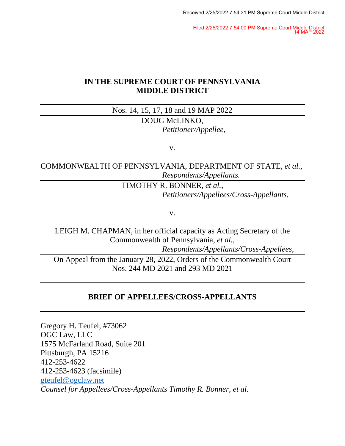Filed 2/25/2022 7:54:00 PM Supreme Court Middle District 14 MAP 2022

## **IN THE SUPREME COURT OF PENNSYLVANIA MIDDLE DISTRICT**

Nos. 14, 15, 17, 18 and 19 MAP 2022

DOUG McLINKO, *Petitioner/Appellee,*

v.

COMMONWEALTH OF PENNSYLVANIA, DEPARTMENT OF STATE, *et al., Respondents/Appellants.*

> TIMOTHY R. BONNER, *et al.*, *Petitioners/Appellees/Cross-Appellants,*

> > v.

LEIGH M. CHAPMAN, in her official capacity as Acting Secretary of the Commonwealth of Pennsylvania, *et al.,*

*Respondents/Appellants/Cross-Appellees,*

On Appeal from the January 28, 2022, Orders of the Commonwealth Court Nos. 244 MD 2021 and 293 MD 2021

## **BRIEF OF APPELLEES/CROSS-APPELLANTS**

Gregory H. Teufel, #73062 OGC Law, LLC 1575 McFarland Road, Suite 201 Pittsburgh, PA 15216 412-253-4622 412-253-4623 (facsimile) [gteufel@ogclaw.net](mailto:gteufel@ogclaw.net) *Counsel for Appellees/Cross-Appellants Timothy R. Bonner, et al.*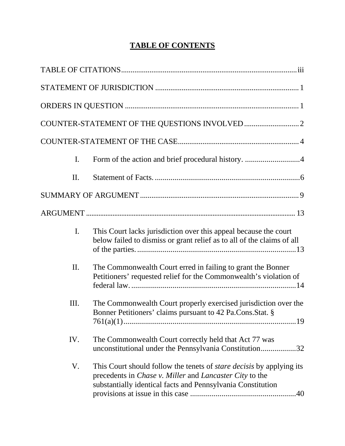# **TABLE OF CONTENTS**

| $\mathbf{I}$ . | Form of the action and brief procedural history. 4                                                                                                                                                                  |
|----------------|---------------------------------------------------------------------------------------------------------------------------------------------------------------------------------------------------------------------|
| П.             |                                                                                                                                                                                                                     |
|                |                                                                                                                                                                                                                     |
|                |                                                                                                                                                                                                                     |
| $\mathbf{I}$ . | This Court lacks jurisdiction over this appeal because the court<br>below failed to dismiss or grant relief as to all of the claims of all                                                                          |
| II.            | The Commonwealth Court erred in failing to grant the Bonner<br>Petitioners' requested relief for the Commonwealth's violation of                                                                                    |
| Ш.             | The Commonwealth Court properly exercised jurisdiction over the<br>Bonner Petitioners' claims pursuant to 42 Pa.Cons.Stat. §                                                                                        |
| IV.            | The Commonwealth Court correctly held that Act 77 was<br>unconstitutional under the Pennsylvania Constitution32                                                                                                     |
| V.             | This Court should follow the tenets of <i>stare decisis</i> by applying its<br>precedents in <i>Chase v. Miller</i> and <i>Lancaster City</i> to the<br>substantially identical facts and Pennsylvania Constitution |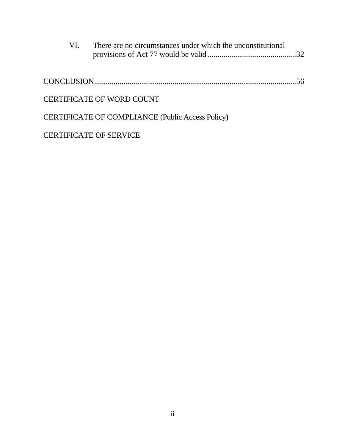| VI. | There are no circumstances under which the unconstitutional |  |
|-----|-------------------------------------------------------------|--|
|     |                                                             |  |
|     | <b>CERTIFICATE OF WORD COUNT</b>                            |  |
|     | CERTIFICATE OF COMPLIANCE (Public Access Policy)            |  |

CERTIFICATE OF SERVICE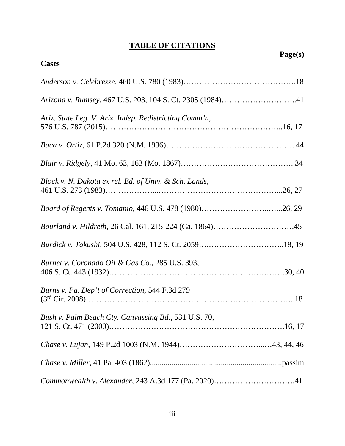# **TABLE OF CITATIONS**

|                                                           | Page(s) |
|-----------------------------------------------------------|---------|
| <b>Cases</b>                                              |         |
|                                                           |         |
| Arizona v. Rumsey, 467 U.S. 203, 104 S. Ct. 2305 (1984)41 |         |
| Ariz. State Leg. V. Ariz. Indep. Redistricting Comm'n,    |         |
|                                                           |         |
|                                                           |         |
| Block v. N. Dakota ex rel. Bd. of Univ. & Sch. Lands,     |         |
| Board of Regents v. Tomanio, 446 U.S. 478 (1980)26, 29    |         |
|                                                           |         |
|                                                           |         |
| Burnet v. Coronado Oil & Gas Co., 285 U.S. 393,           |         |
| Burns v. Pa. Dep't of Correction, 544 F.3d 279            |         |
| Bush v. Palm Beach Cty. Canvassing Bd., 531 U.S. 70,      |         |
|                                                           |         |
|                                                           |         |
|                                                           |         |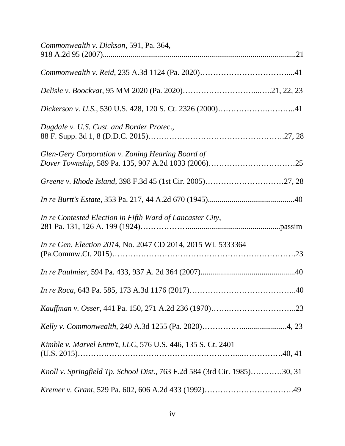| Commonwealth v. Dickson, 591, Pa. 364,                                    |  |
|---------------------------------------------------------------------------|--|
|                                                                           |  |
|                                                                           |  |
|                                                                           |  |
| Dugdale v. U.S. Cust. and Border Protec.,                                 |  |
| Glen-Gery Corporation v. Zoning Hearing Board of                          |  |
|                                                                           |  |
|                                                                           |  |
| In re Contested Election in Fifth Ward of Lancaster City,                 |  |
| In re Gen. Election 2014, No. 2047 CD 2014, 2015 WL 5333364               |  |
|                                                                           |  |
|                                                                           |  |
|                                                                           |  |
|                                                                           |  |
| Kimble v. Marvel Entm't, LLC, 576 U.S. 446, 135 S. Ct. 2401               |  |
| Knoll v. Springfield Tp. School Dist., 763 F.2d 584 (3rd Cir. 1985)30, 31 |  |
|                                                                           |  |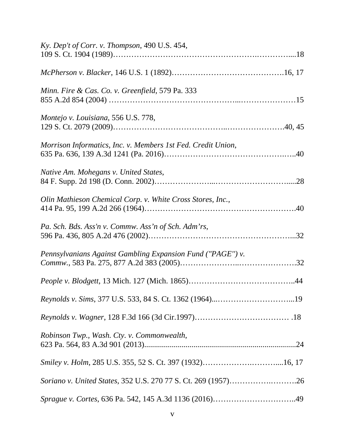| Ky. Dep't of Corr. v. Thompson, 490 U.S. 454,                |  |
|--------------------------------------------------------------|--|
|                                                              |  |
| Minn. Fire & Cas. Co. v. Greenfield, 579 Pa. 333             |  |
| Montejo v. Louisiana, 556 U.S. 778,                          |  |
| Morrison Informatics, Inc. v. Members 1st Fed. Credit Union, |  |
| Native Am. Mohegans v. United States,                        |  |
| Olin Mathieson Chemical Corp. v. White Cross Stores, Inc.,   |  |
| Pa. Sch. Bds. Ass'n v. Commw. Ass'n of Sch. Adm'rs,          |  |
| Pennsylvanians Against Gambling Expansion Fund ("PAGE") v.   |  |
|                                                              |  |
|                                                              |  |
|                                                              |  |
| Robinson Twp., Wash. Cty. v. Commonwealth,                   |  |
|                                                              |  |
|                                                              |  |
|                                                              |  |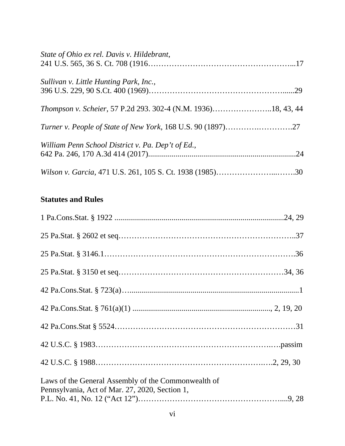| State of Ohio ex rel. Davis v. Hildebrant,                    |  |
|---------------------------------------------------------------|--|
| Sullivan v. Little Hunting Park, Inc.,                        |  |
| Thompson v. Scheier, 57 P.2d 293. 302-4 (N.M. 1936)18, 43, 44 |  |
|                                                               |  |
| William Penn School District v. Pa. Dep't of Ed.,             |  |
|                                                               |  |

# **Statutes and Rules**

| Laws of the General Assembly of the Commonwealth of<br>Pennsylvania, Act of Mar. 27, 2020, Section 1, |
|-------------------------------------------------------------------------------------------------------|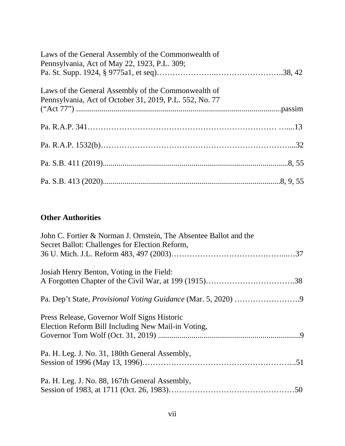| Laws of the General Assembly of the Commonwealth of<br>Pennsylvania, Act of May 22, 1923, P.L. 309; |  |
|-----------------------------------------------------------------------------------------------------|--|
|                                                                                                     |  |
| Laws of the General Assembly of the Commonwealth of                                                 |  |
|                                                                                                     |  |
|                                                                                                     |  |
|                                                                                                     |  |
|                                                                                                     |  |
|                                                                                                     |  |

## **Other Authorities**

| John C. Fortier & Norman J. Ornstein, The Absentee Ballot and the |  |
|-------------------------------------------------------------------|--|
| Secret Ballot: Challenges for Election Reform,                    |  |
|                                                                   |  |
| Josiah Henry Benton, Voting in the Field:                         |  |
|                                                                   |  |
|                                                                   |  |
| Press Release, Governor Wolf Signs Historic                       |  |
| Election Reform Bill Including New Mail-in Voting,                |  |
|                                                                   |  |
| Pa. H. Leg. J. No. 31, 180th General Assembly,                    |  |
|                                                                   |  |
| Pa. H. Leg. J. No. 88, 167th General Assembly,                    |  |
|                                                                   |  |
|                                                                   |  |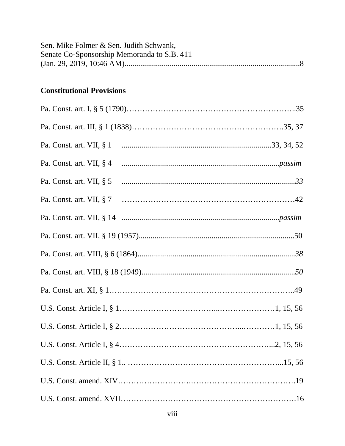| Sen. Mike Folmer & Sen. Judith Schwank,<br>Senate Co-Sponsorship Memoranda to S.B. 411 |  |
|----------------------------------------------------------------------------------------|--|
| <b>Constitutional Provisions</b>                                                       |  |
|                                                                                        |  |
|                                                                                        |  |
|                                                                                        |  |
|                                                                                        |  |
|                                                                                        |  |
|                                                                                        |  |
|                                                                                        |  |
|                                                                                        |  |
|                                                                                        |  |
|                                                                                        |  |
|                                                                                        |  |
|                                                                                        |  |
|                                                                                        |  |
|                                                                                        |  |
|                                                                                        |  |
|                                                                                        |  |
|                                                                                        |  |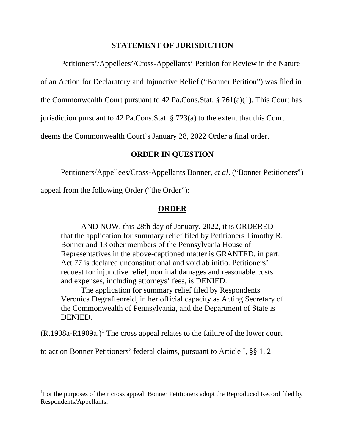### **STATEMENT OF JURISDICTION**

Petitioners'/Appellees'/Cross-Appellants' Petition for Review in the Nature

of an Action for Declaratory and Injunctive Relief ("Bonner Petition") was filed in

the Commonwealth Court pursuant to 42 Pa.Cons.Stat. § 761(a)(1). This Court has

jurisdiction pursuant to 42 Pa.Cons.Stat. § 723(a) to the extent that this Court

deems the Commonwealth Court's January 28, 2022 Order a final order.

## **ORDER IN QUESTION**

Petitioners/Appellees/Cross-Appellants Bonner, *et al*. ("Bonner Petitioners")

appeal from the following Order ("the Order"):

## **ORDER**

AND NOW, this 28th day of January, 2022, it is ORDERED that the application for summary relief filed by Petitioners Timothy R. Bonner and 13 other members of the Pennsylvania House of Representatives in the above-captioned matter is GRANTED, in part. Act 77 is declared unconstitutional and void ab initio. Petitioners' request for injunctive relief, nominal damages and reasonable costs and expenses, including attorneys' fees, is DENIED.

The application for summary relief filed by Respondents Veronica Degraffenreid, in her official capacity as Acting Secretary of the Commonwealth of Pennsylvania, and the Department of State is DENIED.

 $(R.1908a-R1909a.)$  $(R.1908a-R1909a.)$  $(R.1908a-R1909a.)$ <sup>1</sup> The cross appeal relates to the failure of the lower court

to act on Bonner Petitioners' federal claims, pursuant to Article I, §§ 1, 2

<span id="page-9-0"></span><sup>&</sup>lt;sup>1</sup>For the purposes of their cross appeal, Bonner Petitioners adopt the Reproduced Record filed by Respondents/Appellants.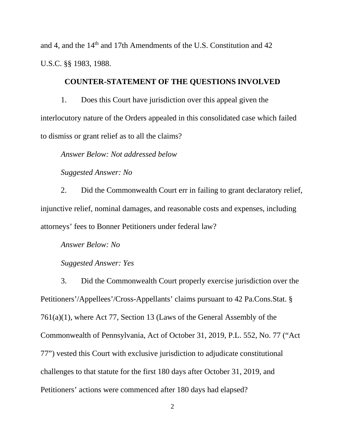and 4, and the 14th and 17th Amendments of the U.S. Constitution and 42 U.S.C. §§ 1983, 1988.

## **COUNTER-STATEMENT OF THE QUESTIONS INVOLVED**

1. Does this Court have jurisdiction over this appeal given the interlocutory nature of the Orders appealed in this consolidated case which failed to dismiss or grant relief as to all the claims?

*Answer Below: Not addressed below*

*Suggested Answer: No*

2. Did the Commonwealth Court err in failing to grant declaratory relief, injunctive relief, nominal damages, and reasonable costs and expenses, including attorneys' fees to Bonner Petitioners under federal law?

*Answer Below: No*

#### *Suggested Answer: Yes*

3. Did the Commonwealth Court properly exercise jurisdiction over the Petitioners'/Appellees'/Cross-Appellants' claims pursuant to 42 Pa.Cons.Stat. § 761(a)(1), where Act 77, Section 13 (Laws of the General Assembly of the Commonwealth of Pennsylvania, Act of October 31, 2019, P.L. 552, No. 77 ("Act 77") vested this Court with exclusive jurisdiction to adjudicate constitutional challenges to that statute for the first 180 days after October 31, 2019, and Petitioners' actions were commenced after 180 days had elapsed?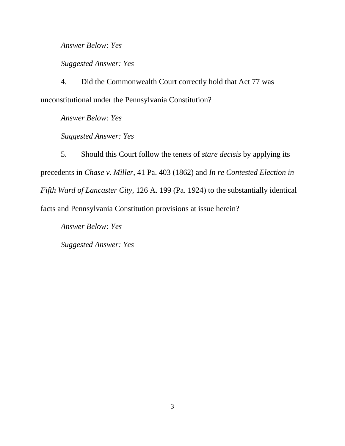*Answer Below: Yes*

*Suggested Answer: Yes*

4. Did the Commonwealth Court correctly hold that Act 77 was unconstitutional under the Pennsylvania Constitution?

*Answer Below: Yes*

*Suggested Answer: Yes*

5. Should this Court follow the tenets of *stare decisis* by applying its precedents in *Chase v. Miller*, 41 Pa. 403 (1862) and *In re Contested Election in Fifth Ward of Lancaster City*, 126 A. 199 (Pa. 1924) to the substantially identical facts and Pennsylvania Constitution provisions at issue herein?

*Answer Below: Yes*

*Suggested Answer: Yes*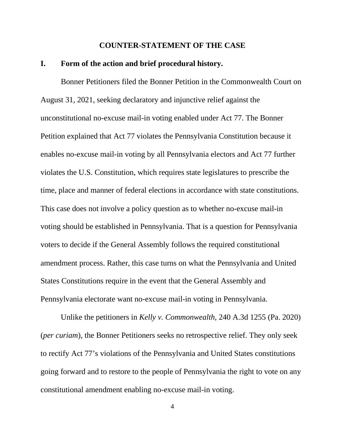#### **COUNTER-STATEMENT OF THE CASE**

#### **I. Form of the action and brief procedural history.**

Bonner Petitioners filed the Bonner Petition in the Commonwealth Court on August 31, 2021, seeking declaratory and injunctive relief against the unconstitutional no-excuse mail-in voting enabled under Act 77. The Bonner Petition explained that Act 77 violates the Pennsylvania Constitution because it enables no-excuse mail-in voting by all Pennsylvania electors and Act 77 further violates the U.S. Constitution, which requires state legislatures to prescribe the time, place and manner of federal elections in accordance with state constitutions. This case does not involve a policy question as to whether no-excuse mail-in voting should be established in Pennsylvania. That is a question for Pennsylvania voters to decide if the General Assembly follows the required constitutional amendment process. Rather, this case turns on what the Pennsylvania and United States Constitutions require in the event that the General Assembly and Pennsylvania electorate want no-excuse mail-in voting in Pennsylvania.

Unlike the petitioners in *Kelly v. Commonwealth*, 240 A.3d 1255 (Pa. 2020) (*per curiam*), the Bonner Petitioners seeks no retrospective relief. They only seek to rectify Act 77's violations of the Pennsylvania and United States constitutions going forward and to restore to the people of Pennsylvania the right to vote on any constitutional amendment enabling no-excuse mail-in voting.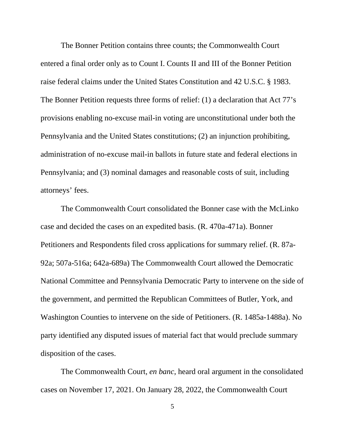The Bonner Petition contains three counts; the Commonwealth Court entered a final order only as to Count I. Counts II and III of the Bonner Petition raise federal claims under the United States Constitution and 42 U.S.C. § 1983. The Bonner Petition requests three forms of relief: (1) a declaration that Act 77's provisions enabling no-excuse mail-in voting are unconstitutional under both the Pennsylvania and the United States constitutions; (2) an injunction prohibiting, administration of no-excuse mail-in ballots in future state and federal elections in Pennsylvania; and (3) nominal damages and reasonable costs of suit, including attorneys' fees.

The Commonwealth Court consolidated the Bonner case with the McLinko case and decided the cases on an expedited basis. (R. 470a-471a). Bonner Petitioners and Respondents filed cross applications for summary relief. (R. 87a-92a; 507a-516a; 642a-689a) The Commonwealth Court allowed the Democratic National Committee and Pennsylvania Democratic Party to intervene on the side of the government, and permitted the Republican Committees of Butler, York, and Washington Counties to intervene on the side of Petitioners. (R. 1485a-1488a). No party identified any disputed issues of material fact that would preclude summary disposition of the cases.

The Commonwealth Court, *en banc*, heard oral argument in the consolidated cases on November 17, 2021. On January 28, 2022, the Commonwealth Court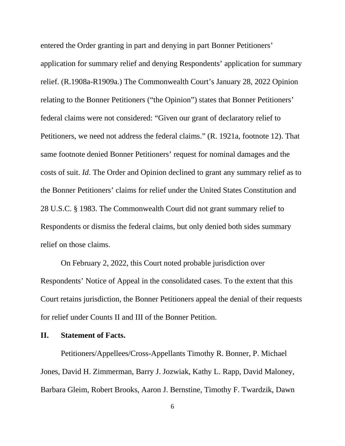entered the Order granting in part and denying in part Bonner Petitioners' application for summary relief and denying Respondents' application for summary relief. (R.1908a-R1909a.) The Commonwealth Court's January 28, 2022 Opinion relating to the Bonner Petitioners ("the Opinion") states that Bonner Petitioners' federal claims were not considered: "Given our grant of declaratory relief to Petitioners, we need not address the federal claims." (R. 1921a, footnote 12). That same footnote denied Bonner Petitioners' request for nominal damages and the costs of suit. *Id*. The Order and Opinion declined to grant any summary relief as to the Bonner Petitioners' claims for relief under the United States Constitution and 28 U.S.C. § 1983. The Commonwealth Court did not grant summary relief to Respondents or dismiss the federal claims, but only denied both sides summary relief on those claims.

On February 2, 2022, this Court noted probable jurisdiction over Respondents' Notice of Appeal in the consolidated cases. To the extent that this Court retains jurisdiction, the Bonner Petitioners appeal the denial of their requests for relief under Counts II and III of the Bonner Petition.

#### **II. Statement of Facts.**

Petitioners/Appellees/Cross-Appellants Timothy R. Bonner, P. Michael Jones, David H. Zimmerman, Barry J. Jozwiak, Kathy L. Rapp, David Maloney, Barbara Gleim, Robert Brooks, Aaron J. Bernstine, Timothy F. Twardzik, Dawn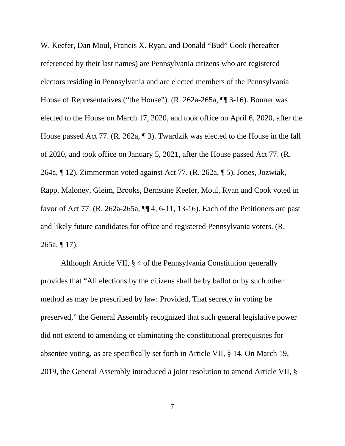W. Keefer, Dan Moul, Francis X. Ryan, and Donald "Bud" Cook (hereafter referenced by their last names) are Pennsylvania citizens who are registered electors residing in Pennsylvania and are elected members of the Pennsylvania House of Representatives ("the House"). (R. 262a-265a, ¶¶ 3-16). Bonner was elected to the House on March 17, 2020, and took office on April 6, 2020, after the House passed Act 77. (R. 262a, ¶ 3). Twardzik was elected to the House in the fall of 2020, and took office on January 5, 2021, after the House passed Act 77. (R. 264a, ¶ 12). Zimmerman voted against Act 77. (R. 262a, ¶ 5). Jones, Jozwiak, Rapp, Maloney, Gleim, Brooks, Bernstine Keefer, Moul, Ryan and Cook voted in favor of Act 77. (R. 262a-265a, ¶¶ 4, 6-11, 13-16). Each of the Petitioners are past and likely future candidates for office and registered Pennsylvania voters. (R. 265a, ¶ 17).

Although Article VII, § 4 of the Pennsylvania Constitution generally provides that "All elections by the citizens shall be by ballot or by such other method as may be prescribed by law: Provided, That secrecy in voting be preserved," the General Assembly recognized that such general legislative power did not extend to amending or eliminating the constitutional prerequisites for absentee voting, as are specifically set forth in Article VII, § 14. On March 19, 2019, the General Assembly introduced a joint resolution to amend Article VII, §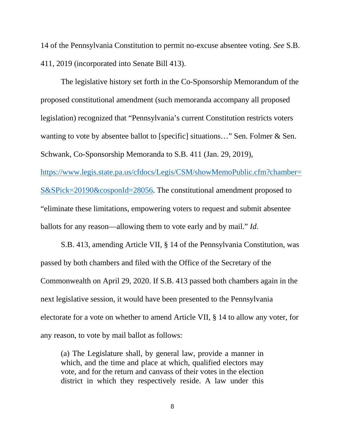14 of the Pennsylvania Constitution to permit no-excuse absentee voting. *See* S.B. 411, 2019 (incorporated into Senate Bill 413).

The legislative history set forth in the Co-Sponsorship Memorandum of the proposed constitutional amendment (such memoranda accompany all proposed legislation) recognized that "Pennsylvania's current Constitution restricts voters wanting to vote by absentee ballot to [specific] situations..." Sen. Folmer & Sen. Schwank, Co-Sponsorship Memoranda to S.B. 411 (Jan. 29, 2019), [https://www.legis.state.pa.us/cfdocs/Legis/CSM/showMemoPublic.cfm?chamber=](https://www.legis.state.pa.us/cfdocs/Legis/CSM/showMemoPublic.cfm?chamber=S&SPick=20190&cosponId=28056)

[S&SPick=20190&cosponId=28056.](https://www.legis.state.pa.us/cfdocs/Legis/CSM/showMemoPublic.cfm?chamber=S&SPick=20190&cosponId=28056) The constitutional amendment proposed to "eliminate these limitations, empowering voters to request and submit absentee ballots for any reason—allowing them to vote early and by mail." *Id*.

S.B. 413, amending Article VII, § 14 of the Pennsylvania Constitution, was passed by both chambers and filed with the Office of the Secretary of the Commonwealth on April 29, 2020. If S.B. 413 passed both chambers again in the next legislative session, it would have been presented to the Pennsylvania electorate for a vote on whether to amend Article VII, § 14 to allow any voter, for any reason, to vote by mail ballot as follows:

(a) The Legislature shall, by general law, provide a manner in which, and the time and place at which, qualified electors may vote, and for the return and canvass of their votes in the election district in which they respectively reside. A law under this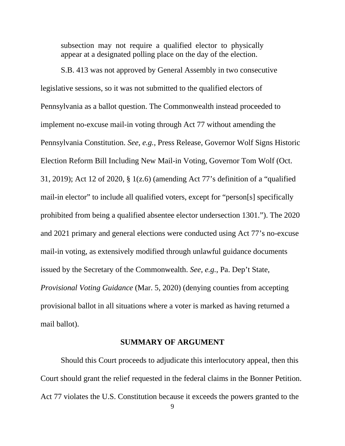subsection may not require a qualified elector to physically appear at a designated polling place on the day of the election.

S.B. 413 was not approved by General Assembly in two consecutive legislative sessions, so it was not submitted to the qualified electors of Pennsylvania as a ballot question. The Commonwealth instead proceeded to implement no-excuse mail-in voting through Act 77 without amending the Pennsylvania Constitution. *See, e.g.*, Press Release, Governor Wolf Signs Historic Election Reform Bill Including New Mail-in Voting, Governor Tom Wolf (Oct. 31, 2019); Act 12 of 2020, § 1(z.6) (amending Act 77's definition of a "qualified mail-in elector" to include all qualified voters, except for "person[s] specifically prohibited from being a qualified absentee elector undersection 1301."). The 2020 and 2021 primary and general elections were conducted using Act 77's no-excuse mail-in voting, as extensively modified through unlawful guidance documents issued by the Secretary of the Commonwealth. *See, e.g.*, Pa. Dep't State, *Provisional Voting Guidance* (Mar. 5, 2020) (denying counties from accepting provisional ballot in all situations where a voter is marked as having returned a mail ballot).

#### **SUMMARY OF ARGUMENT**

Should this Court proceeds to adjudicate this interlocutory appeal, then this Court should grant the relief requested in the federal claims in the Bonner Petition. Act 77 violates the U.S. Constitution because it exceeds the powers granted to the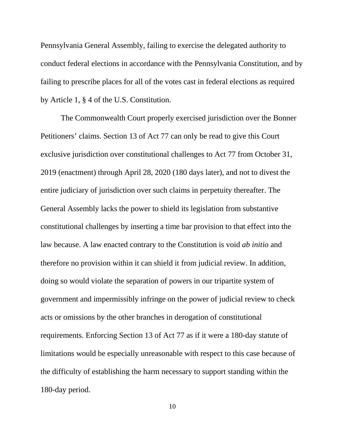Pennsylvania General Assembly, failing to exercise the delegated authority to conduct federal elections in accordance with the Pennsylvania Constitution, and by failing to prescribe places for all of the votes cast in federal elections as required by Article 1, § 4 of the U.S. Constitution.

The Commonwealth Court properly exercised jurisdiction over the Bonner Petitioners' claims. Section 13 of Act 77 can only be read to give this Court exclusive jurisdiction over constitutional challenges to Act 77 from October 31, 2019 (enactment) through April 28, 2020 (180 days later), and not to divest the entire judiciary of jurisdiction over such claims in perpetuity thereafter. The General Assembly lacks the power to shield its legislation from substantive constitutional challenges by inserting a time bar provision to that effect into the law because. A law enacted contrary to the Constitution is void *ab initio* and therefore no provision within it can shield it from judicial review. In addition, doing so would violate the separation of powers in our tripartite system of government and impermissibly infringe on the power of judicial review to check acts or omissions by the other branches in derogation of constitutional requirements. Enforcing Section 13 of Act 77 as if it were a 180-day statute of limitations would be especially unreasonable with respect to this case because of the difficulty of establishing the harm necessary to support standing within the 180-day period.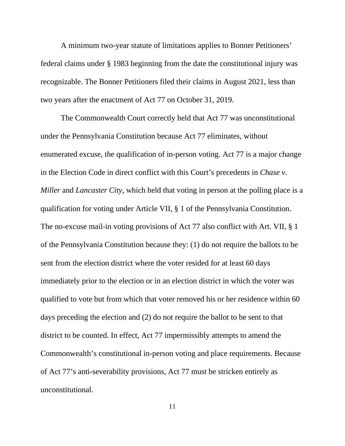A minimum two-year statute of limitations applies to Bonner Petitioners' federal claims under § 1983 beginning from the date the constitutional injury was recognizable. The Bonner Petitioners filed their claims in August 2021, less than two years after the enactment of Act 77 on October 31, 2019.

The Commonwealth Court correctly held that Act 77 was unconstitutional under the Pennsylvania Constitution because Act 77 eliminates, without enumerated excuse, the qualification of in-person voting. Act 77 is a major change in the Election Code in direct conflict with this Court's precedents in *Chase v. Miller* and *Lancaster City*, which held that voting in person at the polling place is a qualification for voting under Article VII, § 1 of the Pennsylvania Constitution. The no-excuse mail-in voting provisions of Act 77 also conflict with Art. VII, § 1 of the Pennsylvania Constitution because they: (1) do not require the ballots to be sent from the election district where the voter resided for at least 60 days immediately prior to the election or in an election district in which the voter was qualified to vote but from which that voter removed his or her residence within 60 days preceding the election and (2) do not require the ballot to be sent to that district to be counted. In effect, Act 77 impermissibly attempts to amend the Commonwealth's constitutional in-person voting and place requirements. Because of Act 77's anti-severability provisions, Act 77 must be stricken entirely as unconstitutional.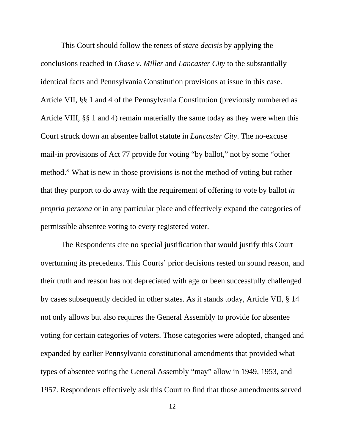This Court should follow the tenets of *stare decisis* by applying the conclusions reached in *Chase v. Miller* and *Lancaster City* to the substantially identical facts and Pennsylvania Constitution provisions at issue in this case. Article VII, §§ 1 and 4 of the Pennsylvania Constitution (previously numbered as Article VIII, §§ 1 and 4) remain materially the same today as they were when this Court struck down an absentee ballot statute in *Lancaster City*. The no-excuse mail-in provisions of Act 77 provide for voting "by ballot," not by some "other method." What is new in those provisions is not the method of voting but rather that they purport to do away with the requirement of offering to vote by ballot *in propria persona* or in any particular place and effectively expand the categories of permissible absentee voting to every registered voter.

The Respondents cite no special justification that would justify this Court overturning its precedents. This Courts' prior decisions rested on sound reason, and their truth and reason has not depreciated with age or been successfully challenged by cases subsequently decided in other states. As it stands today, Article VII, § 14 not only allows but also requires the General Assembly to provide for absentee voting for certain categories of voters. Those categories were adopted, changed and expanded by earlier Pennsylvania constitutional amendments that provided what types of absentee voting the General Assembly "may" allow in 1949, 1953, and 1957. Respondents effectively ask this Court to find that those amendments served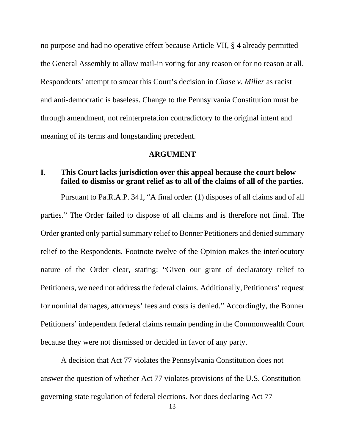no purpose and had no operative effect because Article VII, § 4 already permitted the General Assembly to allow mail-in voting for any reason or for no reason at all. Respondents' attempt to smear this Court's decision in *Chase v. Miller* as racist and anti-democratic is baseless. Change to the Pennsylvania Constitution must be through amendment, not reinterpretation contradictory to the original intent and meaning of its terms and longstanding precedent.

#### **ARGUMENT**

## **I. This Court lacks jurisdiction over this appeal because the court below failed to dismiss or grant relief as to all of the claims of all of the parties.**

Pursuant to Pa.R.A.P. 341, "A final order: (1) disposes of all claims and of all parties." The Order failed to dispose of all claims and is therefore not final. The Order granted only partial summary relief to Bonner Petitioners and denied summary relief to the Respondents. Footnote twelve of the Opinion makes the interlocutory nature of the Order clear, stating: "Given our grant of declaratory relief to Petitioners, we need not address the federal claims. Additionally, Petitioners' request for nominal damages, attorneys' fees and costs is denied." Accordingly, the Bonner Petitioners' independent federal claims remain pending in the Commonwealth Court because they were not dismissed or decided in favor of any party.

A decision that Act 77 violates the Pennsylvania Constitution does not answer the question of whether Act 77 violates provisions of the U.S. Constitution governing state regulation of federal elections. Nor does declaring Act 77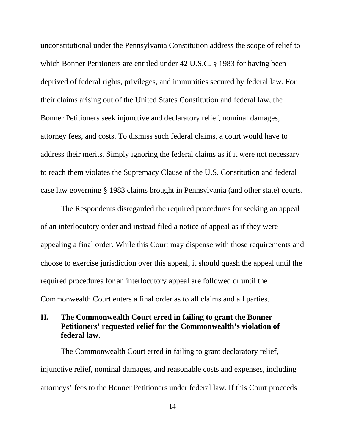unconstitutional under the Pennsylvania Constitution address the scope of relief to which Bonner Petitioners are entitled under 42 U.S.C. § 1983 for having been deprived of federal rights, privileges, and immunities secured by federal law. For their claims arising out of the United States Constitution and federal law, the Bonner Petitioners seek injunctive and declaratory relief, nominal damages, attorney fees, and costs. To dismiss such federal claims, a court would have to address their merits. Simply ignoring the federal claims as if it were not necessary to reach them violates the Supremacy Clause of the U.S. Constitution and federal case law governing § 1983 claims brought in Pennsylvania (and other state) courts.

The Respondents disregarded the required procedures for seeking an appeal of an interlocutory order and instead filed a notice of appeal as if they were appealing a final order. While this Court may dispense with those requirements and choose to exercise jurisdiction over this appeal, it should quash the appeal until the required procedures for an interlocutory appeal are followed or until the Commonwealth Court enters a final order as to all claims and all parties.

## **II. The Commonwealth Court erred in failing to grant the Bonner Petitioners' requested relief for the Commonwealth's violation of federal law.**

The Commonwealth Court erred in failing to grant declaratory relief, injunctive relief, nominal damages, and reasonable costs and expenses, including attorneys' fees to the Bonner Petitioners under federal law. If this Court proceeds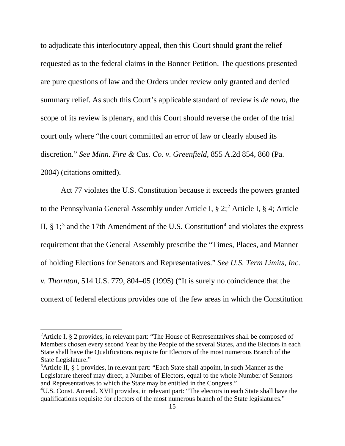to adjudicate this interlocutory appeal, then this Court should grant the relief requested as to the federal claims in the Bonner Petition. The questions presented are pure questions of law and the Orders under review only granted and denied summary relief. As such this Court's applicable standard of review is *de novo*, the scope of its review is plenary, and this Court should reverse the order of the trial court only where "the court committed an error of law or clearly abused its discretion." *See Minn. Fire & Cas. Co. v. Greenfield*, 855 A.2d 854, 860 (Pa. 2004) (citations omitted).

Act 77 violates the U.S. Constitution because it exceeds the powers granted to the Pennsylvania General Assembly under Article I,  $\S 2$  $\S 2$ ;  $2^2$  Article I,  $\S 4$ ; Article II,  $\S 1$ ;<sup>[3](#page-23-1)</sup> and the 17th Amendment of the U.S. Constitution<sup>[4](#page-23-2)</sup> and violates the express requirement that the General Assembly prescribe the "Times, Places, and Manner of holding Elections for Senators and Representatives." *See U.S. Term Limits, Inc. v. Thornton*, 514 U.S. 779, 804–05 (1995) ("It is surely no coincidence that the context of federal elections provides one of the few areas in which the Constitution

<span id="page-23-0"></span><sup>&</sup>lt;sup>2</sup>Article I, § 2 provides, in relevant part: "The House of Representatives shall be composed of Members chosen every second Year by the People of the several States, and the Electors in each State shall have the Qualifications requisite for Electors of the most numerous Branch of the State Legislature."

<span id="page-23-1"></span><sup>&</sup>lt;sup>3</sup>Article II, § 1 provides, in relevant part: "Each State shall appoint, in such Manner as the Legislature thereof may direct, a Number of Electors, equal to the whole Number of Senators and Representatives to which the State may be entitled in the Congress."

<span id="page-23-2"></span><sup>&</sup>lt;sup>4</sup>U.S. Const. Amend. XVII provides, in relevant part: "The electors in each State shall have the qualifications requisite for electors of the most numerous branch of the State legislatures."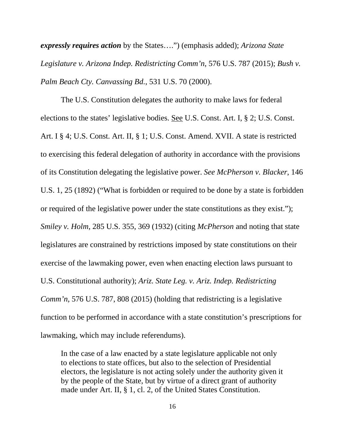*expressly requires action* by the States….") (emphasis added); *Arizona State Legislature v. Arizona Indep. Redistricting Comm'n*, 576 U.S. 787 (2015); *Bush v. Palm Beach Cty. Canvassing Bd.*, 531 U.S. 70 (2000).

The U.S. Constitution delegates the authority to make laws for federal elections to the states' legislative bodies. See U.S. Const. Art. I, § 2; U.S. Const. Art. I § 4; U.S. Const. Art. II, § 1; U.S. Const. Amend. XVII. A state is restricted to exercising this federal delegation of authority in accordance with the provisions of its Constitution delegating the legislative power. *See McPherson v. Blacker*, 146 U.S. 1, 25 (1892) ("What is forbidden or required to be done by a state is forbidden or required of the legislative power under the state constitutions as they exist."); *Smiley v. Holm*, 285 U.S. 355, 369 (1932) (citing *McPherson* and noting that state legislatures are constrained by restrictions imposed by state constitutions on their exercise of the lawmaking power, even when enacting election laws pursuant to U.S. Constitutional authority); *Ariz. State Leg. v. Ariz. Indep. Redistricting Comm'n,* 576 U.S. 787, 808 (2015) (holding that redistricting is a legislative function to be performed in accordance with a state constitution's prescriptions for lawmaking, which may include referendums).

In the case of a law enacted by a state legislature applicable not only to elections to state offices, but also to the selection of Presidential electors, the legislature is not acting solely under the authority given it by the people of the State, but by virtue of a direct grant of authority made under Art. II, § 1, cl. 2, of the United States Constitution.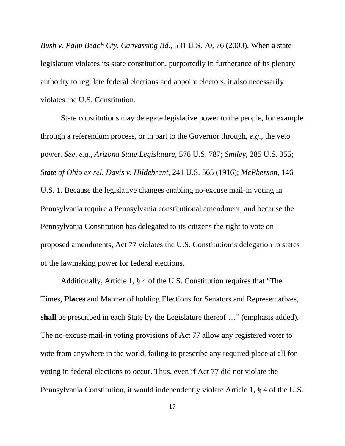*Bush v. Palm Beach Cty. Canvassing Bd.*, 531 U.S. 70, 76 (2000). When a state legislature violates its state constitution, purportedly in furtherance of its plenary authority to regulate federal elections and appoint electors, it also necessarily violates the U.S. Constitution.

State constitutions may delegate legislative power to the people, for example through a referendum process, or in part to the Governor through, *e.g.*, the veto power. *See, e.g., Arizona State Legislature,* 576 U.S. 787; *Smiley,* 285 U.S. 355; *State of Ohio ex rel. Davis v. Hildebrant*, 241 U.S. 565 (1916); *McPherson*, 146 U.S. 1. Because the legislative changes enabling no-excuse mail-in voting in Pennsylvania require a Pennsylvania constitutional amendment, and because the Pennsylvania Constitution has delegated to its citizens the right to vote on proposed amendments, Act 77 violates the U.S. Constitution's delegation to states of the lawmaking power for federal elections.

Additionally, Article 1, § 4 of the U.S. Constitution requires that "The Times, **Places** and Manner of holding Elections for Senators and Representatives, **shall** be prescribed in each State by the Legislature thereof …" (emphasis added). The no-excuse mail-in voting provisions of Act 77 allow any registered voter to vote from anywhere in the world, failing to prescribe any required place at all for voting in federal elections to occur. Thus, even if Act 77 did not violate the Pennsylvania Constitution, it would independently violate Article 1, § 4 of the U.S.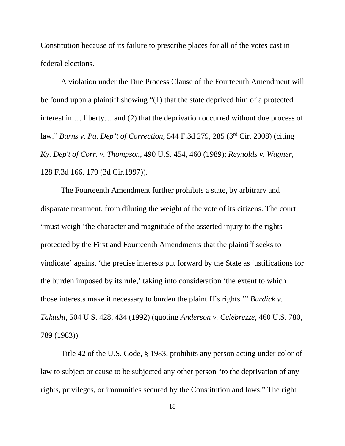Constitution because of its failure to prescribe places for all of the votes cast in federal elections.

A violation under the Due Process Clause of the Fourteenth Amendment will be found upon a plaintiff showing "(1) that the state deprived him of a protected interest in … liberty… and (2) that the deprivation occurred without due process of law." *Burns v. Pa. Dep't of Correction*, 544 F.3d 279, 285 (3rd Cir. 2008) (citing *Ky. Dep't of Corr. v. Thompson*, 490 U.S. 454, 460 (1989); *Reynolds v. Wagner*, 128 F.3d 166, 179 (3d Cir.1997)).

The Fourteenth Amendment further prohibits a state, by arbitrary and disparate treatment, from diluting the weight of the vote of its citizens. The court "must weigh 'the character and magnitude of the asserted injury to the rights protected by the First and Fourteenth Amendments that the plaintiff seeks to vindicate' against 'the precise interests put forward by the State as justifications for the burden imposed by its rule,' taking into consideration 'the extent to which those interests make it necessary to burden the plaintiff's rights.'" *Burdick v. Takushi*, 504 U.S. 428, 434 (1992) (quoting *Anderson v. Celebrezze*, 460 U.S. 780, 789 (1983)).

Title 42 of the U.S. Code, § 1983, prohibits any person acting under color of law to subject or cause to be subjected any other person "to the deprivation of any rights, privileges, or immunities secured by the Constitution and laws." The right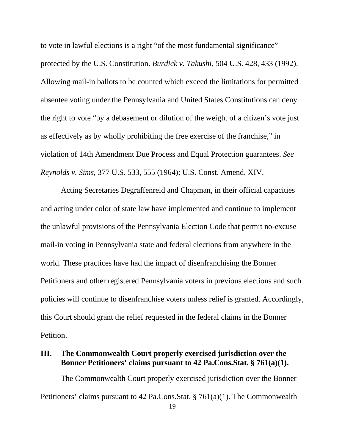to vote in lawful elections is a right "of the most fundamental significance" protected by the U.S. Constitution. *Burdick v. Takushi*, 504 U.S. 428, 433 (1992). Allowing mail-in ballots to be counted which exceed the limitations for permitted absentee voting under the Pennsylvania and United States Constitutions can deny the right to vote "by a debasement or dilution of the weight of a citizen's vote just as effectively as by wholly prohibiting the free exercise of the franchise," in violation of 14th Amendment Due Process and Equal Protection guarantees. *See Reynolds v. Sims*, 377 U.S. 533, 555 (1964); U.S. Const. Amend. XIV.

Acting Secretaries Degraffenreid and Chapman, in their official capacities and acting under color of state law have implemented and continue to implement the unlawful provisions of the Pennsylvania Election Code that permit no-excuse mail-in voting in Pennsylvania state and federal elections from anywhere in the world. These practices have had the impact of disenfranchising the Bonner Petitioners and other registered Pennsylvania voters in previous elections and such policies will continue to disenfranchise voters unless relief is granted. Accordingly, this Court should grant the relief requested in the federal claims in the Bonner Petition.

## **III. The Commonwealth Court properly exercised jurisdiction over the Bonner Petitioners' claims pursuant to 42 Pa.Cons.Stat. § 761(a)(1).**

The Commonwealth Court properly exercised jurisdiction over the Bonner Petitioners' claims pursuant to 42 Pa.Cons.Stat. § 761(a)(1). The Commonwealth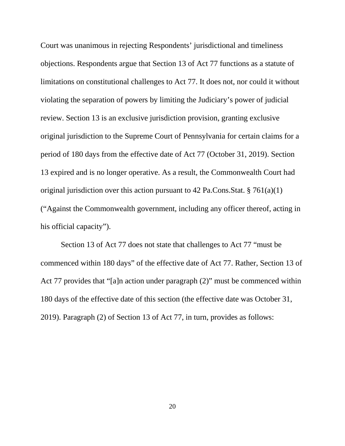Court was unanimous in rejecting Respondents' jurisdictional and timeliness objections. Respondents argue that Section 13 of Act 77 functions as a statute of limitations on constitutional challenges to Act 77. It does not, nor could it without violating the separation of powers by limiting the Judiciary's power of judicial review. Section 13 is an exclusive jurisdiction provision, granting exclusive original jurisdiction to the Supreme Court of Pennsylvania for certain claims for a period of 180 days from the effective date of Act 77 (October 31, 2019). Section 13 expired and is no longer operative. As a result, the Commonwealth Court had original jurisdiction over this action pursuant to 42 Pa.Cons.Stat. § 761(a)(1) ("Against the Commonwealth government, including any officer thereof, acting in his official capacity").

Section 13 of Act 77 does not state that challenges to Act 77 "must be commenced within 180 days" of the effective date of Act 77. Rather, Section 13 of Act 77 provides that "[a]n action under paragraph (2)" must be commenced within 180 days of the effective date of this section (the effective date was October 31, 2019). Paragraph (2) of Section 13 of Act 77, in turn, provides as follows: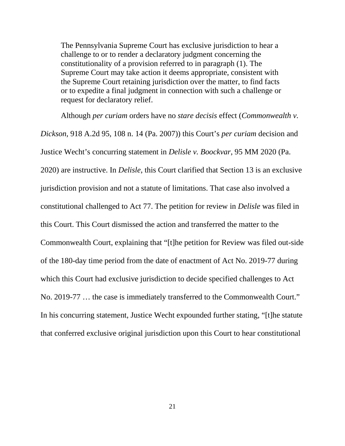The Pennsylvania Supreme Court has exclusive jurisdiction to hear a challenge to or to render a declaratory judgment concerning the constitutionality of a provision referred to in paragraph (1). The Supreme Court may take action it deems appropriate, consistent with the Supreme Court retaining jurisdiction over the matter, to find facts or to expedite a final judgment in connection with such a challenge or request for declaratory relief.

Although *per curiam* orders have no *stare decisis* effect (*Commonwealth v. Dickson*, 918 A.2d 95, 108 n. 14 (Pa. 2007)) this Court's *per curiam* decision and Justice Wecht's concurring statement in *Delisle v. Boockvar*, 95 MM 2020 (Pa. 2020) are instructive. In *Delisle*, this Court clarified that Section 13 is an exclusive jurisdiction provision and not a statute of limitations. That case also involved a constitutional challenged to Act 77. The petition for review in *Delisle* was filed in this Court. This Court dismissed the action and transferred the matter to the Commonwealth Court, explaining that "[t]he petition for Review was filed out-side of the 180-day time period from the date of enactment of Act No. 2019-77 during which this Court had exclusive jurisdiction to decide specified challenges to Act No. 2019-77 … the case is immediately transferred to the Commonwealth Court." In his concurring statement, Justice Wecht expounded further stating, "[t]he statute that conferred exclusive original jurisdiction upon this Court to hear constitutional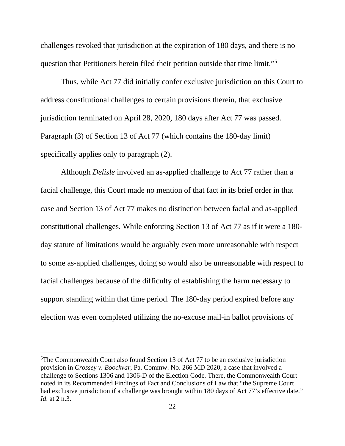challenges revoked that jurisdiction at the expiration of 180 days, and there is no question that Petitioners herein filed their petition outside that time limit.["5](#page-30-0)

Thus, while Act 77 did initially confer exclusive jurisdiction on this Court to address constitutional challenges to certain provisions therein, that exclusive jurisdiction terminated on April 28, 2020, 180 days after Act 77 was passed. Paragraph (3) of Section 13 of Act 77 (which contains the 180-day limit) specifically applies only to paragraph (2).

Although *Delisle* involved an as-applied challenge to Act 77 rather than a facial challenge, this Court made no mention of that fact in its brief order in that case and Section 13 of Act 77 makes no distinction between facial and as-applied constitutional challenges. While enforcing Section 13 of Act 77 as if it were a 180 day statute of limitations would be arguably even more unreasonable with respect to some as-applied challenges, doing so would also be unreasonable with respect to facial challenges because of the difficulty of establishing the harm necessary to support standing within that time period. The 180-day period expired before any election was even completed utilizing the no-excuse mail-in ballot provisions of

<span id="page-30-0"></span><sup>&</sup>lt;sup>5</sup>The Commonwealth Court also found Section 13 of Act 77 to be an exclusive jurisdiction provision in *Crossey v. Boockvar*, Pa. Commw. No. 266 MD 2020, a case that involved a challenge to Sections 1306 and 1306-D of the Election Code. There, the Commonwealth Court noted in its Recommended Findings of Fact and Conclusions of Law that "the Supreme Court had exclusive jurisdiction if a challenge was brought within 180 days of Act 77's effective date." *Id*. at 2 n.3.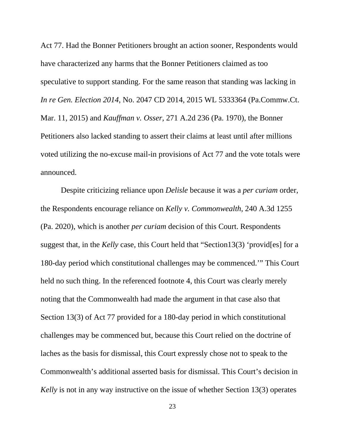Act 77. Had the Bonner Petitioners brought an action sooner, Respondents would have characterized any harms that the Bonner Petitioners claimed as too speculative to support standing. For the same reason that standing was lacking in *In re Gen. Election 2014*, No. 2047 CD 2014, 2015 WL 5333364 (Pa.Commw.Ct. Mar. 11, 2015) and *Kauffman v. Osser*, 271 A.2d 236 (Pa. 1970), the Bonner Petitioners also lacked standing to assert their claims at least until after millions voted utilizing the no-excuse mail-in provisions of Act 77 and the vote totals were announced.

Despite criticizing reliance upon *Delisle* because it was a *per curiam* order, the Respondents encourage reliance on *Kelly v. Commonwealth*, 240 A.3d 1255 (Pa. 2020), which is another *per curiam* decision of this Court. Respondents suggest that, in the *Kelly* case, this Court held that "Section13(3) 'provid[es] for a 180-day period which constitutional challenges may be commenced.'" This Court held no such thing. In the referenced footnote 4, this Court was clearly merely noting that the Commonwealth had made the argument in that case also that Section 13(3) of Act 77 provided for a 180-day period in which constitutional challenges may be commenced but, because this Court relied on the doctrine of laches as the basis for dismissal, this Court expressly chose not to speak to the Commonwealth's additional asserted basis for dismissal. This Court's decision in *Kelly* is not in any way instructive on the issue of whether Section 13(3) operates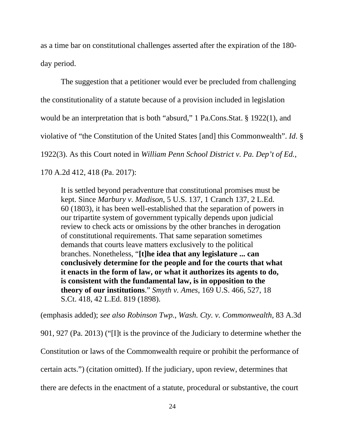as a time bar on constitutional challenges asserted after the expiration of the 180 day period.

The suggestion that a petitioner would ever be precluded from challenging the constitutionality of a statute because of a provision included in legislation would be an interpretation that is both "absurd," 1 Pa.Cons.Stat. § 1922(1), and violative of "the Constitution of the United States [and] this Commonwealth". *Id*. § 1922(3). As this Court noted in *William Penn School District v. Pa. Dep't of Ed.*, 170 A.2d 412, 418 (Pa. 2017):

It is settled beyond peradventure that constitutional promises must be kept. Since *Marbury v. Madison*, 5 U.S. 137, 1 Cranch 137, 2 L.Ed. 60 (1803), it has been well-established that the separation of powers in our tripartite system of government typically depends upon judicial review to check acts or omissions by the other branches in derogation of constitutional requirements. That same separation sometimes demands that courts leave matters exclusively to the political branches. Nonetheless, "**[t]he idea that any legislature ... can conclusively determine for the people and for the courts that what it enacts in the form of law, or what it authorizes its agents to do, is consistent with the fundamental law, is in opposition to the theory of our institutions**." *Smyth v. Ames*, 169 U.S. 466, 527, 18 S.Ct. 418, 42 L.Ed. 819 (1898).

(emphasis added); *see also Robinson Twp., Wash. Cty. v. Commonwealth*, 83 A.3d

901, 927 (Pa. 2013) ("[I]t is the province of the Judiciary to determine whether the

Constitution or laws of the Commonwealth require or prohibit the performance of

certain acts.") (citation omitted). If the judiciary, upon review, determines that

there are defects in the enactment of a statute, procedural or substantive, the court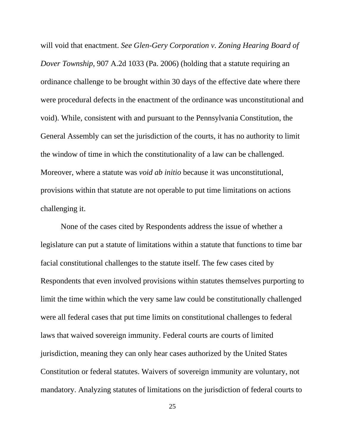will void that enactment. *See Glen-Gery Corporation v. Zoning Hearing Board of Dover Township*, 907 A.2d 1033 (Pa. 2006) (holding that a statute requiring an ordinance challenge to be brought within 30 days of the effective date where there were procedural defects in the enactment of the ordinance was unconstitutional and void). While, consistent with and pursuant to the Pennsylvania Constitution, the General Assembly can set the jurisdiction of the courts, it has no authority to limit the window of time in which the constitutionality of a law can be challenged. Moreover, where a statute was *void ab initio* because it was unconstitutional, provisions within that statute are not operable to put time limitations on actions challenging it.

None of the cases cited by Respondents address the issue of whether a legislature can put a statute of limitations within a statute that functions to time bar facial constitutional challenges to the statute itself. The few cases cited by Respondents that even involved provisions within statutes themselves purporting to limit the time within which the very same law could be constitutionally challenged were all federal cases that put time limits on constitutional challenges to federal laws that waived sovereign immunity. Federal courts are courts of limited jurisdiction, meaning they can only hear cases authorized by the United States Constitution or federal statutes. Waivers of sovereign immunity are voluntary, not mandatory. Analyzing statutes of limitations on the jurisdiction of federal courts to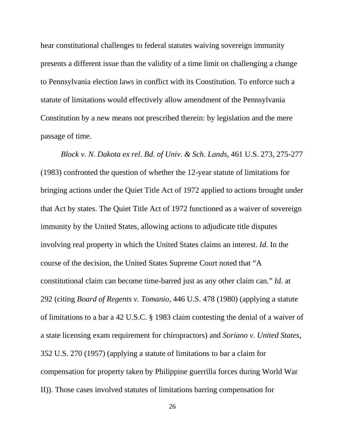hear constitutional challenges to federal statutes waiving sovereign immunity presents a different issue than the validity of a time limit on challenging a change to Pennsylvania election laws in conflict with its Constitution. To enforce such a statute of limitations would effectively allow amendment of the Pennsylvania Constitution by a new means not prescribed therein: by legislation and the mere passage of time.

*Block v. N. Dakota ex rel. Bd. of Univ. & Sch. Lands*, 461 U.S. 273, 275-277 (1983) confronted the question of whether the 12-year statute of limitations for bringing actions under the Quiet Title Act of 1972 applied to actions brought under that Act by states. The Quiet Title Act of 1972 functioned as a waiver of sovereign immunity by the United States, allowing actions to adjudicate title disputes involving real property in which the United States claims an interest. *Id*. In the course of the decision, the United States Supreme Court noted that "A constitutional claim can become time-barred just as any other claim can." *Id.* at 292 (citing *Board of Regents v. Tomanio*, 446 U.S. 478 (1980) (applying a statute of limitations to a bar a 42 U.S.C. § 1983 claim contesting the denial of a waiver of a state licensing exam requirement for chiropractors) and *Soriano v. United States*, 352 U.S. 270 (1957) (applying a statute of limitations to bar a claim for compensation for property taken by Philippine guerrilla forces during World War II)). Those cases involved statutes of limitations barring compensation for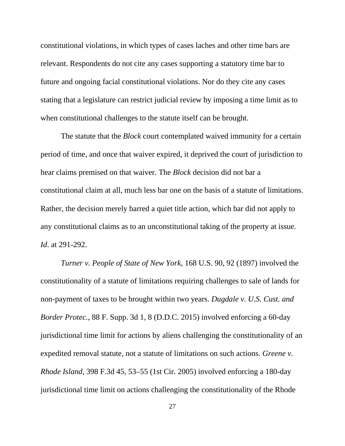constitutional violations, in which types of cases laches and other time bars are relevant. Respondents do not cite any cases supporting a statutory time bar to future and ongoing facial constitutional violations. Nor do they cite any cases stating that a legislature can restrict judicial review by imposing a time limit as to when constitutional challenges to the statute itself can be brought.

The statute that the *Block* court contemplated waived immunity for a certain period of time, and once that waiver expired, it deprived the court of jurisdiction to hear claims premised on that waiver. The *Block* decision did not bar a constitutional claim at all, much less bar one on the basis of a statute of limitations. Rather, the decision merely barred a quiet title action, which bar did not apply to any constitutional claims as to an unconstitutional taking of the property at issue. *Id*. at 291-292.

*Turner v. People of State of New York*, 168 U.S. 90, 92 (1897) involved the constitutionality of a statute of limitations requiring challenges to sale of lands for non-payment of taxes to be brought within two years. *Dugdale v. U.S. Cust. and Border Protec.*, 88 F. Supp. 3d 1, 8 (D.D.C. 2015) involved enforcing a 60-day jurisdictional time limit for actions by aliens challenging the constitutionality of an expedited removal statute, not a statute of limitations on such actions. *Greene v. Rhode Island*, 398 F.3d 45, 53–55 (1st Cir. 2005) involved enforcing a 180-day jurisdictional time limit on actions challenging the constitutionality of the Rhode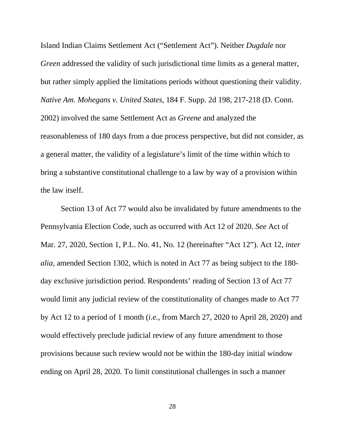Island Indian Claims Settlement Act ("Settlement Act"). Neither *Dugdale* nor *Green* addressed the validity of such jurisdictional time limits as a general matter, but rather simply applied the limitations periods without questioning their validity. *Native Am. Mohegans v. United States*, 184 F. Supp. 2d 198, 217-218 (D. Conn. 2002) involved the same Settlement Act as *Greene* and analyzed the reasonableness of 180 days from a due process perspective, but did not consider, as a general matter, the validity of a legislature's limit of the time within which to bring a substantive constitutional challenge to a law by way of a provision within the law itself.

Section 13 of Act 77 would also be invalidated by future amendments to the Pennsylvania Election Code, such as occurred with Act 12 of 2020. *See* Act of Mar. 27, 2020, Section 1, P.L. No. 41, No. 12 (hereinafter "Act 12"). Act 12, *inter alia*, amended Section 1302, which is noted in Act 77 as being subject to the 180 day exclusive jurisdiction period. Respondents' reading of Section 13 of Act 77 would limit any judicial review of the constitutionality of changes made to Act 77 by Act 12 to a period of 1 month (*i.e.*, from March 27, 2020 to April 28, 2020) and would effectively preclude judicial review of any future amendment to those provisions because such review would not be within the 180-day initial window ending on April 28, 2020. To limit constitutional challenges in such a manner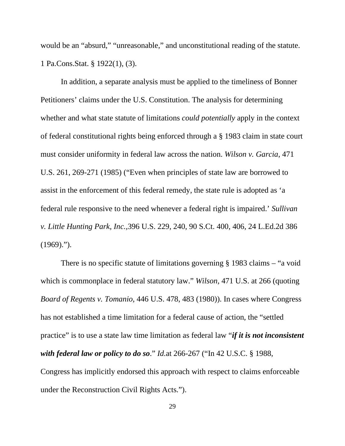would be an "absurd," "unreasonable," and unconstitutional reading of the statute. 1 Pa.Cons.Stat. § 1922(1), (3).

In addition, a separate analysis must be applied to the timeliness of Bonner Petitioners' claims under the U.S. Constitution. The analysis for determining whether and what state statute of limitations *could potentially* apply in the context of federal constitutional rights being enforced through a § 1983 claim in state court must consider uniformity in federal law across the nation. *Wilson v. Garcia*, 471 U.S. 261, 269-271 (1985) ("Even when principles of state law are borrowed to assist in the enforcement of this federal remedy, the state rule is adopted as 'a federal rule responsive to the need whenever a federal right is impaired.' *Sullivan v. Little Hunting Park, Inc.,*396 U.S. 229, 240, 90 S.Ct. 400, 406, 24 L.Ed.2d 386  $(1969)$ .").

There is no specific statute of limitations governing § 1983 claims – "a void which is commonplace in federal statutory law." *Wilson*, 471 U.S. at 266 (quoting *Board of Regents v. Tomanio*, 446 U.S. 478, 483 (1980)). In cases where Congress has not established a time limitation for a federal cause of action, the "settled practice" is to use a state law time limitation as federal law "*if it is not inconsistent with federal law or policy to do so*." *Id.*at 266-267 ("In 42 U.S.C. § 1988, Congress has implicitly endorsed this approach with respect to claims enforceable

under the Reconstruction Civil Rights Acts.").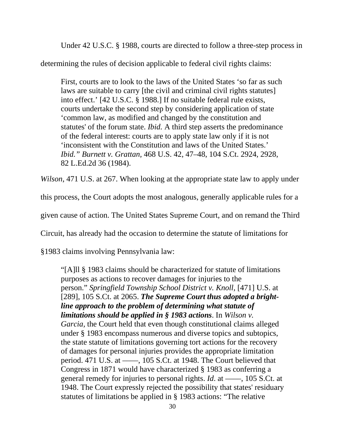Under 42 U.S.C. § 1988, courts are directed to follow a three-step process in

determining the rules of decision applicable to federal civil rights claims:

First, courts are to look to the laws of the United States 'so far as such laws are suitable to carry [the civil and criminal civil rights statutes] into effect.' [42 U.S.C. § 1988.] If no suitable federal rule exists, courts undertake the second step by considering application of state 'common law, as modified and changed by the constitution and statutes' of the forum state. *Ibid.* A third step asserts the predominance of the federal interest: courts are to apply state law only if it is not 'inconsistent with the Constitution and laws of the United States.' *Ibid." Burnett v. Grattan,* 468 U.S. 42, 47–48, 104 S.Ct. 2924, 2928, 82 L.Ed.2d 36 (1984).

*Wilson*, 471 U.S. at 267. When looking at the appropriate state law to apply under

this process, the Court adopts the most analogous, generally applicable rules for a

given cause of action. The United States Supreme Court, and on remand the Third

Circuit, has already had the occasion to determine the statute of limitations for

§1983 claims involving Pennsylvania law:

"[A]ll § 1983 claims should be characterized for statute of limitations purposes as actions to recover damages for injuries to the person." *Springfield Township School District v. Knoll,* [471] U.S. at [289], 105 S.Ct. at 2065. *The Supreme Court thus adopted a brightline approach to the problem of determining what statute of limitations should be applied in § 1983 actions*. In *Wilson v. Garcia,* the Court held that even though constitutional claims alleged under § 1983 encompass numerous and diverse topics and subtopics, the state statute of limitations governing tort actions for the recovery of damages for personal injuries provides the appropriate limitation period. 471 U.S. at ——, 105 S.Ct. at 1948. The Court believed that Congress in 1871 would have characterized § 1983 as conferring a general remedy for injuries to personal rights. *Id*. at ––––, 105 S.Ct. at 1948. The Court expressly rejected the possibility that states' residuary statutes of limitations be applied in § 1983 actions: "The relative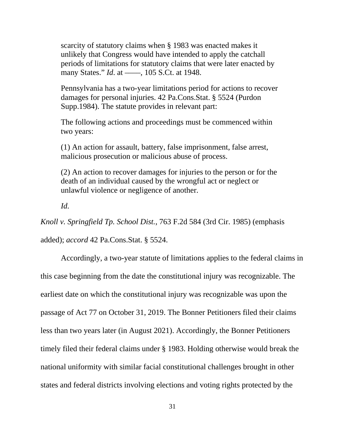scarcity of statutory claims when § 1983 was enacted makes it unlikely that Congress would have intended to apply the catchall periods of limitations for statutory claims that were later enacted by many States." *Id.* at ——, 105 S.Ct. at 1948.

Pennsylvania has a two-year limitations period for actions to recover damages for personal injuries. 42 Pa.Cons.Stat. § 5524 (Purdon Supp.1984). The statute provides in relevant part:

The following actions and proceedings must be commenced within two years:

(1) An action for assault, battery, false imprisonment, false arrest, malicious prosecution or malicious abuse of process.

(2) An action to recover damages for injuries to the person or for the death of an individual caused by the wrongful act or neglect or unlawful violence or negligence of another.

*Id.*

*Knoll v. Springfield Tp. School Dist.*, 763 F.2d 584 (3rd Cir. 1985) (emphasis

added); *accord* 42 Pa.Cons.Stat. § 5524.

Accordingly, a two-year statute of limitations applies to the federal claims in this case beginning from the date the constitutional injury was recognizable. The earliest date on which the constitutional injury was recognizable was upon the passage of Act 77 on October 31, 2019. The Bonner Petitioners filed their claims less than two years later (in August 2021). Accordingly, the Bonner Petitioners timely filed their federal claims under § 1983. Holding otherwise would break the national uniformity with similar facial constitutional challenges brought in other states and federal districts involving elections and voting rights protected by the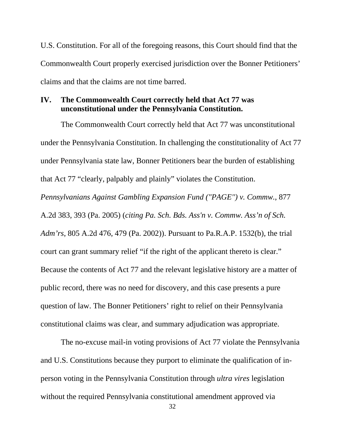U.S. Constitution. For all of the foregoing reasons, this Court should find that the Commonwealth Court properly exercised jurisdiction over the Bonner Petitioners' claims and that the claims are not time barred.

### **IV. The Commonwealth Court correctly held that Act 77 was unconstitutional under the Pennsylvania Constitution.**

The Commonwealth Court correctly held that Act 77 was unconstitutional under the Pennsylvania Constitution. In challenging the constitutionality of Act 77 under Pennsylvania state law, Bonner Petitioners bear the burden of establishing that Act 77 "clearly, palpably and plainly" violates the Constitution.

*Pennsylvanians Against Gambling Expansion Fund ("PAGE'') v. Commw.*, 877 A.2d 383, 393 (Pa. 2005) (*citing Pa. Sch. Bds. Ass'n v. Commw. Ass'n of Sch. Adm'rs*, 805 A.2d 476, 479 (Pa. 2002)). Pursuant to Pa.R.A.P. 1532(b), the trial court can grant summary relief "if the right of the applicant thereto is clear." Because the contents of Act 77 and the relevant legislative history are a matter of public record, there was no need for discovery, and this case presents a pure question of law. The Bonner Petitioners' right to relief on their Pennsylvania constitutional claims was clear, and summary adjudication was appropriate.

The no-excuse mail-in voting provisions of Act 77 violate the Pennsylvania and U.S. Constitutions because they purport to eliminate the qualification of inperson voting in the Pennsylvania Constitution through *ultra vires* legislation without the required Pennsylvania constitutional amendment approved via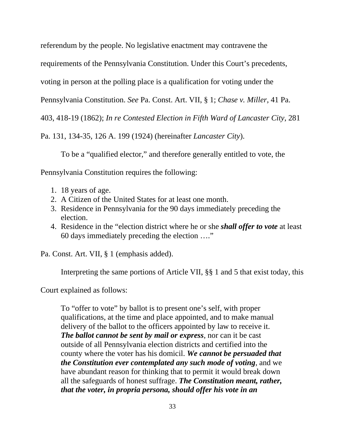referendum by the people. No legislative enactment may contravene the

requirements of the Pennsylvania Constitution. Under this Court's precedents,

voting in person at the polling place is a qualification for voting under the

Pennsylvania Constitution. *See* Pa. Const. Art. VII, § 1; *Chase v. Miller*, 41 Pa.

403, 418-19 (1862); *In re Contested Election in Fifth Ward of Lancaster City*, 281

Pa. 131, 134-35, 126 A. 199 (1924) (hereinafter *Lancaster City*).

To be a "qualified elector," and therefore generally entitled to vote, the

Pennsylvania Constitution requires the following:

- 1. 18 years of age.
- 2. A Citizen of the United States for at least one month.
- 3. Residence in Pennsylvania for the 90 days immediately preceding the election.
- 4. Residence in the "election district where he or she *shall offer to vote* at least 60 days immediately preceding the election …."

Pa. Const. Art. VII, § 1 (emphasis added).

Interpreting the same portions of Article VII, §§ 1 and 5 that exist today, this

Court explained as follows:

To "offer to vote" by ballot is to present one's self, with proper qualifications, at the time and place appointed, and to make manual delivery of the ballot to the officers appointed by law to receive it. *The ballot cannot be sent by mail or express*, nor can it be cast outside of all Pennsylvania election districts and certified into the county where the voter has his domicil. *We cannot be persuaded that the Constitution ever contemplated any such mode of voting*, and we have abundant reason for thinking that to permit it would break down all the safeguards of honest suffrage. *The Constitution meant, rather, that the voter, in propria persona, should offer his vote in an*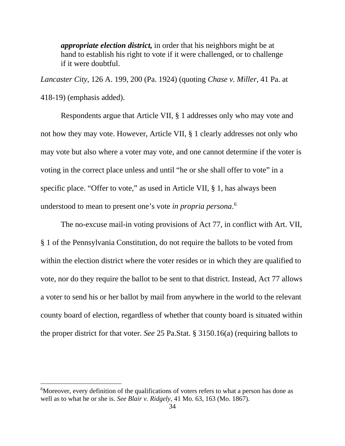*appropriate election district,* in order that his neighbors might be at hand to establish his right to vote if it were challenged, or to challenge if it were doubtful.

*Lancaster City*, 126 A. 199, 200 (Pa. 1924) (quoting *Chase v. Miller*, 41 Pa. at 418-19) (emphasis added).

Respondents argue that Article VII, § 1 addresses only who may vote and not how they may vote. However, Article VII, § 1 clearly addresses not only who may vote but also where a voter may vote, and one cannot determine if the voter is voting in the correct place unless and until "he or she shall offer to vote" in a specific place. "Offer to vote," as used in Article VII, § 1, has always been understood to mean to present one's vote *in propria persona*. [6](#page-42-0)

The no-excuse mail-in voting provisions of Act 77, in conflict with Art. VII, § 1 of the Pennsylvania Constitution, do not require the ballots to be voted from within the election district where the voter resides or in which they are qualified to vote, nor do they require the ballot to be sent to that district. Instead, Act 77 allows a voter to send his or her ballot by mail from anywhere in the world to the relevant county board of election, regardless of whether that county board is situated within the proper district for that voter. *See* 25 Pa.Stat. § 3150.16(a) (requiring ballots to

<span id="page-42-0"></span><sup>&</sup>lt;sup>6</sup>Moreover, every definition of the qualifications of voters refers to what a person has done as well as to what he or she is. *See Blair v. Ridgely*, 41 Mo. 63, 163 (Mo. 1867).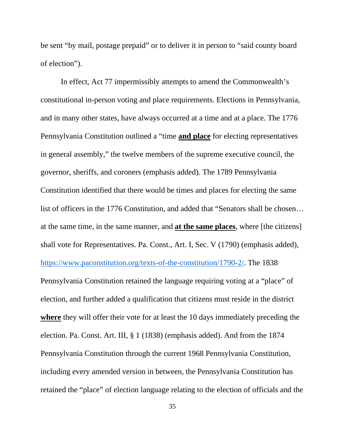be sent "by mail, postage prepaid" or to deliver it in person to "said county board of election").

In effect, Act 77 impermissibly attempts to amend the Commonwealth's constitutional in-person voting and place requirements. Elections in Pennsylvania, and in many other states, have always occurred at a time and at a place. The 1776 Pennsylvania Constitution outlined a "time **and place** for electing representatives in general assembly," the twelve members of the supreme executive council, the governor, sheriffs, and coroners (emphasis added). The 1789 Pennsylvania Constitution identified that there would be times and places for electing the same list of officers in the 1776 Constitution, and added that "Senators shall be chosen… at the same time, in the same manner, and **at the same places**, where [the citizens] shall vote for Representatives. Pa. Const., Art. I, Sec. V (1790) (emphasis added), [https://www.paconstitution.org/texts-of-the-constitution/1790-2/.](https://www.paconstitution.org/texts-of-the-constitution/1790-2/) The 1838 Pennsylvania Constitution retained the language requiring voting at a "place" of election, and further added a qualification that citizens must reside in the district **where** they will offer their vote for at least the 10 days immediately preceding the election. Pa. Const. Art. III, § 1 (1838) (emphasis added). And from the 1874 Pennsylvania Constitution through the current 1968 Pennsylvania Constitution, including every amended version in between, the Pennsylvania Constitution has retained the "place" of election language relating to the election of officials and the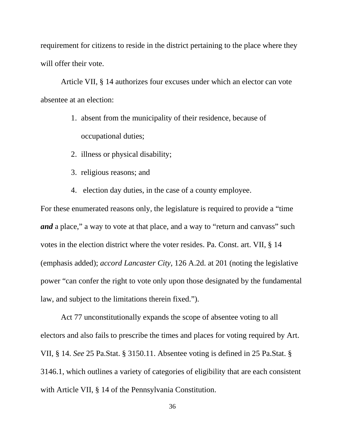requirement for citizens to reside in the district pertaining to the place where they will offer their vote.

Article VII, § 14 authorizes four excuses under which an elector can vote absentee at an election:

- 1. absent from the municipality of their residence, because of occupational duties;
- 2. illness or physical disability;
- 3. religious reasons; and
- 4. election day duties, in the case of a county employee.

For these enumerated reasons only, the legislature is required to provide a "time *and* a place," a way to vote at that place, and a way to "return and canvass" such votes in the election district where the voter resides. Pa. Const. art. VII, § 14 (emphasis added); *accord Lancaster City*, 126 A.2d. at 201 (noting the legislative power "can confer the right to vote only upon those designated by the fundamental law, and subject to the limitations therein fixed.").

Act 77 unconstitutionally expands the scope of absentee voting to all electors and also fails to prescribe the times and places for voting required by Art. VII, § 14. *See* 25 Pa.Stat. § 3150.11. Absentee voting is defined in 25 Pa.Stat. § 3146.1, which outlines a variety of categories of eligibility that are each consistent with Article VII, § 14 of the Pennsylvania Constitution.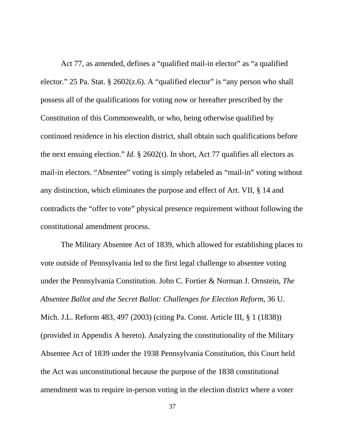Act 77, as amended, defines a "qualified mail-in elector" as "a qualified elector." 25 Pa. Stat. § 2602(z.6). A "qualified elector" is "any person who shall possess all of the qualifications for voting now or hereafter prescribed by the Constitution of this Commonwealth, or who, being otherwise qualified by continued residence in his election district, shall obtain such qualifications before the next ensuing election." *Id*. § 2602(t). In short, Act 77 qualifies all electors as mail-in electors. "Absentee" voting is simply relabeled as "mail-in" voting without any distinction, which eliminates the purpose and effect of Art. VII, § 14 and contradicts the "offer to vote" physical presence requirement without following the constitutional amendment process.

The Military Absentee Act of 1839, which allowed for establishing places to vote outside of Pennsylvania led to the first legal challenge to absentee voting under the Pennsylvania Constitution. John C. Fortier & Norman J. Ornstein, *The Absentee Ballot and the Secret Ballot: Challenges for Election Reform*, 36 U. Mich. J.L. Reform 483, 497 (2003) (citing Pa. Const. Article III, § 1 (1838)) (provided in Appendix A hereto). Analyzing the constitutionality of the Military Absentee Act of 1839 under the 1938 Pennsylvania Constitution, this Court held the Act was unconstitutional because the purpose of the 1838 constitutional amendment was to require in-person voting in the election district where a voter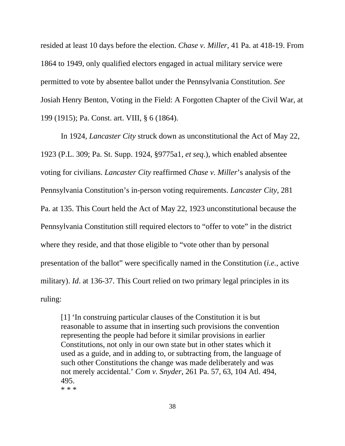resided at least 10 days before the election. *Chase v. Miller*, 41 Pa. at 418-19. From 1864 to 1949, only qualified electors engaged in actual military service were permitted to vote by absentee ballot under the Pennsylvania Constitution. *See* Josiah Henry Benton, Voting in the Field: A Forgotten Chapter of the Civil War, at 199 (1915); Pa. Const. art. VIII, § 6 (1864).

In 1924, *Lancaster City* struck down as unconstitutional the Act of May 22, 1923 (P.L. 309; Pa. St. Supp. 1924, §9775a1, *et seq*.), which enabled absentee voting for civilians. *Lancaster City* reaffirmed *Chase v. Miller*'s analysis of the Pennsylvania Constitution's in-person voting requirements. *Lancaster City*, 281 Pa. at 135. This Court held the Act of May 22, 1923 unconstitutional because the Pennsylvania Constitution still required electors to "offer to vote" in the district where they reside, and that those eligible to "vote other than by personal presentation of the ballot" were specifically named in the Constitution (*i.e.*, active military). *Id*. at 136-37. This Court relied on two primary legal principles in its ruling:

[1] 'In construing particular clauses of the Constitution it is but reasonable to assume that in inserting such provisions the convention representing the people had before it similar provisions in earlier Constitutions, not only in our own state but in other states which it used as a guide, and in adding to, or subtracting from, the language of such other Constitutions the change was made deliberately and was not merely accidental.' *Com v. Snyder*, 261 Pa. 57, 63, 104 Atl. 494, 495. \* \* \*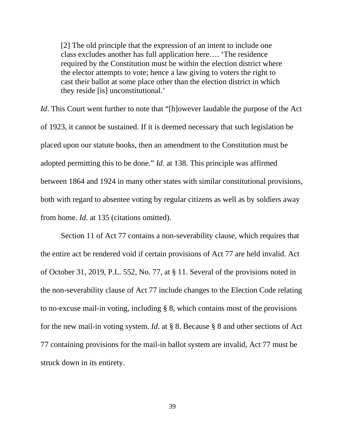[2] The old principle that the expression of an intent to include one class excludes another has full application here…. 'The residence required by the Constitution must be within the election district where the elector attempts to vote; hence a law giving to voters the right to cast their ballot at some place other than the election district in which they reside [is] unconstitutional.'

*Id*. This Court went further to note that "[h]owever laudable the purpose of the Act of 1923, it cannot be sustained. If it is deemed necessary that such legislation be placed upon our statute books, then an amendment to the Constitution must be adopted permitting this to be done." *Id*. at 138. This principle was affirmed between 1864 and 1924 in many other states with similar constitutional provisions, both with regard to absentee voting by regular citizens as well as by soldiers away from home. *Id*. at 135 (citations omitted).

Section 11 of Act 77 contains a non-severability clause, which requires that the entire act be rendered void if certain provisions of Act 77 are held invalid. Act of October 31, 2019, P.L. 552, No. 77, at § 11. Several of the provisions noted in the non-severability clause of Act 77 include changes to the Election Code relating to no-excuse mail-in voting, including § 8, which contains most of the provisions for the new mail-in voting system. *Id*. at § 8. Because § 8 and other sections of Act 77 containing provisions for the mail-in ballot system are invalid, Act 77 must be struck down in its entirety.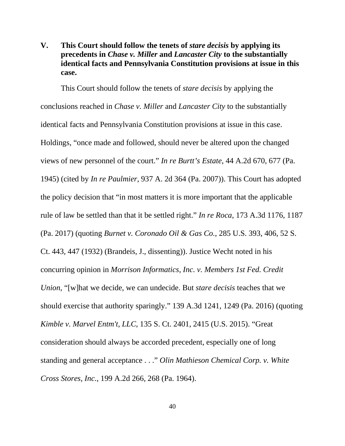## **V. This Court should follow the tenets of** *stare decisis* **by applying its precedents in** *Chase v. Miller* **and** *Lancaster City* **to the substantially identical facts and Pennsylvania Constitution provisions at issue in this case.**

This Court should follow the tenets of *stare decisis* by applying the conclusions reached in *Chase v. Miller* and *Lancaster City* to the substantially identical facts and Pennsylvania Constitution provisions at issue in this case. Holdings, "once made and followed, should never be altered upon the changed views of new personnel of the court." *In re Burtt's Estate*, 44 A.2d 670, 677 (Pa. 1945) (cited by *In re Paulmier*, 937 A. 2d 364 (Pa. 2007)). This Court has adopted the policy decision that "in most matters it is more important that the applicable rule of law be settled than that it be settled right." *In re Roca*, 173 A.3d 1176, 1187 (Pa. 2017) (quoting *Burnet v. Coronado Oil & Gas Co.*, 285 U.S. 393, 406, 52 S. Ct. 443, 447 (1932) (Brandeis, J., dissenting)). Justice Wecht noted in his concurring opinion in *Morrison Informatics, Inc. v. Members 1st Fed. Credit Union*, "[w]hat we decide, we can undecide. But *stare decisis* teaches that we should exercise that authority sparingly." 139 A.3d 1241, 1249 (Pa. 2016) (quoting *Kimble v. Marvel Entm't, LLC*, 135 S. Ct. 2401, 2415 (U.S. 2015). "Great consideration should always be accorded precedent, especially one of long standing and general acceptance . . ." *Olin Mathieson Chemical Corp. v. White Cross Stores, Inc.*, 199 A.2d 266, 268 (Pa. 1964).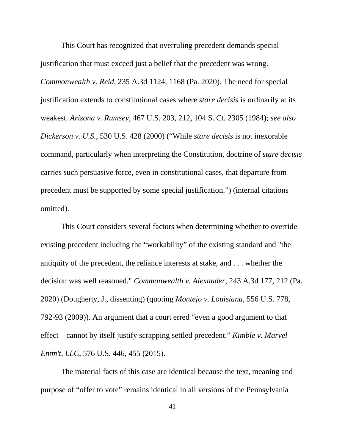This Court has recognized that overruling precedent demands special justification that must exceed just a belief that the precedent was wrong. *Commonwealth v. Reid*, 235 A.3d 1124, 1168 (Pa. 2020). The need for special justification extends to constitutional cases where *stare decisis* is ordinarily at its weakest. *Arizona v. Rumsey*, 467 U.S. 203, 212, 104 S. Ct. 2305 (1984); *see also Dickerson v. U.S.*, 530 U.S. 428 (2000) ("While *stare decisis* is not inexorable command, particularly when interpreting the Constitution, doctrine of *stare decisis* carries such persuasive force, even in constitutional cases, that departure from precedent must be supported by some special justification.") (internal citations omitted).

This Court considers several factors when determining whether to override existing precedent including the "workability" of the existing standard and "the antiquity of the precedent, the reliance interests at stake, and . . . whether the decision was well reasoned." *Commonwealth v. Alexander*, 243 A.3d 177, 212 (Pa. 2020) (Dougherty, J., dissenting) (quoting *Montejo v. Louisiana*, 556 U.S. 778, 792-93 (2009)). An argument that a court erred "even a good argument to that effect – cannot by itself justify scrapping settled precedent." *Kimble v. Marvel Entm't, LLC*, 576 U.S. 446, 455 (2015).

The material facts of this case are identical because the text, meaning and purpose of "offer to vote" remains identical in all versions of the Pennsylvania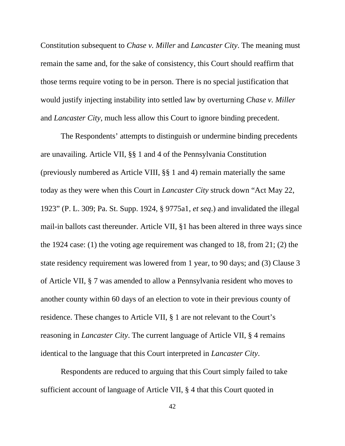Constitution subsequent to *Chase v. Miller* and *Lancaster City*. The meaning must remain the same and, for the sake of consistency, this Court should reaffirm that those terms require voting to be in person. There is no special justification that would justify injecting instability into settled law by overturning *Chase v. Miller* and *Lancaster City*, much less allow this Court to ignore binding precedent.

The Respondents' attempts to distinguish or undermine binding precedents are unavailing. Article VII, §§ 1 and 4 of the Pennsylvania Constitution (previously numbered as Article VIII, §§ 1 and 4) remain materially the same today as they were when this Court in *Lancaster City* struck down "Act May 22, 1923" (P. L. 309; Pa. St. Supp. 1924, § 9775a1, *et seq*.) and invalidated the illegal mail-in ballots cast thereunder. Article VII, §1 has been altered in three ways since the 1924 case: (1) the voting age requirement was changed to 18, from 21; (2) the state residency requirement was lowered from 1 year, to 90 days; and (3) Clause 3 of Article VII, § 7 was amended to allow a Pennsylvania resident who moves to another county within 60 days of an election to vote in their previous county of residence. These changes to Article VII, § 1 are not relevant to the Court's reasoning in *Lancaster City*. The current language of Article VII, § 4 remains identical to the language that this Court interpreted in *Lancaster City*.

Respondents are reduced to arguing that this Court simply failed to take sufficient account of language of Article VII, § 4 that this Court quoted in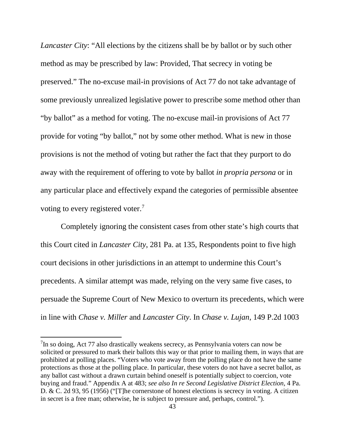*Lancaster City*: "All elections by the citizens shall be by ballot or by such other method as may be prescribed by law: Provided, That secrecy in voting be preserved." The no-excuse mail-in provisions of Act 77 do not take advantage of some previously unrealized legislative power to prescribe some method other than "by ballot" as a method for voting. The no-excuse mail-in provisions of Act 77 provide for voting "by ballot," not by some other method. What is new in those provisions is not the method of voting but rather the fact that they purport to do away with the requirement of offering to vote by ballot *in propria persona* or in any particular place and effectively expand the categories of permissible absentee voting to every registered voter.<sup>[7](#page-51-0)</sup>

Completely ignoring the consistent cases from other state's high courts that this Court cited in *Lancaster City*, 281 Pa. at 135, Respondents point to five high court decisions in other jurisdictions in an attempt to undermine this Court's precedents. A similar attempt was made, relying on the very same five cases, to persuade the Supreme Court of New Mexico to overturn its precedents, which were in line with *Chase v. Miller* and *Lancaster City*. In *Chase v. Lujan*, 149 P.2d 1003

<span id="page-51-0"></span> $7$ In so doing, Act 77 also drastically weakens secrecy, as Pennsylvania voters can now be solicited or pressured to mark their ballots this way or that prior to mailing them, in ways that are prohibited at polling places. "Voters who vote away from the polling place do not have the same protections as those at the polling place. In particular, these voters do not have a secret ballot, as any ballot cast without a drawn curtain behind oneself is potentially subject to coercion, vote buying and fraud." Appendix A at 483; *see also In re Second Legislative District Election*, 4 Pa. D. & C. 2d 93, 95 (1956) ("[T]he cornerstone of honest elections is secrecy in voting. A citizen in secret is a free man; otherwise, he is subject to pressure and, perhaps, control.").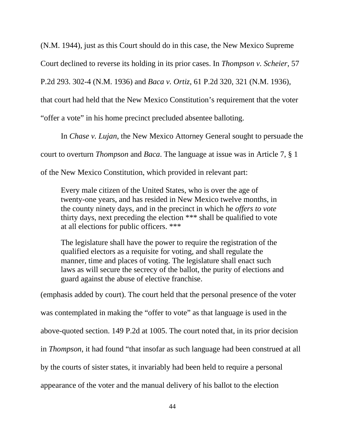(N.M. 1944), just as this Court should do in this case, the New Mexico Supreme

Court declined to reverse its holding in its prior cases. In *Thompson v. Scheier*, 57

P.2d 293. 302-4 (N.M. 1936) and *Baca v. Ortiz*, 61 P.2d 320, 321 (N.M. 1936),

that court had held that the New Mexico Constitution's requirement that the voter

"offer a vote" in his home precinct precluded absentee balloting.

In *Chase v. Lujan*, the New Mexico Attorney General sought to persuade the

court to overturn *Thompson* and *Baca*. The language at issue was in Article 7, § 1

of the New Mexico Constitution, which provided in relevant part:

Every male citizen of the United States, who is over the age of twenty-one years, and has resided in New Mexico twelve months, in the county ninety days, and in the precinct in which he *offers to vote* thirty days, next preceding the election \*\*\* shall be qualified to vote at all elections for public officers. \*\*\*

The legislature shall have the power to require the registration of the qualified electors as a requisite for voting, and shall regulate the manner, time and places of voting. The legislature shall enact such laws as will secure the secrecy of the ballot, the purity of elections and guard against the abuse of elective franchise.

(emphasis added by court). The court held that the personal presence of the voter was contemplated in making the "offer to vote" as that language is used in the above-quoted section. 149 P.2d at 1005. The court noted that, in its prior decision in *Thompson*, it had found "that insofar as such language had been construed at all by the courts of sister states, it invariably had been held to require a personal appearance of the voter and the manual delivery of his ballot to the election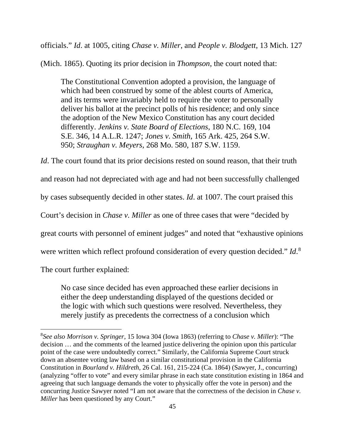officials." *Id*. at 1005, citing *Chase v. Miller*, and *People v. Blodgett*, 13 Mich. 127

(Mich. 1865). Quoting its prior decision in *Thompson*, the court noted that:

The Constitutional Convention adopted a provision, the language of which had been construed by some of the ablest courts of America, and its terms were invariably held to require the voter to personally deliver his ballot at the precinct polls of his residence; and only since the adoption of the New Mexico Constitution has any court decided differently. *Jenkins v. State Board of Elections*, 180 N.C. 169, 104 S.E. 346, 14 A.L.R. 1247; *Jones v. Smith*, 165 Ark. 425, 264 S.W. 950; *Straughan v. Meyers*, 268 Mo. 580, 187 S.W. 1159.

*Id*. The court found that its prior decisions rested on sound reason, that their truth and reason had not depreciated with age and had not been successfully challenged by cases subsequently decided in other states. *Id*. at 1007. The court praised this Court's decision in *Chase v. Miller* as one of three cases that were "decided by great courts with personnel of eminent judges" and noted that "exhaustive opinions were written which reflect profound consideration of every question decided." *Id*. [8](#page-53-0) The court further explained:

No case since decided has even approached these earlier decisions in either the deep understanding displayed of the questions decided or the logic with which such questions were resolved. Nevertheless, they merely justify as precedents the correctness of a conclusion which

<span id="page-53-0"></span><sup>8</sup> *See also Morrison v. Springer*, 15 Iowa 304 (Iowa 1863) (referring to *Chase v. Miller*): "The decision … and the comments of the learned justice delivering the opinion upon this particular point of the case were undoubtedly correct." Similarly, the California Supreme Court struck down an absentee voting law based on a similar constitutional provision in the California Constitution in *Bourland v. Hildreth*, 26 Cal. 161, 215-224 (Ca. 1864) (Sawyer, J., concurring) (analyzing "offer to vote" and every similar phrase in each state constitution existing in 1864 and agreeing that such language demands the voter to physically offer the vote in person) and the concurring Justice Sawyer noted "I am not aware that the correctness of the decision in *Chase v. Miller* has been questioned by any Court."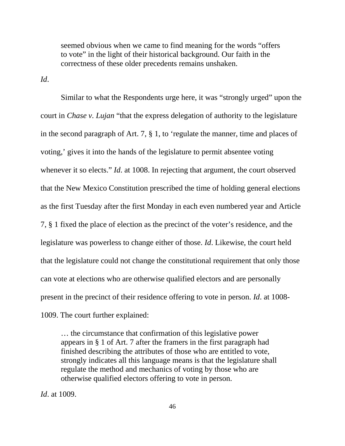seemed obvious when we came to find meaning for the words "offers to vote" in the light of their historical background. Our faith in the correctness of these older precedents remains unshaken.

*Id*.

Similar to what the Respondents urge here, it was "strongly urged" upon the court in *Chase v. Lujan* "that the express delegation of authority to the legislature in the second paragraph of Art. 7, § 1, to 'regulate the manner, time and places of voting,' gives it into the hands of the legislature to permit absentee voting whenever it so elects." *Id*. at 1008. In rejecting that argument, the court observed that the New Mexico Constitution prescribed the time of holding general elections as the first Tuesday after the first Monday in each even numbered year and Article 7, § 1 fixed the place of election as the precinct of the voter's residence, and the legislature was powerless to change either of those. *Id*. Likewise, the court held that the legislature could not change the constitutional requirement that only those can vote at elections who are otherwise qualified electors and are personally present in the precinct of their residence offering to vote in person. *Id*. at 1008- 1009. The court further explained:

… the circumstance that confirmation of this legislative power appears in § 1 of Art. 7 after the framers in the first paragraph had finished describing the attributes of those who are entitled to vote, strongly indicates all this language means is that the legislature shall regulate the method and mechanics of voting by those who are otherwise qualified electors offering to vote in person.

*Id*. at 1009.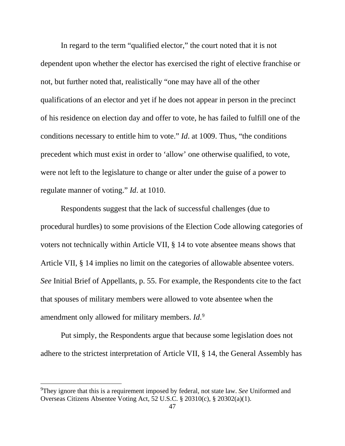In regard to the term "qualified elector," the court noted that it is not dependent upon whether the elector has exercised the right of elective franchise or not, but further noted that, realistically "one may have all of the other qualifications of an elector and yet if he does not appear in person in the precinct of his residence on election day and offer to vote, he has failed to fulfill one of the conditions necessary to entitle him to vote." *Id*. at 1009. Thus, "the conditions precedent which must exist in order to 'allow' one otherwise qualified, to vote, were not left to the legislature to change or alter under the guise of a power to regulate manner of voting." *Id*. at 1010.

Respondents suggest that the lack of successful challenges (due to procedural hurdles) to some provisions of the Election Code allowing categories of voters not technically within Article VII, § 14 to vote absentee means shows that Article VII, § 14 implies no limit on the categories of allowable absentee voters. *See* Initial Brief of Appellants, p. 55. For example, the Respondents cite to the fact that spouses of military members were allowed to vote absentee when the amendment only allowed for military members. *Id*. [9](#page-55-0)

Put simply, the Respondents argue that because some legislation does not adhere to the strictest interpretation of Article VII, § 14, the General Assembly has

<span id="page-55-0"></span><sup>9</sup> They ignore that this is a requirement imposed by federal, not state law. *See* Uniformed and Overseas Citizens Absentee Voting Act, 52 U.S.C. § 20310(c), § 20302(a)(1).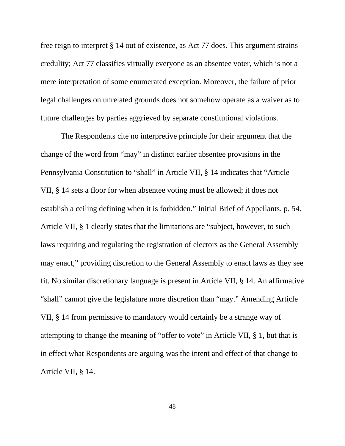free reign to interpret § 14 out of existence, as Act 77 does. This argument strains credulity; Act 77 classifies virtually everyone as an absentee voter, which is not a mere interpretation of some enumerated exception. Moreover, the failure of prior legal challenges on unrelated grounds does not somehow operate as a waiver as to future challenges by parties aggrieved by separate constitutional violations.

The Respondents cite no interpretive principle for their argument that the change of the word from "may" in distinct earlier absentee provisions in the Pennsylvania Constitution to "shall" in Article VII, § 14 indicates that "Article VII, § 14 sets a floor for when absentee voting must be allowed; it does not establish a ceiling defining when it is forbidden." Initial Brief of Appellants, p. 54. Article VII, § 1 clearly states that the limitations are "subject, however, to such laws requiring and regulating the registration of electors as the General Assembly may enact," providing discretion to the General Assembly to enact laws as they see fit. No similar discretionary language is present in Article VII, § 14. An affirmative "shall" cannot give the legislature more discretion than "may." Amending Article VII, § 14 from permissive to mandatory would certainly be a strange way of attempting to change the meaning of "offer to vote" in Article VII, § 1, but that is in effect what Respondents are arguing was the intent and effect of that change to Article VII, § 14.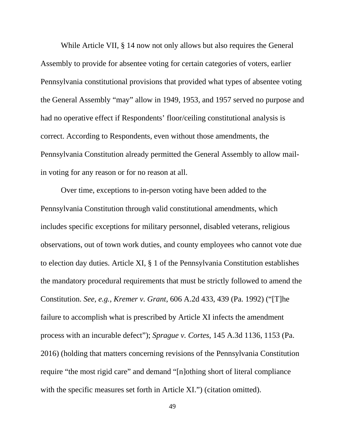While Article VII, § 14 now not only allows but also requires the General Assembly to provide for absentee voting for certain categories of voters, earlier Pennsylvania constitutional provisions that provided what types of absentee voting the General Assembly "may" allow in 1949, 1953, and 1957 served no purpose and had no operative effect if Respondents' floor/ceiling constitutional analysis is correct. According to Respondents, even without those amendments, the Pennsylvania Constitution already permitted the General Assembly to allow mailin voting for any reason or for no reason at all.

Over time, exceptions to in-person voting have been added to the Pennsylvania Constitution through valid constitutional amendments, which includes specific exceptions for military personnel, disabled veterans, religious observations, out of town work duties, and county employees who cannot vote due to election day duties. Article XI, § 1 of the Pennsylvania Constitution establishes the mandatory procedural requirements that must be strictly followed to amend the Constitution. *See, e.g., Kremer v. Grant*, 606 A.2d 433, 439 (Pa. 1992) ("[T]he failure to accomplish what is prescribed by Article XI infects the amendment process with an incurable defect"); *Sprague v. Cortes*, 145 A.3d 1136, 1153 (Pa. 2016) (holding that matters concerning revisions of the Pennsylvania Constitution require "the most rigid care" and demand "[n]othing short of literal compliance with the specific measures set forth in Article XI.") (citation omitted).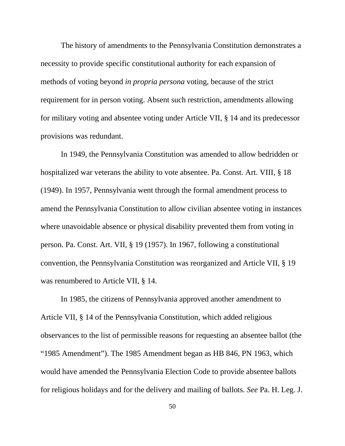The history of amendments to the Pennsylvania Constitution demonstrates a necessity to provide specific constitutional authority for each expansion of methods of voting beyond *in propria persona* voting, because of the strict requirement for in person voting. Absent such restriction, amendments allowing for military voting and absentee voting under Article VII, § 14 and its predecessor provisions was redundant.

In 1949, the Pennsylvania Constitution was amended to allow bedridden or hospitalized war veterans the ability to vote absentee. Pa. Const. Art. VIII, § 18 (1949). In 1957, Pennsylvania went through the formal amendment process to amend the Pennsylvania Constitution to allow civilian absentee voting in instances where unavoidable absence or physical disability prevented them from voting in person. Pa. Const. Art. VII, § 19 (1957). In 1967, following a constitutional convention, the Pennsylvania Constitution was reorganized and Article VII, § 19 was renumbered to Article VII, § 14.

In 1985, the citizens of Pennsylvania approved another amendment to Article VII, § 14 of the Pennsylvania Constitution, which added religious observances to the list of permissible reasons for requesting an absentee ballot (the "1985 Amendment"). The 1985 Amendment began as HB 846, PN 1963, which would have amended the Pennsylvania Election Code to provide absentee ballots for religious holidays and for the delivery and mailing of ballots. *See* Pa. H. Leg. J.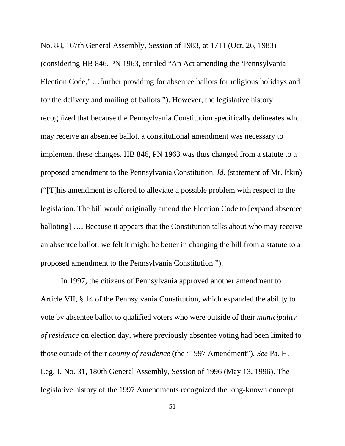No. 88, 167th General Assembly, Session of 1983, at 1711 (Oct. 26, 1983) (considering HB 846, PN 1963, entitled "An Act amending the 'Pennsylvania Election Code,' …further providing for absentee ballots for religious holidays and for the delivery and mailing of ballots."). However, the legislative history recognized that because the Pennsylvania Constitution specifically delineates who may receive an absentee ballot, a constitutional amendment was necessary to implement these changes. HB 846, PN 1963 was thus changed from a statute to a proposed amendment to the Pennsylvania Constitution. *Id.* (statement of Mr. Itkin) ("[T]his amendment is offered to alleviate a possible problem with respect to the legislation. The bill would originally amend the Election Code to [expand absentee balloting] …. Because it appears that the Constitution talks about who may receive an absentee ballot, we felt it might be better in changing the bill from a statute to a proposed amendment to the Pennsylvania Constitution.").

In 1997, the citizens of Pennsylvania approved another amendment to Article VII, § 14 of the Pennsylvania Constitution, which expanded the ability to vote by absentee ballot to qualified voters who were outside of their *municipality of residence* on election day, where previously absentee voting had been limited to those outside of their *county of residence* (the "1997 Amendment"). *See* Pa. H. Leg. J. No. 31, 180th General Assembly, Session of 1996 (May 13, 1996). The legislative history of the 1997 Amendments recognized the long-known concept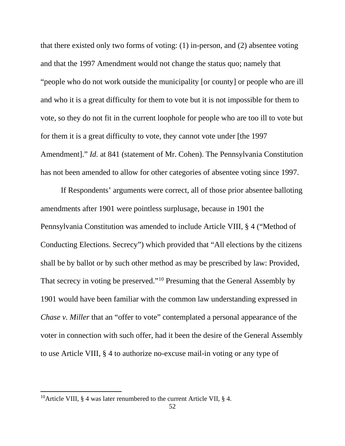that there existed only two forms of voting: (1) in-person, and (2) absentee voting and that the 1997 Amendment would not change the status quo; namely that "people who do not work outside the municipality [or county] or people who are ill and who it is a great difficulty for them to vote but it is not impossible for them to vote, so they do not fit in the current loophole for people who are too ill to vote but for them it is a great difficulty to vote, they cannot vote under [the 1997 Amendment]." *Id.* at 841 (statement of Mr. Cohen). The Pennsylvania Constitution has not been amended to allow for other categories of absentee voting since 1997.

If Respondents' arguments were correct, all of those prior absentee balloting amendments after 1901 were pointless surplusage, because in 1901 the Pennsylvania Constitution was amended to include Article VIII, § 4 ("Method of Conducting Elections. Secrecy") which provided that "All elections by the citizens shall be by ballot or by such other method as may be prescribed by law: Provided, That secrecy in voting be preserved."[10](#page-60-0) Presuming that the General Assembly by 1901 would have been familiar with the common law understanding expressed in *Chase v. Miller* that an "offer to vote" contemplated a personal appearance of the voter in connection with such offer, had it been the desire of the General Assembly to use Article VIII, § 4 to authorize no-excuse mail-in voting or any type of

<span id="page-60-0"></span><sup>&</sup>lt;sup>10</sup>Article VIII, § 4 was later renumbered to the current Article VII, § 4.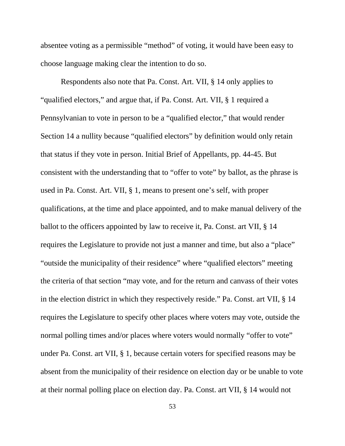absentee voting as a permissible "method" of voting, it would have been easy to choose language making clear the intention to do so.

Respondents also note that Pa. Const. Art. VII, § 14 only applies to "qualified electors," and argue that, if Pa. Const. Art. VII, § 1 required a Pennsylvanian to vote in person to be a "qualified elector," that would render Section 14 a nullity because "qualified electors" by definition would only retain that status if they vote in person. Initial Brief of Appellants, pp. 44-45. But consistent with the understanding that to "offer to vote" by ballot, as the phrase is used in Pa. Const. Art. VII, § 1, means to present one's self, with proper qualifications, at the time and place appointed, and to make manual delivery of the ballot to the officers appointed by law to receive it, Pa. Const. art VII, § 14 requires the Legislature to provide not just a manner and time, but also a "place" "outside the municipality of their residence" where "qualified electors" meeting the criteria of that section "may vote, and for the return and canvass of their votes in the election district in which they respectively reside." Pa. Const. art VII, § 14 requires the Legislature to specify other places where voters may vote, outside the normal polling times and/or places where voters would normally "offer to vote" under Pa. Const. art VII, § 1, because certain voters for specified reasons may be absent from the municipality of their residence on election day or be unable to vote at their normal polling place on election day. Pa. Const. art VII, § 14 would not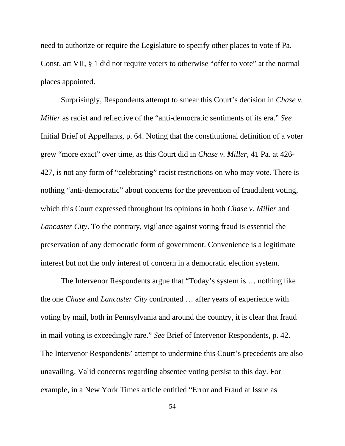need to authorize or require the Legislature to specify other places to vote if Pa. Const. art VII, § 1 did not require voters to otherwise "offer to vote" at the normal places appointed.

Surprisingly, Respondents attempt to smear this Court's decision in *Chase v. Miller* as racist and reflective of the "anti-democratic sentiments of its era." *See* Initial Brief of Appellants, p. 64. Noting that the constitutional definition of a voter grew "more exact" over time, as this Court did in *Chase v. Miller*, 41 Pa. at 426- 427, is not any form of "celebrating" racist restrictions on who may vote. There is nothing "anti-democratic" about concerns for the prevention of fraudulent voting, which this Court expressed throughout its opinions in both *Chase v. Miller* and *Lancaster City*. To the contrary, vigilance against voting fraud is essential the preservation of any democratic form of government. Convenience is a legitimate interest but not the only interest of concern in a democratic election system.

The Intervenor Respondents argue that "Today's system is … nothing like the one *Chase* and *Lancaster City* confronted … after years of experience with voting by mail, both in Pennsylvania and around the country, it is clear that fraud in mail voting is exceedingly rare." *See* Brief of Intervenor Respondents, p. 42. The Intervenor Respondents' attempt to undermine this Court's precedents are also unavailing. Valid concerns regarding absentee voting persist to this day. For example, in a New York Times article entitled "Error and Fraud at Issue as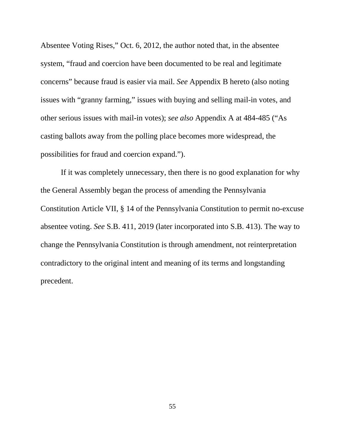Absentee Voting Rises," Oct. 6, 2012, the author noted that, in the absentee system, "fraud and coercion have been documented to be real and legitimate concerns" because fraud is easier via mail. *See* Appendix B hereto (also noting issues with "granny farming," issues with buying and selling mail-in votes, and other serious issues with mail-in votes); *see also* Appendix A at 484-485 ("As casting ballots away from the polling place becomes more widespread, the possibilities for fraud and coercion expand.").

If it was completely unnecessary, then there is no good explanation for why the General Assembly began the process of amending the Pennsylvania Constitution Article VII, § 14 of the Pennsylvania Constitution to permit no-excuse absentee voting. *See* S.B. 411, 2019 (later incorporated into S.B. 413). The way to change the Pennsylvania Constitution is through amendment, not reinterpretation contradictory to the original intent and meaning of its terms and longstanding precedent.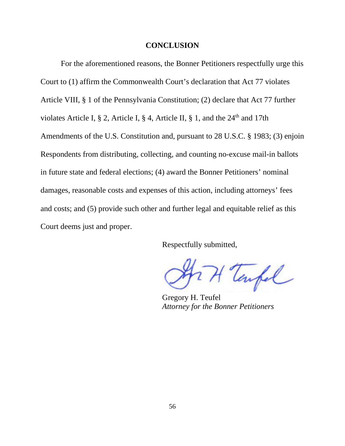### **CONCLUSION**

For the aforementioned reasons, the Bonner Petitioners respectfully urge this Court to (1) affirm the Commonwealth Court's declaration that Act 77 violates Article VIII, § 1 of the Pennsylvania Constitution; (2) declare that Act 77 further violates Article I, § 2, Article I, § 4, Article II, § 1, and the  $24<sup>th</sup>$  and 17th Amendments of the U.S. Constitution and, pursuant to 28 U.S.C. § 1983; (3) enjoin Respondents from distributing, collecting, and counting no-excuse mail-in ballots in future state and federal elections; (4) award the Bonner Petitioners' nominal damages, reasonable costs and expenses of this action, including attorneys' fees and costs; and (5) provide such other and further legal and equitable relief as this Court deems just and proper.

Respectfully submitted,

H Tempel

Gregory H. Teufel *Attorney for the Bonner Petitioners*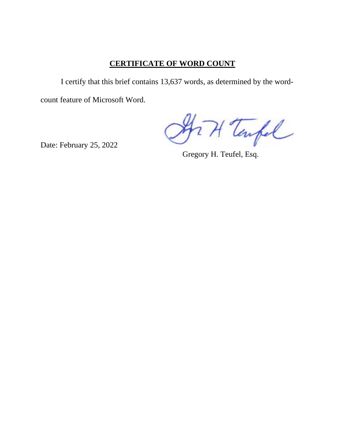# **CERTIFICATE OF WORD COUNT**

I certify that this brief contains 13,637 words, as determined by the wordcount feature of Microsoft Word.

Art Tarpel

Date: February 25, 2022

Gregory H. Teufel, Esq.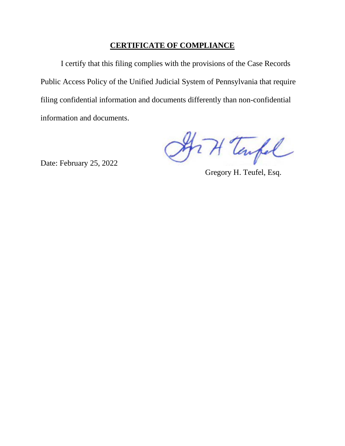### **CERTIFICATE OF COMPLIANCE**

I certify that this filing complies with the provisions of the Case Records Public Access Policy of the Unified Judicial System of Pennsylvania that require filing confidential information and documents differently than non-confidential information and documents.

Art Tarpel

Date: February 25, 2022

Gregory H. Teufel, Esq.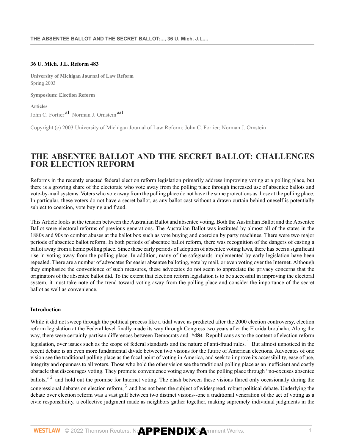#### **36 U. Mich. J.L. Reform 483**

**University of Michigan Journal of Law Reform** Spring 2003

**Symposium: Election Reform**

**Articles** John C. Fortier<sup>[a1](#page-82-0)</sup> Norman J. Ornstein<sup>[aa1](#page-82-1)</sup>

Copyright (c) 2003 University of Michigan Journal of Law Reform; John C. Fortier; Norman J. Ornstein

## **THE ABSENTEE BALLOT AND THE SECRET BALLOT: CHALLENGES FOR ELECTION REFORM**

Reforms in the recently enacted federal election reform legislation primarily address improving voting at a polling place, but there is a growing share of the electorate who vote away from the polling place through increased use of absentee ballots and vote-by-mail systems. Voters who vote away from the polling place do not have the same protections as those at the polling place. In particular, these voters do not have a secret ballot, as any ballot cast without a drawn curtain behind oneself is potentially subject to coercion, vote buying and fraud.

This Article looks at the tension between the Australian Ballot and absentee voting. Both the Australian Ballot and the Absentee Ballot were electoral reforms of previous generations. The Australian Ballot was instituted by almost all of the states in the 1880s and 90s to combat abuses at the ballot box such as vote buying and coercion by party machines. There were two major periods of absentee ballot reform. In both periods of absentee ballot reform, there was recognition of the dangers of casting a ballot away from a home polling place. Since these early periods of adoption of absentee voting laws, there has been a significant rise in voting away from the polling place. In addition, many of the safeguards implemented by early legislation have been repealed. There are a number of advocates for easier absentee balloting, vote by mail, or even voting over the Internet. Although they emphasize the convenience of such measures, these advocates do not seem to appreciate the privacy concerns that the originators of the absentee ballot did. To the extent that election reform legislation is to be successful in improving the electoral system, it must take note of the trend toward voting away from the polling place and consider the importance of the secret ballot as well as convenience.

#### **Introduction**

While it did not sweep through the political process like a tidal wave as predicted after the 2000 election controversy, election reform legislation at the Federal level finally made its way through Congress two years after the Florida brouhaha. Along the way, there were certainly partisan differences between Democrats and **\*484** Republicans as to the content of election reform legislation, over issues such as the scope of federal standards and the nature of anti-fraud rules.<sup>[1](#page-82-2)</sup> But almost unnoticed in the recent debate is an even more fundamental divide between two visions for the future of American elections. Advocates of one vision see the traditional polling place as the focal point of voting in America, and seek to improve its accessibility, ease of use, integrity and openness to all voters. Those who hold the other vision see the traditional polling place as an inefficient and costly obstacle that discourages voting. They promote convenience voting away from the polling place through "no-excuses absentee ballots,"<sup>[2](#page-82-3)</sup> and hold out the promise for Internet voting. The clash between these visions flared only occasionally during the congressional debates on election reform,  $3$  and has not been the subject of widespread, robust political debate. Underlying the debate over election reform was a vast gulf between two distinct visions--one a traditional veneration of the act of voting as a civic responsibility, a collective judgment made as neighbors gather together, making supremely individual judgments in the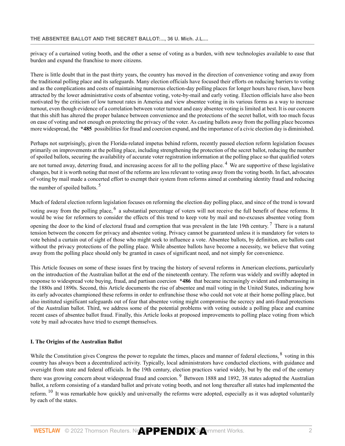privacy of a curtained voting booth, and the other a sense of voting as a burden, with new technologies available to ease that burden and expand the franchise to more citizens.

There is little doubt that in the past thirty years, the country has moved in the direction of convenience voting and away from the traditional polling place and its safeguards. Many election officials have focused their efforts on reducing barriers to voting and as the complications and costs of maintaining numerous election-day polling places for longer hours have risen, have been attracted by the lower administrative costs of absentee voting, vote-by-mail and early voting. Election officials have also been motivated by the criticism of low turnout rates in America and view absentee voting in its various forms as a way to increase turnout, even though evidence of a correlation between voter turnout and easy absentee voting is limited at best. It is our concern that this shift has altered the proper balance between convenience and the protections of the secret ballot, with too much focus on ease of voting and not enough on protecting the privacy of the voter. As casting ballots away from the polling place becomes more widespread, the **\*485** possibilities for fraud and coercion expand, and the importance of a civic election day is diminished.

Perhaps not surprisingly, given the Florida-related impetus behind reform, recently passed election reform legislation focuses primarily on improvements at the polling place, including strengthening the protection of the secret ballot, reducing the number of spoiled ballots, securing the availability of accurate voter registration information at the polling place so that qualified voters are not turned away, deterring fraud, and increasing access for all to the polling place.<sup>[4](#page-82-5)</sup> We are supportive of these legislative changes, but it is worth noting that most of the reforms are less relevant to voting away from the voting booth. In fact, advocates of voting by mail made a concerted effort to exempt their system from reforms aimed at combating identity fraud and reducing the number of spoiled ballots. [5](#page-82-6)

Much of federal election reform legislation focuses on reforming the election day polling place, and since of the trend is toward voting away from the polling place, <sup>[6](#page-82-7)</sup> a substantial percentage of voters will not receive the full benefit of these reforms. It would be wise for reformers to consider the effects of this trend to keep vote by mail and no-excuses absentee voting from opening the door to the kind of electoral fraud and corruption that was prevalent in the late 19th century.<sup>[7](#page-82-8)</sup> There is a natural tension between the concern for privacy and absentee voting. Privacy cannot be guaranteed unless it is mandatory for voters to vote behind a curtain out of sight of those who might seek to influence a vote. Absentee ballots, by definition, are ballots cast without the privacy protections of the polling place. While absentee ballots have become a necessity, we believe that voting away from the polling place should only be granted in cases of significant need, and not simply for convenience.

This Article focuses on some of these issues first by tracing the history of several reforms in American elections, particularly on the introduction of the Australian ballot at the end of the nineteenth century. The reform was widely and swiftly adopted in response to widespread vote buying, fraud, and partisan coercion **\*486** that became increasingly evident and embarrassing in the 1880s and 1890s. Second, this Article documents the rise of absentee and mail voting in the United States, indicating how its early advocates championed these reforms in order to enfranchise those who could not vote at their home polling place, but also instituted significant safeguards out of fear that absentee voting might compromise the secrecy and anti-fraud protections of the Australian ballot. Third, we address some of the potential problems with voting outside a polling place and examine recent cases of absentee ballot fraud. Finally, this Article looks at proposed improvements to polling place voting from which vote by mail advocates have tried to exempt themselves.

#### **I. The Origins of the Australian Ballot**

While the Constitution gives Congress the power to regulate the times, places and manner of federal elections,  $^8$  $^8$  voting in this country has always been a decentralized activity. Typically, local administrators have conducted elections, with guidance and oversight from state and federal officials. In the 19th century, election practices varied widely, but by the end of the century there was growing concern about widespread fraud and coercion. <sup>[9](#page-82-10)</sup> Between 1888 and 1892, 38 states adopted the Australian ballot, a reform consisting of a standard ballot and private voting booth, and not long thereafter all states had implemented the reform.  $10$  It was remarkable how quickly and universally the reforms were adopted, especially as it was adopted voluntarily by each of the states.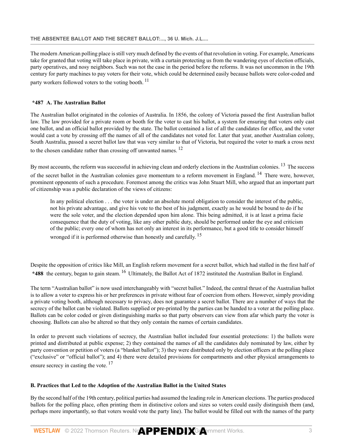#### **THE ABSENTEE BALLOT AND THE SECRET BALLOT:..., 36 U. Mich. J.L....**

The modern American polling place is still very much defined by the events of that revolution in voting. For example, Americans take for granted that voting will take place in private, with a curtain protecting us from the wandering eyes of election officials, party operatives, and nosy neighbors. Such was not the case in the period before the reforms. It was not uncommon in the 19th century for party machines to pay voters for their vote, which could be determined easily because ballots were color-coded and party workers followed voters to the voting booth.<sup>[11](#page-82-12)</sup>

#### **\*487 A. The Australian Ballot**

The Australian ballot originated in the colonies of Australia. In 1856, the colony of Victoria passed the first Australian ballot law. The law provided for a private room or booth for the voter to cast his ballot, a system for ensuring that voters only cast one ballot, and an official ballot provided by the state. The ballot contained a list of all the candidates for office, and the voter would cast a vote by crossing off the names of all of the candidates not voted for. Later that year, another Australian colony, South Australia, passed a secret ballot law that was very similar to that of Victoria, but required the voter to mark a cross next to the chosen candidate rather than crossing off unwanted names.<sup>[12](#page-82-13)</sup>

By most accounts, the reform was successful in achieving clean and orderly elections in the Australian colonies. <sup>[13](#page-82-14)</sup> The success of the secret ballot in the Australian colonies gave momentum to a reform movement in England. <sup>[14](#page-83-0)</sup> There were, however, prominent opponents of such a procedure. Foremost among the critics was John Stuart Mill, who argued that an important part of citizenship was a public declaration of the views of citizens:

In any political election . . . the voter is under an absolute moral obligation to consider the interest of the public, not his private advantage, and give his vote to the best of his judgment, exactly as he would be bound to do if he were the sole voter, and the election depended upon him alone. This being admitted, it is at least a prima facie consequence that the duty of voting, like any other public duty, should be performed under the eye and criticism of the public; every one of whom has not only an interest in its performance, but a good title to consider himself wronged if it is performed otherwise than honestly and carefully.<sup>[15](#page-83-1)</sup>

Despite the opposition of critics like Mill, an English reform movement for a secret ballot, which had stalled in the first half of **\*488** the century, began to gain steam. [16](#page-83-2) Ultimately, the Ballot Act of 1872 instituted the Australian Ballot in England.

The term "Australian ballot" is now used interchangeably with "secret ballot." Indeed, the central thrust of the Australian ballot is to allow a voter to express his or her preferences in private without fear of coercion from others. However, simply providing a private voting booth, although necessary to privacy, does not guarantee a secret ballot. There are a number of ways that the secrecy of the ballot can be violated. Ballots supplied or pre-printed by the parties can be handed to a voter at the polling place. Ballots can be color coded or given distinguishing marks so that party observers can view from afar which party the voter is choosing. Ballots can also be altered so that they only contain the names of certain candidates.

In order to prevent such violations of secrecy, the Australian ballot included four essential protections: 1) the ballots were printed and distributed at public expense; 2) they contained the names of all the candidates duly nominated by law, either by party convention or petition of voters (a "blanket ballot"); 3) they were distributed only by election officers at the polling place ("exclusive" or "official ballot"); and 4) there were detailed provisions for compartments and other physical arrangements to ensure secrecy in casting the vote.<sup>[17](#page-83-3)</sup>

#### **B. Practices that Led to the Adoption of the Australian Ballot in the United States**

By the second half of the 19th century, political parties had assumed the leading role in American elections. The parties produced ballots for the polling place, often printing them in distinctive colors and sizes so voters could easily distinguish them (and, perhaps more importantly, so that voters would vote the party line). The ballot would be filled out with the names of the party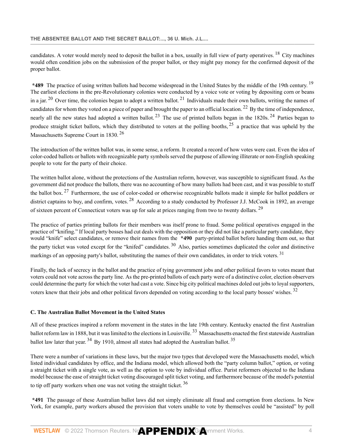candidates. A voter would merely need to deposit the ballot in a box, usually in full view of party operatives.  $^{18}$  $^{18}$  $^{18}$  City machines would often condition jobs on the submission of the proper ballot, or they might pay money for the confirmed deposit of the proper ballot.

**\*489** The practice of using written ballots had become widespread in the United States by the middle of the 19th century. [19](#page-83-5) The earliest elections in the pre-Revolutionary colonies were conducted by a voice vote or voting by depositing corn or beans in a jar.  $20$  Over time, the colonies began to adopt a written ballot.  $21$  Individuals made their own ballots, writing the names of candidates for whom they voted on a piece of paper and brought the paper to an official location. <sup>[22](#page-83-8)</sup> By the time of independence, nearly all the new states had adopted a written ballot.<sup>[23](#page-83-9)</sup> The use of printed ballots began in the 1820s.<sup>[24](#page-83-10)</sup> Parties began to produce straight ticket ballots, which they distributed to voters at the polling booths,  $25$  a practice that was upheld by the Massachusetts Supreme Court in 1830. [26](#page-83-12)

The introduction of the written ballot was, in some sense, a reform. It created a record of how votes were cast. Even the idea of color-coded ballots or ballots with recognizable party symbols served the purpose of allowing illiterate or non-English speaking people to vote for the party of their choice.

The written ballot alone, without the protections of the Australian reform, however, was susceptible to significant fraud. As the government did not produce the ballots, there was no accounting of how many ballots had been cast, and it was possible to stuff the ballot box.<sup>[27](#page-83-13)</sup> Furthermore, the use of color-coded or otherwise recognizable ballots made it simple for ballot peddlers or district captains to buy, and confirm, votes. <sup>[28](#page-83-14)</sup> According to a study conducted by Professor J.J. McCook in 1892, an average of sixteen percent of Connecticut voters was up for sale at prices ranging from two to twenty dollars. <sup>[29](#page-83-15)</sup>

The practice of parties printing ballots for their members was itself prone to fraud. Some political operatives engaged in the practice of "knifing." If local party bosses had cut deals with the opposition or they did not like a particular party candidate, they would "knife" select candidates, or remove their names from the **\*490** party-printed ballot before handing them out, so that the party ticket was voted except for the "knifed" candidates.  $30$  Also, parties sometimes duplicated the color and distinctive markings of an opposing party's ballot, substituting the names of their own candidates, in order to trick voters.<sup>[31](#page-83-17)</sup>

Finally, the lack of secrecy in the ballot and the practice of tying government jobs and other political favors to votes meant that voters could not vote across the party line. As the pre-printed ballots of each party were of a distinctive color, election observers could determine the party for which the voter had cast a vote. Since big city political machines doled out jobs to loyal supporters, voters knew that their jobs and other political favors depended on voting according to the local party bosses' wishes. [32](#page-83-18)

#### **C. The Australian Ballot Movement in the United States**

All of these practices inspired a reform movement in the states in the late 19th century. Kentucky enacted the first Australian ballot reform law in 1888, but it was limited to the elections in Louisville.<sup>[33](#page-83-19)</sup> Massachusetts enacted the first statewide Australian ballot law later that year.  $34$  By 1910, almost all states had adopted the Australian ballot.  $35$ 

There were a number of variations in these laws, but the major two types that developed were the Massachusetts model, which listed individual candidates by office, and the Indiana model, which allowed both the "party column ballot," option, or voting a straight ticket with a single vote, as well as the option to vote by individual office. Purist reformers objected to the Indiana model because the ease of straight ticket voting discouraged split ticket voting, and furthermore because of the model's potential to tip off party workers when one was not voting the straight ticket.  $36$ 

**\*491** The passage of these Australian ballot laws did not simply eliminate all fraud and corruption from elections. In New York, for example, party workers abused the provision that voters unable to vote by themselves could be "assisted" by poll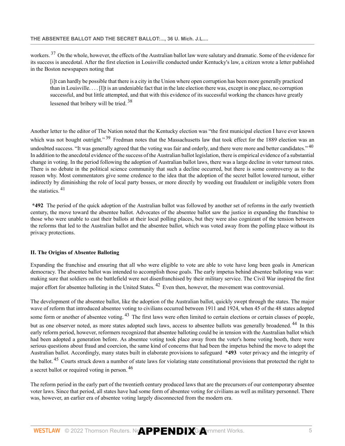workers. <sup>[37](#page-83-23)</sup> On the whole, however, the effects of the Australian ballot law were salutary and dramatic. Some of the evidence for its success is anecdotal. After the first election in Louisville conducted under Kentucky's law, a citizen wrote a letter published in the Boston newspapers noting that

[i]t can hardly be possible that there is a city in the Union where open corruption has been more generally practiced than in Louisville. . . . [I]t is an undeniable fact that in the late election there was, except in one place, no corruption successful, and but little attempted, and that with this evidence of its successful working the chances have greatly lessened that bribery will be tried. [38](#page-83-24)

Another letter to the editor of The Nation noted that the Kentucky election was "the first municipal election I have ever known which was not bought outright."<sup>[39](#page-83-25)</sup> Fredman notes that the Massachusetts law that took effect for the 1889 election was an undoubted success. "It was generally agreed that the voting was fair and orderly, and there were more and better candidates." <sup>[40](#page-84-0)</sup> In addition to the anecdotal evidence of the success of the Australian ballot legislation, there is empirical evidence of a substantial change in voting. In the period following the adoption of Australian ballot laws, there was a large decline in voter turnout rates. There is no debate in the political science community that such a decline occurred, but there is some controversy as to the reason why. Most commentators give some credence to the idea that the adoption of the secret ballot lowered turnout, either indirectly by diminishing the role of local party bosses, or more directly by weeding out fraudulent or ineligible voters from the statistics. [41](#page-84-1)

**\*492** The period of the quick adoption of the Australian ballot was followed by another set of reforms in the early twentieth century, the move toward the absentee ballot. Advocates of the absentee ballot saw the justice in expanding the franchise to those who were unable to cast their ballots at their local polling places, but they were also cognizant of the tension between the reforms that led to the Australian ballot and the absentee ballot, which was voted away from the polling place without its privacy protections.

#### **II. The Origins of Absentee Balloting**

Expanding the franchise and ensuring that all who were eligible to vote are able to vote have long been goals in American democracy. The absentee ballot was intended to accomplish those goals. The early impetus behind absentee balloting was war: making sure that soldiers on the battlefield were not disenfranchised by their military service. The Civil War inspired the first major effort for absentee balloting in the United States.  $42$  Even then, however, the movement was controversial.

The development of the absentee ballot, like the adoption of the Australian ballot, quickly swept through the states. The major wave of reform that introduced absentee voting to civilians occurred between 1911 and 1924, when 45 of the 48 states adopted some form or another of absentee voting. <sup>[43](#page-84-3)</sup> The first laws were often limited to certain elections or certain classes of people, but as one observer noted, as more states adopted such laws, access to absentee ballots was generally broadened.<sup>[44](#page-84-4)</sup> In this early reform period, however, reformers recognized that absentee balloting could be in tension with the Australian ballot which had been adopted a generation before. As absentee voting took place away from the voter's home voting booth, there were serious questions about fraud and coercion, the same kind of concerns that had been the impetus behind the move to adopt the Australian ballot. Accordingly, many states built in elaborate provisions to safeguard **\*493** voter privacy and the integrity of the ballot.<sup>[45](#page-84-5)</sup> Courts struck down a number of state laws for violating state constitutional provisions that protected the right to a secret ballot or required voting in person. [46](#page-84-6)

The reform period in the early part of the twentieth century produced laws that are the precursors of our contemporary absentee voter laws. Since that period, all states have had some form of absentee voting for civilians as well as military personnel. There was, however, an earlier era of absentee voting largely disconnected from the modern era.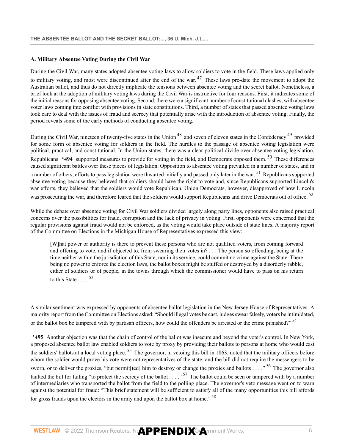# **A. Military Absentee Voting During the Civil War**

<span id="page-72-0"></span>During the Civil War, many states adopted absentee voting laws to allow soldiers to vote in the field. These laws applied only to military voting, and most were discontinued after the end of the war.  $47$  These laws pre-date the movement to adopt the Australian ballot, and thus do not directly implicate the tensions between absentee voting and the secret ballot. Nonetheless, a brief look at the adoption of military voting laws during the Civil War is instructive for four reasons. First, it indicates some of the initial reasons for opposing absentee voting. Second, there were a significant number of constitutional clashes, with absentee voter laws coming into conflict with provisions in state constitutions. Third, a number of states that passed absentee voting laws took care to deal with the issues of fraud and secrecy that potentially arise with the introduction of absentee voting. Finally, the period reveals some of the early methods of conducting absentee voting.

<span id="page-72-2"></span><span id="page-72-1"></span>During the Civil War, nineteen of twenty-five states in the Union <sup>[48](#page-84-1)</sup> and seven of eleven states in the Confederacy <sup>[49](#page-84-2)</sup> provided for some form of absentee voting for soldiers in the field. The hurdles to the passage of absentee voting legislation were political, practical, and constitutional. In the Union states, there was a clear political divide over absentee voting legislation. Republicans **\*494** supported measures to provide for voting in the field, and Democrats opposed them. [50](#page-84-3) These differences caused significant battles over these pieces of legislation. Opposition to absentee voting prevailed in a number of states, and in a number of others, efforts to pass legislation were thwarted initially and passed only later in the war.<sup>[51](#page-84-4)</sup> Republicans supported absentee voting because they believed that soldiers should have the right to vote and, since Republicans supported Lincoln's war efforts, they believed that the soldiers would vote Republican. Union Democrats, however, disapproved of how Lincoln was prosecuting the war, and therefore feared that the soldiers would support Republicans and drive Democrats out of office. <sup>[52](#page-84-5)</sup>

While the debate over absentee voting for Civil War soldiers divided largely along party lines, opponents also raised practical concerns over the possibilities for fraud, corruption and the lack of privacy in voting. First, opponents were concerned that the regular provisions against fraud would not be enforced, as the voting would take place outside of state lines. A majority report of the Committee on Elections in the Michigan House of Representatives expressed this view:

<span id="page-72-7"></span><span id="page-72-6"></span><span id="page-72-5"></span><span id="page-72-4"></span><span id="page-72-3"></span>[W]hat power or authority is there to prevent these persons who are not qualified voters, from coming forward and offering to vote, and if objected to, from swearing their votes in? . . . The person so offending, being at the time neither within the jurisdiction of this State, nor in its service, could commit no crime against the State. There being no power to enforce the election laws, the ballot boxes might be stuffed or destroyed by a disorderly rabble, either of soldiers or of people, in the towns through which the commissioner would have to pass on his return to this State . . . . [53](#page-84-6)

A similar sentiment was expressed by opponents of absentee ballot legislation in the New Jersey House of Representatives. A majority report from the Committee on Elections asked: "Should illegal votes be cast, judges swear falsely, voters be intimidated, or the ballot box be tampered with by partisan officers, how could the offenders be arrested or the crime punished?"<sup>[54](#page-84-7)</sup>

<span id="page-72-11"></span><span id="page-72-10"></span><span id="page-72-9"></span><span id="page-72-8"></span>**\*495** Another objection was that the chain of control of the ballot was insecure and beyond the voter's control. In New York, a proposed absentee ballot law enabled soldiers to vote by proxy by providing their ballots to persons at home who would cast the soldiers' ballots at a local voting place. <sup>[55](#page-84-8)</sup> The governor, in vetoing this bill in 1863, noted that the military officers before whom the soldier would prove his vote were not representatives of the state; and the bill did not require the messengers to be sworn, or to deliver the proxies, "but permit[ted] him to destroy or change the proxies and ballots . . . ."<sup>[56](#page-84-9)</sup> The governor also faulted the bill for failing "to protect the secrecy of the ballot  $\ldots$  ."<sup>[57](#page-84-10)</sup> The ballot could be seen or tampered with by a number of intermediaries who transported the ballot from the field to the polling place. The governor's veto message went on to warn against the potential for fraud: "This brief statement will be sufficient to satisfy all of the many opportunities this bill affords for gross frauds upon the electors in the army and upon the ballot box at home." [58](#page-84-11)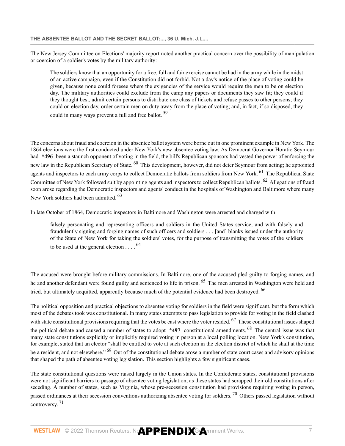The New Jersey Committee on Elections' majority report noted another practical concern over the possibility of manipulation or coercion of a soldier's votes by the military authority:

<span id="page-73-0"></span>The soldiers know that an opportunity for a free, full and fair exercise cannot be had in the army while in the midst of an active campaign, even if the Constitution did not forbid. Not a day's notice of the place of voting could be given, because none could foresee where the exigencies of the service would require the men to be on election day. The military authorities could exclude from the camp any papers or documents they saw fit; they could if they thought best, admit certain persons to distribute one class of tickets and refuse passes to other persons; they could on election day, order certain men on duty away from the place of voting; and, in fact, if so disposed, they could in many ways prevent a full and free ballot.<sup>[59](#page-84-12)</sup>

<span id="page-73-1"></span>The concerns about fraud and coercion in the absentee ballot system were borne out in one prominent example in New York. The 1864 elections were the first conducted under New York's new absentee voting law. As Democrat Governor Horatio Seymour had **\*496** been a staunch opponent of voting in the field, the bill's Republican sponsors had vested the power of enforcing the new law in the Republican Secretary of State. <sup>[60](#page-84-13)</sup> This development, however, did not deter Seymour from acting; he appointed agents and inspectors to each army corps to collect Democratic ballots from soldiers from New York. <sup>[61](#page-84-14)</sup> The Republican State Committee of New York followed suit by appointing agents and inspectors to collect Republican ballots. [62](#page-84-15) Allegations of fraud soon arose regarding the Democratic inspectors and agents' conduct in the hospitals of Washington and Baltimore where many New York soldiers had been admitted. <sup>[63](#page-84-16)</sup>

In late October of 1864, Democratic inspectors in Baltimore and Washington were arrested and charged with:

<span id="page-73-7"></span><span id="page-73-6"></span><span id="page-73-5"></span><span id="page-73-4"></span><span id="page-73-3"></span><span id="page-73-2"></span>falsely personating and representing officers and soldiers in the United States service, and with falsely and fraudulently signing and forging names of such officers and soldiers . . . [and] blanks issued under the authority of the State of New York for taking the soldiers' votes, for the purpose of transmitting the votes of the soldiers to be used at the general election  $\ldots$ . <sup>[64](#page-84-17)</sup>

The accused were brought before military commissions. In Baltimore, one of the accused pled guilty to forging names, and he and another defendant were found guilty and sentenced to life in prison. <sup>[65](#page-84-18)</sup> The men arrested in Washington were held and tried, but ultimately acquitted, apparently because much of the potential evidence had been destroyed. <sup>[66](#page-85-0)</sup>

<span id="page-73-9"></span><span id="page-73-8"></span>The political opposition and practical objections to absentee voting for soldiers in the field were significant, but the form which most of the debates took was constitutional. In many states attempts to pass legislation to provide for voting in the field clashed with state constitutional provisions requiring that the votes be cast where the voter resided. <sup>[67](#page-85-1)</sup> These constitutional issues shaped the political debate and caused a number of states to adopt **\*497** constitutional amendments. [68](#page-85-2) The central issue was that many state constitutions explicitly or implicitly required voting in person at a local polling location. New York's constitution, for example, stated that an elector "shall be entitled to vote at such election in the election district of which he shall at the time be a resident, and not elsewhere." <sup>[69](#page-85-3)</sup> Out of the constitutional debate arose a number of state court cases and advisory opinions that shaped the path of absentee voting legislation. This section highlights a few significant cases.

<span id="page-73-10"></span>The state constitutional questions were raised largely in the Union states. In the Confederate states, constitutional provisions were not significant barriers to passage of absentee voting legislation, as these states had scrapped their old constitutions after seceding. A number of states, such as Virginia, whose pre-secession constitution had provisions requiring voting in person,

<span id="page-73-12"></span><span id="page-73-11"></span>passed ordinances at their secession conventions authorizing absentee voting for soldiers.<sup>[70](#page-85-4)</sup> Others passed legislation without controversy. [71](#page-85-5)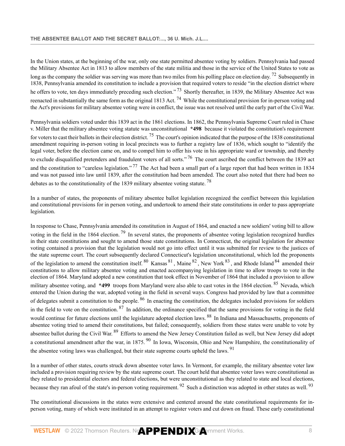<span id="page-74-1"></span><span id="page-74-0"></span>In the Union states, at the beginning of the war, only one state permitted absentee voting by soldiers. Pennsylvania had passed the Military Absentee Act in 1813 to allow members of the state militia and those in the service of the United States to vote as long as the company the soldier was serving was more than two miles from his polling place on election day.<sup>[72](#page-85-6)</sup> Subsequently in 1838, Pennsylvania amended its constitution to include a provision that required voters to reside "in the election district where he offers to vote, ten days immediately preceding such election."<sup>[73](#page-85-7)</sup> Shortly thereafter, in 1839, the Military Absentee Act was reenacted in substantially the same form as the original 1813 Act. <sup>[74](#page-85-8)</sup> While the constitutional provision for in-person voting and the Act's provisions for military absentee voting were in conflict, the issue was not resolved until the early part of the Civil War.

<span id="page-74-4"></span><span id="page-74-3"></span><span id="page-74-2"></span>Pennsylvania soldiers voted under this 1839 act in the 1861 elections. In 1862, the Pennsylvania Supreme Court ruled in Chase v. Miller that the military absentee voting statute was unconstitutional **\*498** because it violated the constitution's requirement for voters to cast their ballots in their election district. <sup>[75](#page-85-9)</sup> The court's opinion indicated that the purpose of the 1838 constitutional amendment requiring in-person voting in local precincts was to further a registry law of 1836, which sought to "identify the legal voter, before the election came on, and to compel him to offer his vote in his appropriate ward or township, and thereby to exclude disqualified pretenders and fraudulent voters of all sorts."<sup>[76](#page-85-10)</sup> The court ascribed the conflict between the 1839 act and the constitution to "careless legislation."<sup>[77](#page-85-11)</sup> The Act had been a small part of a large report that had been written in 1834 and was not passed into law until 1839, after the constitution had been amended. The court also noted that there had been no debates as to the constitutionality of the 1839 military absentee voting statute.<sup>[78](#page-85-12)</sup>

<span id="page-74-6"></span><span id="page-74-5"></span>In a number of states, the proponents of military absentee ballot legislation recognized the conflict between this legislation and constitutional provisions for in person voting, and undertook to amend their state constitutions in order to pass appropriate legislation.

<span id="page-74-13"></span><span id="page-74-12"></span><span id="page-74-11"></span><span id="page-74-10"></span><span id="page-74-9"></span><span id="page-74-8"></span><span id="page-74-7"></span>In response to Chase, Pennsylvania amended its constitution in August of 1864, and enacted a new soldiers' voting bill to allow voting in the field in the 1864 election.<sup>[79](#page-85-13)</sup> In several states, the proponents of absentee voting legislation recognized hurdles in their state constitutions and sought to amend those state constitutions. In Connecticut, the original legislation for absentee voting contained a provision that the legislation would not go into effect until it was submitted for review to the justices of the state supreme court. The court subsequently declared Connecticut's legislation unconstitutional, which led the proponents of the legislation to amend the constitution itself.  $80\text{ Kansas }81\text{, Maine }82\text{, New York }83\text{, and Rhode Island }84\text{ amended their}}$  $80\text{ Kansas }81\text{, Maine }82\text{, New York }83\text{, and Rhode Island }84\text{ amended their}}$  $80\text{ Kansas }81\text{, Maine }82\text{, New York }83\text{, and Rhode Island }84\text{ amended their}}$  $80\text{ Kansas }81\text{, Maine }82\text{, New York }83\text{, and Rhode Island }84\text{ amended their}}$  $80\text{ Kansas }81\text{, Maine }82\text{, New York }83\text{, and Rhode Island }84\text{ amended their}}$  $80\text{ Kansas }81\text{, Maine }82\text{, New York }83\text{, and Rhode Island }84\text{ amended their}}$  $80\text{ Kansas }81\text{, Maine }82\text{, New York }83\text{, and Rhode Island }84\text{ amended their}}$  $80\text{ Kansas }81\text{, Maine }82\text{, New York }83\text{, and Rhode Island }84\text{ amended their}}$  $80\text{ Kansas }81\text{, Maine }82\text{, New York }83\text{, and Rhode Island }84\text{ amended their}}$  $80\text{ Kansas }81\text{, Maine }82\text{, New York }83\text{, and Rhode Island }84\text{ amended their}}$ constitutions to allow military absentee voting and enacted accompanying legislation in time to allow troops to vote in the election of 1864. Maryland adopted a new constitution that took effect in November of 1864 that included a provision to allow military absentee voting, and **\*499** troops from Maryland were also able to cast votes in the 1864 election. <sup>[85](#page-85-19)</sup> Nevada, which entered the Union during the war, adopted voting in the field in several ways. Congress had provided by law that a committee of delegates submit a constitution to the people. [86](#page-85-20) In enacting the constitution, the delegates included provisions for soldiers in the field to vote on the constitution.  $87$  In addition, the ordinance specified that the same provisions for voting in the field would continue for future elections until the legislature adopted election laws. <sup>[88](#page-85-22)</sup> In Indiana and Massachusetts, proponents of absentee voting tried to amend their constitutions, but failed; consequently, soldiers from these states were unable to vote by absentee ballot during the Civil War.<sup>[89](#page-85-23)</sup> Efforts to amend the New Jersey Constitution failed as well, but New Jersey did adopt a constitutional amendment after the war, in 1875. <sup>[90](#page-85-24)</sup> In Iowa, Wisconsin, Ohio and New Hampshire, the constitutionality of the absentee voting laws was challenged, but their state supreme courts upheld the laws. <sup>[91](#page-85-25)</sup>

<span id="page-74-19"></span><span id="page-74-18"></span><span id="page-74-17"></span><span id="page-74-16"></span><span id="page-74-15"></span><span id="page-74-14"></span>In a number of other states, courts struck down absentee voter laws. In Vermont, for example, the military absentee voter law included a provision requiring review by the state supreme court. The court held that absentee voter laws were constitutional as they related to presidential electors and federal elections, but were unconstitutional as they related to state and local elections, because they ran afoul of the state's in-person voting requirement. <sup>[92](#page-86-0)</sup> Such a distinction was adopted in other states as well. <sup>[93](#page-86-1)</sup>

<span id="page-74-21"></span><span id="page-74-20"></span>The constitutional discussions in the states were extensive and centered around the state constitutional requirements for inperson voting, many of which were instituted in an attempt to register voters and cut down on fraud. These early constitutional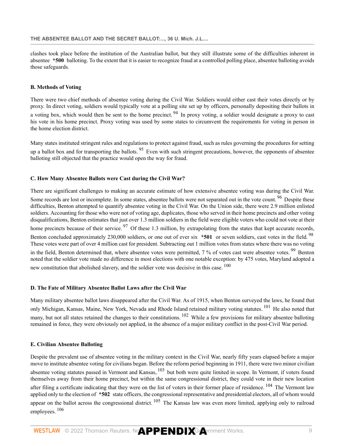clashes took place before the institution of the Australian ballot, but they still illustrate some of the difficulties inherent in absentee **\*500** balloting. To the extent that it is easier to recognize fraud at a controlled polling place, absentee balloting avoids those safeguards.

### **B. Methods of Voting**

<span id="page-75-0"></span>There were two chief methods of absentee voting during the Civil War. Soldiers would either cast their votes directly or by proxy. In direct voting, soldiers would typically vote at a polling site set up by officers, personally depositing their ballots in a voting box, which would then be sent to the home precinct.<sup>[94](#page-86-2)</sup> In proxy voting, a soldier would designate a proxy to cast his vote in his home precinct. Proxy voting was used by some states to circumvent the requirements for voting in person in the home election district.

<span id="page-75-1"></span>Many states instituted stringent rules and regulations to protect against fraud, such as rules governing the procedures for setting up a ballot box and for transporting the ballots.  $95$  Even with such stringent precautions, however, the opponents of absentee balloting still objected that the practice would open the way for fraud.

#### **C. How Many Absentee Ballots were Cast during the Civil War?**

<span id="page-75-4"></span><span id="page-75-3"></span><span id="page-75-2"></span>There are significant challenges to making an accurate estimate of how extensive absentee voting was during the Civil War. Some records are lost or incomplete. In some states, absentee ballots were not separated out in the vote count. <sup>[96](#page-86-4)</sup> Despite these difficulties, Benton attempted to quantify absentee voting in the Civil War. On the Union side, there were 2.9 million enlisted soldiers. Accounting for those who were not of voting age, duplicates, those who served in their home precincts and other voting disqualifications, Benton estimates that just over 1.3 million soldiers in the field were eligible voters who could not vote at their home precincts because of their service.  $97$  Of these 1.3 million, by extrapolating from the states that kept accurate records, Benton concluded approximately 230,000 soldiers, or one out of ever six **\*501** or seven soldiers, cast votes in the field. <sup>[98](#page-86-6)</sup> These votes were part of over 4 million cast for president. Subtracting out 1 million votes from states where there was no voting in the field, Benton determined that, where absentee votes were permitted, 7 % of votes cast were absentee votes. <sup>[99](#page-86-7)</sup> Benton noted that the soldier vote made no difference in most elections with one notable exception: by 475 votes, Maryland adopted a new constitution that abolished slavery, and the soldier vote was decisive in this case. <sup>[100](#page-86-8)</sup>

### <span id="page-75-6"></span><span id="page-75-5"></span>**D. The Fate of Military Absentee Ballot Laws after the Civil War**

<span id="page-75-8"></span><span id="page-75-7"></span>Many military absentee ballot laws disappeared after the Civil War. As of 1915, when Benton surveyed the laws, he found that only Michigan, Kansas, Maine, New York, Nevada and Rhode Island retained military voting statutes.<sup>[101](#page-86-9)</sup> He also noted that many, but not all states retained the changes to their constitutions. <sup>[102](#page-86-10)</sup> While a few provisions for military absentee balloting remained in force, they were obviously not applied, in the absence of a major military conflict in the post-Civil War period.

#### **E. Civilian Absentee Balloting**

<span id="page-75-12"></span><span id="page-75-11"></span><span id="page-75-10"></span><span id="page-75-9"></span>Despite the prevalent use of absentee voting in the military context in the Civil War, nearly fifty years elapsed before a major move to institute absentee voting for civilians began. Before the reform period beginning in 1911, there were two minor civilian absentee voting statutes passed in Vermont and Kansas, <sup>[103](#page-86-11)</sup> but both were quite limited in scope. In Vermont, if voters found themselves away from their home precinct, but within the same congressional district, they could vote in their new location after filing a certificate indicating that they were on the list of voters in their former place of residence. <sup>[104](#page-86-12)</sup> The Vermont law applied only to the election of **\*502** state officers, the congressional representative and presidential electors, all of whom would appear on the ballot across the congressional district.  $^{105}$  $^{105}$  $^{105}$  The Kansas law was even more limited, applying only to railroad employees. [106](#page-86-14)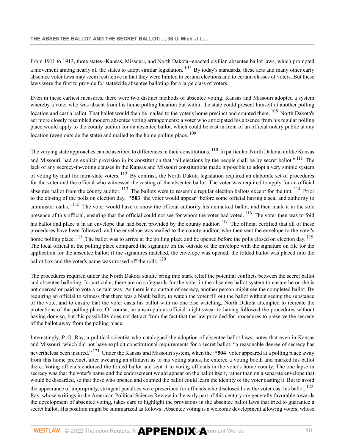<span id="page-76-0"></span>From 1911 to 1913, three states--Kansas, Missouri, and North Dakota--enacted civilian absentee ballot laws, which prompted a movement among nearly all the states to adopt similar legislation. <sup>[107](#page-86-15)</sup> By today's standards, these acts and many other early absentee voter laws may seem restrictive in that they were limited to certain elections and to certain classes of voters. But these laws were the first to provide for statewide absentee balloting for a large class of voters.

<span id="page-76-1"></span>Even in these earliest measures, there were two distinct methods of absentee voting. Kansas and Missouri adopted a system whereby a voter who was absent from his home polling location but within the state could present himself at another polling location and cast a ballot. That ballot would then be mailed to the voter's home precinct and counted there. <sup>[108](#page-86-16)</sup> North Dakota's act more closely resembled modern absentee voting arrangements: a voter who anticipated his absence from his regular polling place would apply to the county auditor for an absentee ballot, which could be cast in front of an official notary public at any location (even outside the state) and mailed to the home polling place.  $109$ 

<span id="page-76-9"></span><span id="page-76-8"></span><span id="page-76-7"></span><span id="page-76-6"></span><span id="page-76-5"></span><span id="page-76-4"></span><span id="page-76-3"></span><span id="page-76-2"></span>The varying state approaches can be ascribed to differences in their constitutions. <sup>[110](#page-86-18)</sup> In particular, North Dakota, unlike Kansas and Missouri, had an explicit provision in its constitution that "all elections by the people shall be by secret ballot."<sup>[111](#page-86-19)</sup> The lack of any secrecy-in-voting clauses in the Kansas and Missouri constitutions made it possible to adopt a very simple system of voting by mail for intra-state voters. <sup>[112](#page-86-20)</sup> By contrast, the North Dakota legislation required an elaborate set of procedures for the voter and the official who witnessed the casting of the absentee ballot. The voter was required to apply for an official absentee ballot from the county auditor. <sup>[113](#page-86-21)</sup> The ballots were to resemble regular election ballots except for the tint. <sup>[114](#page-86-22)</sup> Prior to the closing of the polls on election day, **\*503** the voter would appear "before some official having a seal and authority to administer oaths."<sup>[115](#page-86-23)</sup> The voter would have to show the official authority his unmarked ballot, and then mark it in the sole presence of this official, ensuring that the official could not see for whom the voter had voted. <sup>[116](#page-86-24)</sup> The voter then was to fold his ballot and place it in an envelope that had been provided by the county auditor.  $117$  The official certified that all of these procedures have been followed, and the envelope was mailed to the county auditor, who then sent the envelope to the voter's home polling place. <sup>[118](#page-86-26)</sup> The ballot was to arrive at the polling place and be opened before the polls closed on election day. <sup>[119](#page-86-27)</sup> The local official at the polling place compared the signature on the outside of the envelope with the signature on file for the application for the absentee ballot; if the signatures matched, the envelope was opened, the folded ballot was placed into the ballot box and the voter's name was crossed off the rolls. <sup>[120](#page-87-0)</sup>

<span id="page-76-13"></span><span id="page-76-12"></span><span id="page-76-11"></span><span id="page-76-10"></span>The procedures required under the North Dakota statute bring into stark relief the potential conflicts between the secret ballot and absentee balloting. In particular, there are no safeguards for the voter in the absentee ballot system to ensure he or she is not coerced or paid to vote a certain way. As there is no curtain of secrecy, another person might see the completed ballot. By requiring an official to witness that there was a blank ballot, to watch the voter fill out the ballot without seeing the substance of the vote, and to ensure that the voter casts his ballot with no one else watching, North Dakota attempted to recreate the protections of the polling place. Of course, an unscrupulous official might swear to having followed the procedures without having done so, but this possibility does not detract from the fact that the law provided for procedures to preserve the secrecy of the ballot away from the polling place.

<span id="page-76-14"></span>Interestingly, P. O. Ray, a political scientist who catalogued the adoption of absentee ballot laws, notes that even in Kansas and Missouri, which did not have explicit constitutional requirements for a secret ballot, "a reasonable degree of secrecy has nevertheless been insured." [121](#page-87-1) Under the Kansas and Missouri system, when the **\*504** voter appeared at a polling place away from this home precinct, after swearing an affidavit as to his voting status, he entered a voting booth and marked his ballot there. Voting officials endorsed the folded ballot and sent it to voting officials in the voter's home county. The one lapse in secrecy was that the voter's name and the endorsement would appear on the ballot itself, rather than on a separate envelope that would be discarded, so that those who opened and counted the ballot could learn the identity of the voter casting it. But to avoid

<span id="page-76-15"></span>the appearance of impropriety, stringent penalties were prescribed for officials who disclosed how the voter cast his ballot. <sup>[122](#page-87-2)</sup> Ray, whose writings in the American Political Science Review in the early part of this century are generally favorable towards the development of absentee voting, takes care to highlight the provisions in the absentee ballot laws that tried to guarantee a secret ballot. His position might be summarized as follows: Absentee voting is a welcome development allowing voters, whose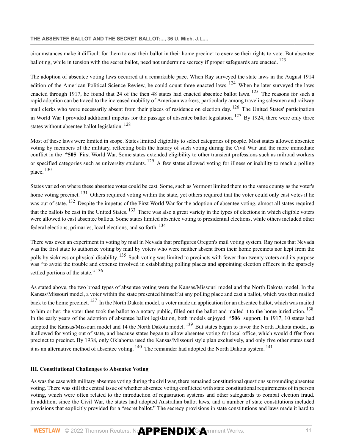<span id="page-77-0"></span>circumstances make it difficult for them to cast their ballot in their home precinct to exercise their rights to vote. But absentee balloting, while in tension with the secret ballot, need not undermine secrecy if proper safeguards are enacted. <sup>[123](#page-87-3)</sup>

<span id="page-77-3"></span><span id="page-77-2"></span><span id="page-77-1"></span>The adoption of absentee voting laws occurred at a remarkable pace. When Ray surveyed the state laws in the August 1914 edition of the American Political Science Review, he could count three enacted laws. <sup>[124](#page-87-4)</sup> When he later surveyed the laws enacted through 1917, he found that 24 of the then 48 states had enacted absentee ballot laws. <sup>[125](#page-87-5)</sup> The reasons for such a rapid adoption can be traced to the increased mobility of American workers, particularly among traveling salesmen and railway mail clerks who were necessarily absent from their places of residence on election day. <sup>[126](#page-87-6)</sup> The United States' participation in World War I provided additional impetus for the passage of absentee ballot legislation.  $127$  By 1924, there were only three states without absentee ballot legislation.<sup>[128](#page-87-8)</sup>

<span id="page-77-6"></span><span id="page-77-5"></span><span id="page-77-4"></span>Most of these laws were limited in scope. States limited eligibility to select categories of people. Most states allowed absentee voting by members of the military, reflecting both the history of such voting during the Civil War and the more immediate conflict in the **\*505** First World War. Some states extended eligibility to other transient professions such as railroad workers or specified categories such as university students. [129](#page-87-9) A few states allowed voting for illness or inability to reach a polling place. [130](#page-87-10)

<span id="page-77-10"></span><span id="page-77-9"></span><span id="page-77-8"></span><span id="page-77-7"></span>States varied on where these absentee votes could be cast. Some, such as Vermont limited them to the same county as the voter's home voting precinct. <sup>[131](#page-87-11)</sup> Others required voting within the state, yet others required that the voter could only cast votes if he was out of state. <sup>[132](#page-87-12)</sup> Despite the impetus of the First World War for the adoption of absentee voting, almost all states required that the ballots be cast in the United States. <sup>[133](#page-87-13)</sup> There was also a great variety in the types of elections in which eligible voters were allowed to cast absentee ballots. Some states limited absentee voting to presidential elections, while others included other federal elections, primaries, local elections, and so forth. [134](#page-87-14)

<span id="page-77-12"></span><span id="page-77-11"></span>There was even an experiment in voting by mail in Nevada that prefigures Oregon's mail voting system. Ray notes that Nevada was the first state to authorize voting by mail by voters who were neither absent from their home precincts nor kept from the polls by sickness or physical disability. <sup>[135](#page-87-15)</sup> Such voting was limited to precincts with fewer than twenty voters and its purpose was "to avoid the trouble and expense involved in establishing polling places and appointing election officers in the sparsely settled portions of the state."<sup>[136](#page-87-16)</sup>

<span id="page-77-16"></span><span id="page-77-15"></span><span id="page-77-14"></span><span id="page-77-13"></span>As stated above, the two broad types of absentee voting were the Kansas/Missouri model and the North Dakota model. In the Kansas/Missouri model, a voter within the state presented himself at any polling place and cast a ballot, which was then mailed back to the home precinct. [137](#page-87-17) In the North Dakota model, a voter made an application for an absentee ballot, which was mailed to him or her; the voter then took the ballot to a notary public, filled out the ballot and mailed it to the home jurisdiction. <sup>[138](#page-87-18)</sup> In the early years of the adoption of absentee ballot legislation, both models enjoyed **\*506** support. In 1917, 10 states had adopted the Kansas/Missouri model and 14 the North Dakota model. <sup>[139](#page-87-19)</sup> But states began to favor the North Dakota model, as it allowed for voting out of state, and because states began to allow absentee voting for local office, which would differ from precinct to precinct. By 1938, only Oklahoma used the Kansas/Missouri style plan exclusively, and only five other states used it as an alternative method of absentee voting. [140](#page-87-20) The remainder had adopted the North Dakota system. [141](#page-87-21)

# <span id="page-77-18"></span><span id="page-77-17"></span>**III. Constitutional Challenges to Absentee Voting**

As was the case with military absentee voting during the civil war, there remained constitutional questions surrounding absentee voting. There was still the central issue of whether absentee voting conflicted with state constitutional requirements of in person voting, which were often related to the introduction of registration systems and other safeguards to combat election fraud. In addition, since the Civil War, the states had adopted Australian ballot laws, and a number of state constitutions included provisions that explicitly provided for a "secret ballot." The secrecy provisions in state constitutions and laws made it hard to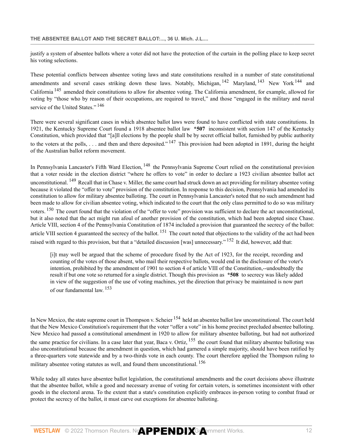justify a system of absentee ballots where a voter did not have the protection of the curtain in the polling place to keep secret his voting selections.

<span id="page-78-3"></span><span id="page-78-2"></span><span id="page-78-1"></span><span id="page-78-0"></span>These potential conflicts between absentee voting laws and state constitutions resulted in a number of state constitutional amendments and several cases striking down these laws. Notably, Michigan, <sup>[142](#page-87-22)</sup> Maryland, <sup>[143](#page-87-23)</sup> New York <sup>[144](#page-87-24)</sup> and California [145](#page-87-25) amended their constitutions to allow for absentee voting. The California amendment, for example, allowed for voting by "those who by reason of their occupations, are required to travel," and those "engaged in the military and naval service of the United States."<sup>[146](#page-87-26)</sup>

<span id="page-78-5"></span><span id="page-78-4"></span>There were several significant cases in which absentee ballot laws were found to have conflicted with state constitutions. In 1921, the Kentucky Supreme Court found a 1918 absentee ballot law **\*507** inconsistent with [section 147 of the Kentucky](http://www.westlaw.com/Link/Document/FullText?findType=L&pubNum=1000453&cite=KYCNS147&originatingDoc=Ib7236a004b0611dba16d88fb847e95e5&refType=LQ&originationContext=document&vr=3.0&rs=cblt1.0&transitionType=DocumentItem&contextData=(sc.DocLink)) [Constitution](http://www.westlaw.com/Link/Document/FullText?findType=L&pubNum=1000453&cite=KYCNS147&originatingDoc=Ib7236a004b0611dba16d88fb847e95e5&refType=LQ&originationContext=document&vr=3.0&rs=cblt1.0&transitionType=DocumentItem&contextData=(sc.DocLink)), which provided that "[a]ll elections by the people shall be by secret official ballot, furnished by public authority to the voters at the polls, ... and then and there deposited."  $147$  This provision had been adopted in 1891, during the height of the Australian ballot reform movement.

<span id="page-78-8"></span><span id="page-78-7"></span><span id="page-78-6"></span>In Pennsylvania Lancaster's Fifth Ward Election, <sup>[148](#page-87-28)</sup> the Pennsylvania Supreme Court relied on the constitutional provision that a voter reside in the election district "where he offers to vote" in order to declare a 1923 civilian absentee ballot act unconstitutional. <sup>[149](#page-88-0)</sup> Recall that in Chase v. Miller, the same court had struck down an act providing for military absentee voting because it violated the "offer to vote" provision of the constitution. In response to this decision, Pennsylvania had amended its constitution to allow for military absentee balloting. The court in Pennsylvania Lancaster's noted that no such amendment had been made to allow for civilian absentee voting, which indicated to the court that the only class permitted to do so was military voters. [150](#page-88-1) The court found that the violation of the "offer to vote" provision was sufficient to declare the act unconstitutional, but it also noted that the act might run afoul of another provision of the constitution, which had been adopted since Chase. [Article VIII, section 4 of the Pennsylvania Constitution](http://www.westlaw.com/Link/Document/FullText?findType=L&pubNum=1000427&cite=PACNART8S4&originatingDoc=Ib7236a004b0611dba16d88fb847e95e5&refType=LQ&originationContext=document&vr=3.0&rs=cblt1.0&transitionType=DocumentItem&contextData=(sc.DocLink)) of 1874 included a provision that guaranteed the secrecy of the ballot: [article VIII section 4](http://www.westlaw.com/Link/Document/FullText?findType=L&pubNum=1000427&cite=PACNART8S4&originatingDoc=Ib7236a004b0611dba16d88fb847e95e5&refType=LQ&originationContext=document&vr=3.0&rs=cblt1.0&transitionType=DocumentItem&contextData=(sc.DocLink)) guaranteed the secrecy of the ballot. <sup>[151](#page-88-2)</sup> The court noted that objections to the validity of the act had been raised with regard to this provision, but that a "detailed discussion [was] unnecessary." <sup>[152](#page-88-3)</sup> It did, however, add that:

<span id="page-78-12"></span><span id="page-78-11"></span><span id="page-78-10"></span><span id="page-78-9"></span>[i]t may well be argued that the scheme of procedure fixed by the Act of 1923, for the receipt, recording and counting of the votes of those absent, who mail their respective ballots, would end in the disclosure of the voter's intention, prohibited by the amendment of 1901 to [section 4 of article VIII of the Constitution](http://www.westlaw.com/Link/Document/FullText?findType=L&pubNum=1000643&cite=MICOART8S4&originatingDoc=Ib7236a004b0611dba16d88fb847e95e5&refType=LQ&originationContext=document&vr=3.0&rs=cblt1.0&transitionType=DocumentItem&contextData=(sc.DocLink)),--undoubtedly the result if but one vote so returned for a single district. Though this provision as **\*508** to secrecy was likely added in view of the suggestion of the use of voting machines, yet the direction that privacy be maintained is now part of our fundamental law. <sup>[153](#page-88-4)</sup>

<span id="page-78-13"></span>In New Mexico, the state supreme court in Thompson v. Scheier <sup>[154](#page-88-5)</sup> held an absentee ballot law unconstitutional. The court held that the New Mexico Constitution's requirement that the voter "offer a vote" in his home precinct precluded absentee balloting. New Mexico had passed a constitutional amendment in 1920 to allow for military absentee balloting, but had not authorized the same practice for civilians. In a case later that year, Baca v. Ortiz, <sup>[155](#page-88-6)</sup> the court found that military absentee balloting was also unconstitutional because the amendment in question, which had garnered a simple majority, should have been ratified by a three-quarters vote statewide and by a two-thirds vote in each county. The court therefore applied the Thompson ruling to military absentee voting statutes as well, and found them unconstitutional. <sup>[156](#page-88-7)</sup>

<span id="page-78-14"></span>While today all states have absentee ballot legislation, the constitutional amendments and the court decisions above illustrate that the absentee ballot, while a good and necessary avenue of voting for certain voters, is sometimes inconsistent with other goods in the electoral arena. To the extent that a state's constitution explicitly embraces in-person voting to combat fraud or protect the secrecy of the ballot, it must carve out exceptions for absentee balloting.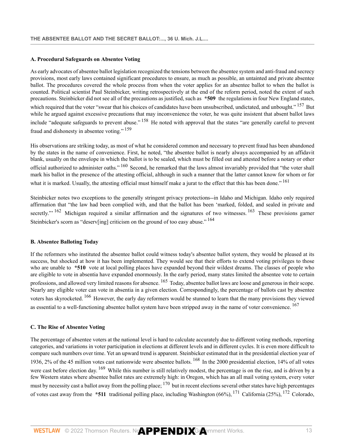## **A. Procedural Safeguards on Absentee Voting**

<span id="page-79-0"></span>As early advocates of absentee ballot legislation recognized the tensions between the absentee system and anti-fraud and secrecy provisions, most early laws contained significant procedures to ensure, as much as possible, an untainted and private absentee ballot. The procedures covered the whole process from when the voter applies for an absentee ballot to when the ballot is counted. Political scientist Paul Steinbicker, writing retrospectively at the end of the reform period, noted the extent of such precautions. Steinbicker did not see all of the precautions as justified, such as **\*509** the regulations in four New England states, which required that the voter "swear that his choices of candidates have been unsubscribed, undictated, and unbought." <sup>[157](#page-88-8)</sup> But while he argued against excessive precautions that may inconvenience the voter, he was quite insistent that absent ballot laws include "adequate safeguards to prevent abuse." [158](#page-88-9) He noted with approval that the states "are generally careful to prevent fraud and dishonesty in absentee voting." [159](#page-88-10)

<span id="page-79-3"></span><span id="page-79-2"></span><span id="page-79-1"></span>His observations are striking today, as most of what he considered common and necessary to prevent fraud has been abandoned by the states in the name of convenience. First, he noted, "the absentee ballot is nearly always accompanied by an affidavit blank, usually on the envelope in which the ballot is to be sealed, which must be filled out and attested before a notary or other official authorized to administer oaths." [160](#page-88-11) Second, he remarked that the laws almost invariably provided that "the voter shall mark his ballot in the presence of the attesting official, although in such a manner that the latter cannot know for whom or for what it is marked. Usually, the attesting official must himself make a jurat to the effect that this has been done." <sup>[161](#page-88-12)</sup>

<span id="page-79-7"></span><span id="page-79-6"></span><span id="page-79-5"></span><span id="page-79-4"></span>Steinbicker notes two exceptions to the generally stringent privacy protections--in Idaho and Michigan. Idaho only required affirmation that "the law had been complied with, and that the ballot has been 'marked, folded, and sealed in private and secretly."<sup>[162](#page-88-13)</sup> Michigan required a similar affirmation and the signatures of two witnesses. <sup>[163](#page-88-14)</sup> These provisions garner Steinbicker's scorn as "deserv[ing] criticism on the ground of too easy abuse."  $164$ 

# **B. Absentee Balloting Today**

<span id="page-79-8"></span>If the reformers who instituted the absentee ballot could witness today's absentee ballot system, they would be pleased at its success, but shocked at how it has been implemented. They would see that their efforts to extend voting privileges to those who are unable to **\*510** vote at local polling places have expanded beyond their wildest dreams. The classes of people who are eligible to vote in absentia have expanded enormously. In the early period, many states limited the absentee vote to certain professions, and allowed very limited reasons for absence. <sup>[165](#page-88-16)</sup> Today, absentee ballot laws are loose and generous in their scope. Nearly any eligible voter can vote in absentia in a given election. Correspondingly, the percentage of ballots cast by absentee voters has skyrocketed. [166](#page-88-17) However, the early day reformers would be stunned to learn that the many provisions they viewed as essential to a well-functioning absentee ballot system have been stripped away in the name of voter convenience. <sup>[167](#page-88-18)</sup>

## <span id="page-79-10"></span><span id="page-79-9"></span>**C. The Rise of Absentee Voting**

<span id="page-79-15"></span><span id="page-79-14"></span><span id="page-79-13"></span><span id="page-79-12"></span><span id="page-79-11"></span>The percentage of absentee voters at the national level is hard to calculate accurately due to different voting methods, reporting categories, and variations in voter participation in elections at different levels and in different cycles. It is even more difficult to compare such numbers over time. Yet an upward trend is apparent. Steinbicker estimated that in the presidential election year of 1936, 2% of the 45 million votes cast nationwide were absentee ballots. [168](#page-88-19) In the 2000 presidential election, 14% of all votes were cast before election day. <sup>[169](#page-88-20)</sup> While this number is still relatively modest, the percentage is on the rise, and is driven by a few Western states where absentee ballot rates are extremely high: in Oregon, which has an all mail voting system, every voter must by necessity cast a ballot away from the polling place;  $170$  but in recent elections several other states have high percentages of votes cast away from the **\*511** traditional polling place, including Washington (66%), [171](#page-88-22) California (25%), [172](#page-88-23) Colorado,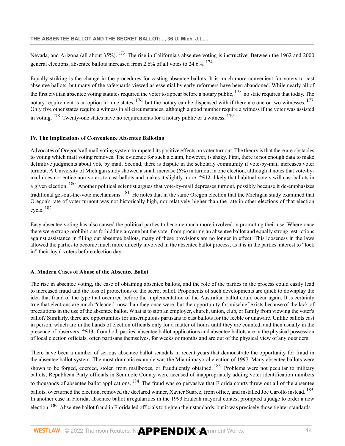<span id="page-80-1"></span><span id="page-80-0"></span>Nevada, and Arizona (all about 35%). <sup>[173](#page-88-24)</sup> The rise in California's absentee voting is instructive. Between the 1962 and 2000 general elections, absentee ballots increased from 2.6% of all votes to 24.6%. [174](#page-88-25)

<span id="page-80-4"></span><span id="page-80-3"></span><span id="page-80-2"></span>Equally striking is the change in the procedures for casting absentee ballots. It is much more convenient for voters to cast absentee ballots, but many of the safeguards viewed as essential by early reformers have been abandoned. While nearly all of the first civilian absentee voting statutes required the voter to appear before a notary public, <sup>[175](#page-89-0)</sup> no state requires that today. The notary requirement is an option in nine states,  $176$  but the notary can be dispensed with if there are one or two witnesses.  $177$ Only five other states require a witness in all circumstances, although a good number require a witness if the voter was assisted in voting.  $178$  Twenty-one states have no requirements for a notary public or a witness.  $179$ 

### <span id="page-80-6"></span><span id="page-80-5"></span>**IV. The Implications of Convenience Absentee Balloting**

<span id="page-80-7"></span>Advocates of Oregon's all mail voting system trumpeted its positive effects on voter turnout. The theory is that there are obstacles to voting which mail voting removes. The evidence for such a claim, however, is shaky. First, there is not enough data to make definitive judgments about vote by mail. Second, there is dispute in the scholarly community if vote-by-mail increases voter turnout. A University of Michigan study showed a small increase (6%) in turnout in one election, although it notes that vote-bymail does not entice non-voters to cast ballots and makes it slightly more **\*512** likely that habitual voters will cast ballots in a given election. <sup>[180](#page-89-5)</sup> Another political scientist argues that vote-by-mail depresses turnout, possibly because it de-emphasizes traditional get-out-the-vote mechanisms. <sup>[181](#page-89-6)</sup> He notes that in the same Oregon election that the Michigan study examined that Oregon's rate of voter turnout was not historically high, nor relatively higher than the rate in other elections of that election cycle. [182](#page-89-7)

<span id="page-80-9"></span><span id="page-80-8"></span>Easy absentee voting has also caused the political parties to become much more involved in promoting their use. Where once there were strong prohibitions forbidding anyone but the voter from procuring an absentee ballot and equally strong restrictions against assistance in filling out absentee ballots, many of these provisions are no longer in effect. This looseness in the laws allowed the parties to become much more directly involved in the absentee ballot process, as it is in the parties' interest to "lock in" their loyal voters before election day.

### **A. Modern Cases of Abuse of the Absentee Ballot**

The rise in absentee voting, the ease of obtaining absentee ballots, and the role of the parties in the process could easily lead to increased fraud and the loss of protections of the secret ballot. Proponents of such developments are quick to downplay the idea that fraud of the type that occurred before the implementation of the Australian ballot could occur again. It is certainly true that elections are much "cleaner" now than they once were, but the opportunity for mischief exists because of the lack of precautions in the use of the absentee ballot. What is to stop an employer, church, union, club, or family from viewing the voter's ballot? Similarly, there are opportunities for unscrupulous partisans to cast ballots for the feeble or unaware. Unlike ballots cast in person, which are in the hands of election officials only for a matter of hours until they are counted, and then usually in the presence of observers **\*513** from both parties, absentee ballot applications and absentee ballots are in the physical possession of local election officials, often partisans themselves, for weeks or months and are out of the physical view of any outsiders.

<span id="page-80-13"></span><span id="page-80-12"></span><span id="page-80-11"></span><span id="page-80-10"></span>There have been a number of serious absentee ballot scandals in recent years that demonstrate the opportunity for fraud in the absentee ballot system. The most dramatic example was the Miami mayoral election of 1997. Many absentee ballots were shown to be forged, coerced, stolen from mailboxes, or fraudulently obtained. <sup>[183](#page-89-8)</sup> Problems were not peculiar to military ballots; Republican Party officials in Seminole County were accused of inappropriately adding voter identification numbers to thousands of absentee ballot applications. <sup>[184](#page-89-9)</sup> The fraud was so pervasive that Florida courts threw out all of the absentee ballots, overturned the election, removed the declared winner, Xavier Suarez, from office, and installed Joe Carollo instead. <sup>[185](#page-89-10)</sup> In another case in Florida, absentee ballot irregularities in the 1993 Hialeah mayoral contest prompted a judge to order a new election. <sup>[186](#page-89-11)</sup> Absentee ballot fraud in Florida led officials to tighten their standards, but it was precisely those tighter standards--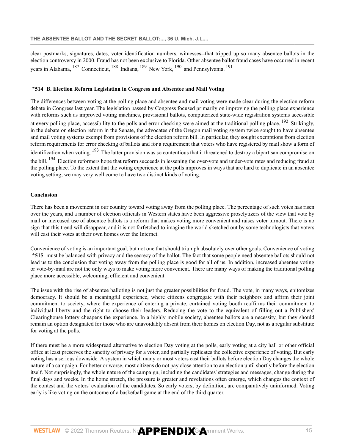<span id="page-81-2"></span><span id="page-81-1"></span><span id="page-81-0"></span>clear postmarks, signatures, dates, voter identification numbers, witnesses--that tripped up so many absentee ballots in the election controversy in 2000. Fraud has not been exclusive to Florida. Other absentee ballot fraud cases have occurred in recent years in Alabama, [187](#page-89-12) Connecticut, [188](#page-89-13) Indiana, [189](#page-89-14) New York, [190](#page-89-15) and Pennsylvania. [191](#page-89-16)

#### <span id="page-81-5"></span><span id="page-81-4"></span><span id="page-81-3"></span>**\*514 B. Election Reform Legislation in Congress and Absentee and Mail Voting**

The differences between voting at the polling place and absentee and mail voting were made clear during the election reform debate in Congress last year. The legislation passed by Congress focused primarily on improving the polling place experience with reforms such as improved voting machines, provisional ballots, computerized state-wide registration systems accessible at every polling place, accessibility to the polls and error checking were aimed at the traditional polling place. [192](#page-89-17) Strikingly, in the debate on election reform in the Senate, the advocates of the Oregon mail voting system twice sought to have absentee and mail voting systems exempt from provisions of the election reform bill. In particular, they sought exemptions from election reform requirements for error checking of ballots and for a requirement that voters who have registered by mail show a form of identification when voting. [193](#page-89-18) The latter provision was so contentious that it threatened to destroy a bipartisan compromise on the bill. <sup>[194](#page-89-19)</sup> Election reformers hope that reform succeeds in lessening the over-vote and under-vote rates and reducing fraud at the polling place. To the extent that the voting experience at the polls improves in ways that are hard to duplicate in an absentee voting setting, we may very well come to have two distinct kinds of voting.

#### <span id="page-81-7"></span><span id="page-81-6"></span>**Conclusion**

There has been a movement in our country toward voting away from the polling place. The percentage of such votes has risen over the years, and a number of election officials in Western states have been aggressive proselytizers of the view that vote by mail or increased use of absentee ballots is a reform that makes voting more convenient and raises voter turnout. There is no sign that this trend will disappear, and it is not farfetched to imagine the world sketched out by some technologists that voters will cast their votes at their own homes over the Internet.

Convenience of voting is an important goal, but not one that should triumph absolutely over other goals. Convenience of voting **\*515** must be balanced with privacy and the secrecy of the ballot. The fact that some people need absentee ballots should not lead us to the conclusion that voting away from the polling place is good for all of us. In addition, increased absentee voting or vote-by-mail are not the only ways to make voting more convenient. There are many ways of making the traditional polling place more accessible, welcoming, efficient and convenient.

The issue with the rise of absentee balloting is not just the greater possibilities for fraud. The vote, in many ways, epitomizes democracy. It should be a meaningful experience, where citizens congregate with their neighbors and affirm their joint commitment to society, where the experience of entering a private, curtained voting booth reaffirms their commitment to individual liberty and the right to choose their leaders. Reducing the vote to the equivalent of filling out a Publishers' Clearinghouse lottery cheapens the experience. In a highly mobile society, absentee ballots are a necessity, but they should remain an option designated for those who are unavoidably absent from their homes on election Day, not as a regular substitute for voting at the polls.

If there must be a more widespread alternative to election Day voting at the polls, early voting at a city hall or other official office at least preserves the sanctity of privacy for a voter, and partially replicates the collective experience of voting. But early voting has a serious downside. A system in which many or most voters cast their ballots before election Day changes the whole nature of a campaign. For better or worse, most citizens do not pay close attention to an election until shortly before the election itself. Not surprisingly, the whole nature of the campaign, including the candidates' strategies and messages, change during the final days and weeks. In the home stretch, the pressure is greater and revelations often emerge, which changes the context of the contest and the voters' evaluation of the candidates. So early voters, by definition, are comparatively uninformed. Voting early is like voting on the outcome of a basketball game at the end of the third quarter.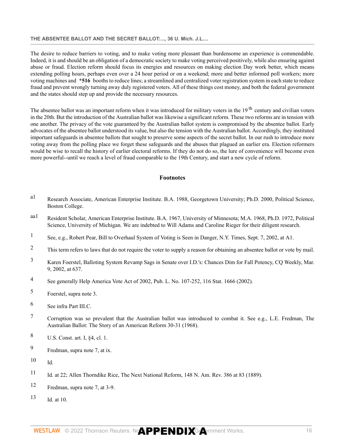# **THE ABSENTEE BALLOT AND THE SECRET BALLOT:..., 36 U. Mich. J.L....**

The desire to reduce barriers to voting, and to make voting more pleasant than burdensome an experience is commendable. Indeed, it is and should be an obligation of a democratic society to make voting perceived positively, while also ensuring against abuse or fraud. Election reform should focus its energies and resources on making election Day work better, which means extending polling hours, perhaps even over a 24 hour period or on a weekend; more and better informed poll workers; more voting machines and **\*516** booths to reduce lines; a streamlined and centralized voter registration system in each state to reduce fraud and prevent wrongly turning away duly registered voters. All of these things cost money, and both the federal government and the states should step up and provide the necessary resources.

The absentee ballot was an important reform when it was introduced for military voters in the 19<sup>th</sup> century and civilian voters in the 20th. But the introduction of the Australian ballot was likewise a significant reform. These two reforms are in tension with one another. The privacy of the vote guaranteed by the Australian ballot system is compromised by the absentee ballot. Early advocates of the absentee ballot understood its value, but also the tension with the Australian ballot. Accordingly, they instituted important safeguards in absentee ballots that sought to preserve some aspects of the secret ballot. In our rush to introduce more voting away from the polling place we forget these safeguards and the abuses that plagued an earlier era. Election reformers would be wise to recall the history of earlier electoral reforms. If they do not do so, the lure of convenience will become even more powerful--until we reach a level of fraud comparable to the 19th Century, and start a new cycle of reform.

# **Footnotes**

- [a1](#page-67-0) Research Associate, American Enterprise Institute. B.A. 1988, Georgetown University; Ph.D. 2000, Political Science, Boston College.
- [aa1](#page-67-1) Resident Scholar, American Enterprise Institute. B.A. 1967, University of Minnesota; M.A. 1968, Ph.D. 1972, Political Science, University of Michigan. We are indebted to Will Adams and Caroline Rieger for their diligent research.
- [1](#page-67-2) See, e.g., Robert Pear, Bill to Overhaul System of Voting is Seen in Danger, N.Y. Times, Sept. 7, 2002, at A1.
- <sup>[2](#page-67-3)</sup> This term refers to laws that do not require the voter to supply a reason for obtaining an absentee ballot or vote by mail.
- [3](#page-67-4) Karen Foerstel, Balloting System Revamp Sags in Senate over I.D.'s: Chances Dim for Fall Potency, CQ Weekly, Mar. 9, 2002, at 637.
- [4](#page-68-0) See generally Help America Vote Act of 2002, [Pub. L. No. 107-252, 116 Stat. 1666 \(2002\).](http://www.westlaw.com/Link/Document/FullText?findType=l&pubNum=1077005&cite=UUID(I6B1CEAEB6A-8A4E49BFC6B-1D9EE9C74E5)&originatingDoc=Ib7236a004b0611dba16d88fb847e95e5&refType=SL&originationContext=document&vr=3.0&rs=cblt1.0&transitionType=DocumentItem&contextData=(sc.DocLink))
- [5](#page-68-1) Foerstel, supra note 3.
- [6](#page-68-2) See infra Part III.C.
- [7](#page-68-3) Corruption was so prevalent that the Australian ballot was introduced to combat it. See e.g., L.E. Fredman, The Australian Ballot: The Story of an American Reform 30-31 (1968).
- [8](#page-68-4) [U.S. Const. art. I, §4, cl. 1.](http://www.westlaw.com/Link/Document/FullText?findType=L&pubNum=1000583&cite=USCOARTIS4CL1&originatingDoc=Ib7236a004b0611dba16d88fb847e95e5&refType=LQ&originationContext=document&vr=3.0&rs=cblt1.0&transitionType=DocumentItem&contextData=(sc.DocLink))
- [9](#page-68-5) Fredman, supra note 7, at ix.
- $10$  Id.
- [11](#page-69-0) Id. at 22; Allen Thorndike Rice, The Next National Reform, 148 N. Am. Rev. 386 at 83 (1889).
- [12](#page-69-1) Fredman, supra note 7, at 3-9.
- [13](#page-69-2) Id. at 10.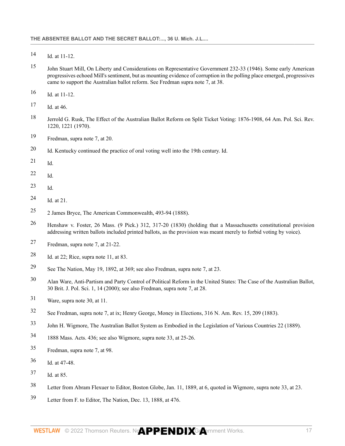- Id. at 11-12.
- John Stuart Mill, On Liberty and Considerations on Representative Government 232-33 (1946). Some early American progressives echoed Mill's sentiment, but as mounting evidence of corruption in the polling place emerged, progressives came to support the Australian ballot reform. See Fredman supra note 7, at 38.
- Id. at 11-12.
- Id. at 46.
- Jerrold G. Rusk, The Effect of the Australian Ballot Reform on Split Ticket Voting: 1876-1908, 64 Am. Pol. Sci. Rev. 1220, 1221 (1970).
- Fredman, supra note 7, at 20.
- Id. Kentucky continued the practice of oral voting well into the 19th century. Id.
- Id.
- Id.
- Id.
- Id. at 21.
- 2 James Bryce, The American Commonwealth, 493-94 (1888).
- [Henshaw v. Foster, 26 Mass. \(9 Pick.\) 312, 317-20 \(1830\)](http://www.westlaw.com/Link/Document/FullText?findType=Y&serNum=1830004942&pubNum=0000521&originatingDoc=Ib7236a004b0611dba16d88fb847e95e5&refType=RP&fi=co_pp_sp_521_317&originationContext=document&vr=3.0&rs=cblt1.0&transitionType=DocumentItem&contextData=(sc.DocLink)#co_pp_sp_521_317) (holding that a Massachusetts constitutional provision addressing written ballots included printed ballots, as the provision was meant merely to forbid voting by voice).
- Fredman, supra note 7, at 21-22.
- Id. at 22; Rice, supra note 11, at 83.
- See The Nation, May 19, 1892, at 369; see also Fredman, supra note 7, at 23.
- Alan Ware, Anti-Partism and Party Control of Political Reform in the United States: The Case of the Australian Ballot, 30 Brit. J. Pol. Sci. 1, 14 (2000); see also Fredman, supra note 7, at 28.
- Ware, supra note 30, at 11.
- See Fredman, supra note 7, at ix; Henry George, Money in Elections, 316 N. Am. Rev. 15, 209 (1883).
- John H. Wigmore, The Australian Ballot System as Embodied in the Legislation of Various Countries 22 (1889).
- 1888 Mass. Acts. 436; see also Wigmore, supra note 33, at 25-26.
- Fredman, supra note 7, at 98.
- Id. at 47-48.
- Id. at 85.
- Letter from Abram Flexuer to Editor, Boston Globe, Jan. 11, 1889, at 6, quoted in Wigmore, supra note 33, at 23.
- Letter from F. to Editor, The Nation, Dec. 13, 1888, at 476.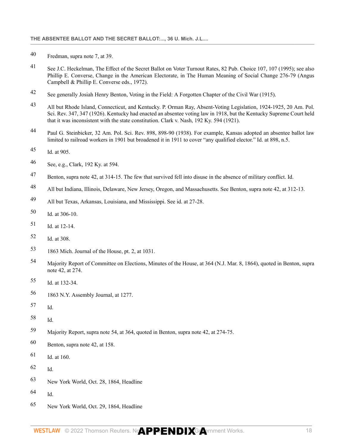- Fredman, supra note 7, at 39.
- See J.C. Heckelman, The Effect of the Secret Ballot on Voter Turnout Rates, 82 Pub. Choice 107, 107 (1995); see also Phillip E. Converse, Change in the American Electorate, in The Human Meaning of Social Change 276-79 (Angus Campbell & Phillip E. Converse eds., 1972).
- See generally Josiah Henry Benton, Voting in the Field: A Forgotten Chapter of the Civil War (1915).
- All but Rhode Island, Connecticut, and Kentucky. P. Orman Ray, Absent-Voting Legislation, 1924-1925, 20 Am. Pol. Sci. Rev. 347, 347 (1926). Kentucky had enacted an absentee voting law in 1918, but the Kentucky Supreme Court held that it was inconsistent with the state constitution. [Clark v. Nash, 192 Ky. 594 \(1921\).](http://www.westlaw.com/Link/Document/FullText?findType=Y&serNum=1921111451&pubNum=0000465&originatingDoc=Ib7236a004b0611dba16d88fb847e95e5&refType=RP&originationContext=document&vr=3.0&rs=cblt1.0&transitionType=DocumentItem&contextData=(sc.DocLink))
- Paul G. Steinbicker, 32 Am. Pol. Sci. Rev. 898, 898-90 (1938). For example, Kansas adopted an absentee ballot law limited to railroad workers in 1901 but broadened it in 1911 to cover "any qualified elector." Id. at 898, n.5.
- Id. at 905.
- See, e.g., [Clark, 192 Ky. at 594.](http://www.westlaw.com/Link/Document/FullText?findType=Y&serNum=1921111451&pubNum=0000465&originatingDoc=Ib7236a004b0611dba16d88fb847e95e5&refType=RP&fi=co_pp_sp_465_594&originationContext=document&vr=3.0&rs=cblt1.0&transitionType=DocumentItem&contextData=(sc.DocLink)#co_pp_sp_465_594)
- <span id="page-84-0"></span>Benton, supra note 42, at 314-15. The few that survived fell into disuse in the absence of military conflict. Id.
- <span id="page-84-1"></span>All but Indiana, Illinois, Delaware, New Jersey, Oregon, and Massachusetts. See Benton, supra note 42, at 312-13.
- <span id="page-84-2"></span>All but Texas, Arkansas, Louisiana, and Mississippi. See id. at 27-28.
- <span id="page-84-3"></span>Id. at 306-10.
- <span id="page-84-4"></span>Id. at 12-14.
- <span id="page-84-5"></span>Id. at 308.
- <span id="page-84-6"></span>1863 Mich. Journal of the House, pt. 2, at 1031.
- <span id="page-84-7"></span> Majority Report of Committee on Elections, Minutes of the House, at 364 (N.J. Mar. 8, 1864), quoted in Benton, supra note 42, at 274.
- <span id="page-84-8"></span>Id. at 132-34.
- <span id="page-84-9"></span>1863 N.Y. Assembly Journal, at 1277.
- <span id="page-84-10"></span>Id.
- <span id="page-84-11"></span>Id.
- <span id="page-84-12"></span>Majority Report, supra note 54, at 364, quoted in Benton, supra note 42, at 274-75.
- <span id="page-84-13"></span>Benton, supra note 42, at 158.
- <span id="page-84-14"></span>Id. at 160.
- <span id="page-84-15"></span> $62 \qquad \text{Id}$
- <span id="page-84-16"></span>New York World, Oct. 28, 1864, Headline
- <span id="page-84-17"></span>Id.
- <span id="page-84-18"></span>New York World, Oct. 29, 1864, Headline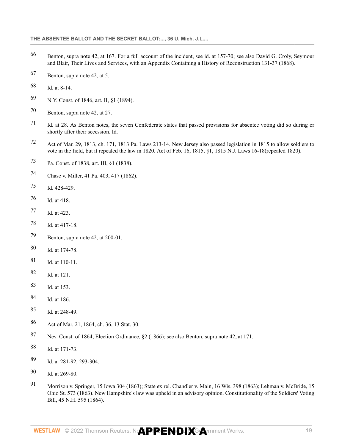- <span id="page-85-0"></span> Benton, supra note 42, at 167. For a full account of the incident, see id. at 157-70; see also David G. Croly, Seymour and Blair, Their Lives and Services, with an Appendix Containing a History of Reconstruction 131-37 (1868).
- <span id="page-85-1"></span>Benton, supra note 42, at 5.
- <span id="page-85-2"></span>Id. at 8-14.
- <span id="page-85-3"></span>N.Y. [Const. of 1846, art. II, §1 \(1894\)](http://www.westlaw.com/Link/Document/FullText?findType=L&pubNum=1000643&cite=MICOART2S1&originatingDoc=Ib7236a004b0611dba16d88fb847e95e5&refType=LQ&originationContext=document&vr=3.0&rs=cblt1.0&transitionType=DocumentItem&contextData=(sc.DocLink)).
- <span id="page-85-4"></span>Benton, supra note 42, at 27.
- <span id="page-85-5"></span> Id. at 28. As Benton notes, the seven Confederate states that passed provisions for absentee voting did so during or shortly after their secession. Id.
- <span id="page-85-6"></span> Act of Mar. 29, 1813, ch. 171, 1813 Pa. Laws 213-14. New Jersey also passed legislation in 1815 to allow soldiers to vote in the field, but it repealed the law in 1820. Act of Feb. 16, 1815, §1, 1815 N.J. Laws 16-18(repealed 1820).
- <span id="page-85-7"></span>[Pa. Const. of 1838, art. III, §1 \(1838\).](http://www.westlaw.com/Link/Document/FullText?findType=L&pubNum=1000427&cite=PACNART3S1&originatingDoc=Ib7236a004b0611dba16d88fb847e95e5&refType=LQ&originationContext=document&vr=3.0&rs=cblt1.0&transitionType=DocumentItem&contextData=(sc.DocLink))
- <span id="page-85-8"></span>[Chase v. Miller, 41 Pa. 403, 417 \(1862\)](http://www.westlaw.com/Link/Document/FullText?findType=Y&serNum=1862010929&pubNum=0000651&originatingDoc=Ib7236a004b0611dba16d88fb847e95e5&refType=RP&fi=co_pp_sp_651_417&originationContext=document&vr=3.0&rs=cblt1.0&transitionType=DocumentItem&contextData=(sc.DocLink)#co_pp_sp_651_417).
- <span id="page-85-9"></span>[Id. 428-429.](http://www.westlaw.com/Link/Document/FullText?findType=Y&serNum=1862010929&pubNum=0000651&originatingDoc=Ib7236a004b0611dba16d88fb847e95e5&refType=RP&fi=co_pp_sp_651_429&originationContext=document&vr=3.0&rs=cblt1.0&transitionType=DocumentItem&contextData=(sc.DocLink)#co_pp_sp_651_429)
- <span id="page-85-10"></span>[Id. at 418](http://www.westlaw.com/Link/Document/FullText?findType=Y&serNum=1862010929&pubNum=0000651&originatingDoc=Ib7236a004b0611dba16d88fb847e95e5&refType=RP&fi=co_pp_sp_651_418&originationContext=document&vr=3.0&rs=cblt1.0&transitionType=DocumentItem&contextData=(sc.DocLink)#co_pp_sp_651_418).
- <span id="page-85-11"></span>Id. at 423.
- <span id="page-85-12"></span>Id. at 417-18.
- <span id="page-85-13"></span>Benton, supra note 42, at 200-01.
- <span id="page-85-14"></span>Id. at 174-78.
- <span id="page-85-15"></span>Id. at 110-11.
- <span id="page-85-16"></span>Id. at 121.
- <span id="page-85-17"></span>Id. at 153.
- <span id="page-85-18"></span>Id. at 186.
- <span id="page-85-19"></span>Id. at 248-49.
- <span id="page-85-20"></span>Act of Mar. 21, 1864, ch. 36, 13 Stat. 30.
- <span id="page-85-21"></span>Nev. Const. of 1864, Election Ordinance, §2 (1866); see also Benton, supra note 42, at 171.
- <span id="page-85-22"></span>Id. at 171-73.
- <span id="page-85-23"></span>Id. at 281-92, 293-304.
- <span id="page-85-24"></span>Id. at 269-80.
- <span id="page-85-25"></span> [Morrison v. Springer, 15 Iowa 304 \(1863\)](http://www.westlaw.com/Link/Document/FullText?findType=Y&serNum=1863001777&pubNum=0000444&originatingDoc=Ib7236a004b0611dba16d88fb847e95e5&refType=RP&originationContext=document&vr=3.0&rs=cblt1.0&transitionType=DocumentItem&contextData=(sc.DocLink)); [State ex rel. Chandler v. Main, 16 Wis. 398 \(1863\);](http://www.westlaw.com/Link/Document/FullText?findType=Y&serNum=1863002555&pubNum=0000822&originatingDoc=Ib7236a004b0611dba16d88fb847e95e5&refType=RP&originationContext=document&vr=3.0&rs=cblt1.0&transitionType=DocumentItem&contextData=(sc.DocLink)) [Lehman v. McBride, 15](http://www.westlaw.com/Link/Document/FullText?findType=Y&serNum=1863000077&pubNum=0000633&originatingDoc=Ib7236a004b0611dba16d88fb847e95e5&refType=RP&originationContext=document&vr=3.0&rs=cblt1.0&transitionType=DocumentItem&contextData=(sc.DocLink)) [Ohio St. 573 \(1863\).](http://www.westlaw.com/Link/Document/FullText?findType=Y&serNum=1863000077&pubNum=0000633&originatingDoc=Ib7236a004b0611dba16d88fb847e95e5&refType=RP&originationContext=document&vr=3.0&rs=cblt1.0&transitionType=DocumentItem&contextData=(sc.DocLink)) New Hampshire's law was upheld in an advisory opinion. Constitutionality of the Soldiers' Voting Bill, [45 N.H. 595 \(1864\).](http://www.westlaw.com/Link/Document/FullText?findType=Y&serNum=1864002966&pubNum=0000579&originatingDoc=Ib7236a004b0611dba16d88fb847e95e5&refType=RP&originationContext=document&vr=3.0&rs=cblt1.0&transitionType=DocumentItem&contextData=(sc.DocLink))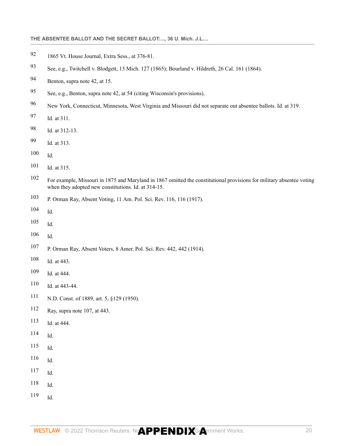# **THE ABSENTEE BALLOT AND THE SECRET BALLOT:..., 36 U. Mich. J.L....**

- <span id="page-86-0"></span>1865 Vt. House Journal, Extra Sess., at 376-81.
- <span id="page-86-1"></span>See, e.g., [Twitchell v. Blodgett, 13 Mich. 127 \(1865\)](http://www.westlaw.com/Link/Document/FullText?findType=Y&serNum=1865006410&pubNum=0000542&originatingDoc=Ib7236a004b0611dba16d88fb847e95e5&refType=RP&originationContext=document&vr=3.0&rs=cblt1.0&transitionType=DocumentItem&contextData=(sc.DocLink)); [Bourland v. Hildreth, 26 Cal. 161 \(1864\).](http://www.westlaw.com/Link/Document/FullText?findType=Y&serNum=1864002089&pubNum=0000220&originatingDoc=Ib7236a004b0611dba16d88fb847e95e5&refType=RP&originationContext=document&vr=3.0&rs=cblt1.0&transitionType=DocumentItem&contextData=(sc.DocLink))
- <span id="page-86-2"></span>Benton, supra note 42, at 15.
- <span id="page-86-3"></span>See, e.g., Benton, supra note 42, at 54 (citing Wisconsin's provisions).
- <span id="page-86-4"></span>New York, Connecticut, Minnesota, West Virginia and Missouri did not separate out absentee ballots. Id. at 319.
- <span id="page-86-5"></span>Id. at 311.
- <span id="page-86-6"></span>Id. at 312-13.
- <span id="page-86-7"></span>Id. at 313.
- <span id="page-86-8"></span>Id.
- <span id="page-86-9"></span>Id. at 315.
- <span id="page-86-10"></span> For example, Missouri in 1875 and Maryland in 1867 omitted the constitutional provisions for military absentee voting when they adopted new constitutions. Id. at 314-15.
- <span id="page-86-11"></span>P. Orman Ray, Absent Voting, 11 Am. Pol. Sci. Rev. 116, 116 (1917).
- <span id="page-86-12"></span>Id.
- <span id="page-86-13"></span>Id.
- <span id="page-86-14"></span>Id.
- <span id="page-86-15"></span>P. Orman Ray, Absent Voters, 8 Amer. Pol. Sci. Rev. 442, 442 (1914).
- <span id="page-86-16"></span>Id. at 443.
- <span id="page-86-17"></span>Id. at 444.
- <span id="page-86-18"></span>Id. at 443-44.
- <span id="page-86-19"></span>N.D. Const. of 1889, art. 5, §129 (1950).
- <span id="page-86-20"></span>Ray, supra note 107, at 443.
- <span id="page-86-21"></span>Id. at 444.
- <span id="page-86-22"></span>Id.
- <span id="page-86-23"></span>Id.
- <span id="page-86-24"></span>Id.
- <span id="page-86-25"></span>Id.
- <span id="page-86-26"></span>Id.
- <span id="page-86-27"></span>Id.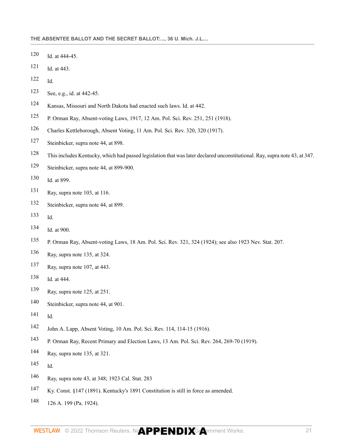- <span id="page-87-0"></span>Id. at 444-45.
- <span id="page-87-1"></span>Id. at 443.
- <span id="page-87-2"></span>Id.
- <span id="page-87-3"></span>See, e.g., id. at 442-45.
- <span id="page-87-4"></span>Kansas, Missouri and North Dakota had enacted such laws. Id. at 442.
- <span id="page-87-5"></span>P. Orman Ray, Absent-voting Laws, 1917, 12 Am. Pol. Sci. Rev. 251, 251 (1918).
- <span id="page-87-6"></span>Charles Kettleborough, Absent Voting, 11 Am. Pol. Sci. Rev. 320, 320 (1917).
- <span id="page-87-7"></span>Steinbicker, supra note 44, at 898.
- <span id="page-87-8"></span>This includes Kentucky, which had passed legislation that was later declared unconstitutional. Ray, supra note 43, at 347.
- <span id="page-87-9"></span>Steinbicker, supra note 44, at 899-900.
- <span id="page-87-10"></span>Id. at 899.
- <span id="page-87-11"></span>Ray, supra note 103, at 116.
- <span id="page-87-12"></span>Steinbicker, supra note 44, at 899.
- <span id="page-87-13"></span>Id.
- <span id="page-87-14"></span>Id. at 900.
- <span id="page-87-15"></span>P. Orman Ray, Absent-voting Laws, 18 Am. Pol. Sci. Rev. 321, 324 (1924); see also 1923 Nev. Stat. 207.
- <span id="page-87-16"></span>Ray, supra note 135, at 324.
- <span id="page-87-17"></span>Ray, supra note 107, at 443.
- <span id="page-87-18"></span>Id. at 444.
- <span id="page-87-19"></span>Ray, supra note 125, at 251.
- <span id="page-87-20"></span>Steinbicker, supra note 44, at 901.
- <span id="page-87-21"></span>Id.
- <span id="page-87-22"></span>John A. Lapp, Absent Voting, 10 Am. Pol. Sci. Rev. 114, 114-15 (1916).
- <span id="page-87-23"></span>P. Orman Ray, Recent Primary and Election Laws, 13 Am. Pol. Sci. Rev. 264, 269-70 (1919).
- <span id="page-87-24"></span>Ray, supra note 135, at 321.
- <span id="page-87-25"></span>Id.
- <span id="page-87-26"></span>Ray, supra note 43, at 348; 1923 Cal. Stat. 283
- <span id="page-87-27"></span>[Ky. Const. §147 \(1891\)](http://www.westlaw.com/Link/Document/FullText?findType=L&pubNum=1000453&cite=KYCNS147&originatingDoc=Ib7236a004b0611dba16d88fb847e95e5&refType=LQ&originationContext=document&vr=3.0&rs=cblt1.0&transitionType=DocumentItem&contextData=(sc.DocLink)). Kentucky's 1891 Constitution is still in force as amended.
- <span id="page-87-28"></span>[126 A. 199 \(Pa. 1924\).](http://www.westlaw.com/Link/Document/FullText?findType=Y&serNum=1924112859&pubNum=0000161&originatingDoc=Ib7236a004b0611dba16d88fb847e95e5&refType=RP&originationContext=document&vr=3.0&rs=cblt1.0&transitionType=DocumentItem&contextData=(sc.DocLink))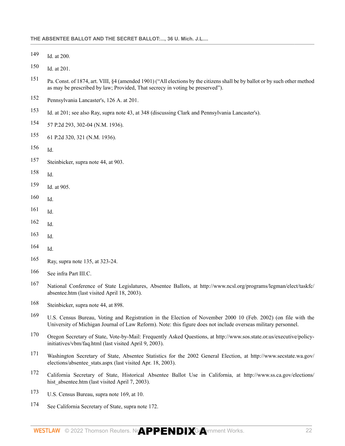<span id="page-88-0"></span>[Id. at 200](http://www.westlaw.com/Link/Document/FullText?findType=Y&serNum=1924112859&pubNum=0000161&originatingDoc=Ib7236a004b0611dba16d88fb847e95e5&refType=RP&fi=co_pp_sp_161_200&originationContext=document&vr=3.0&rs=cblt1.0&transitionType=DocumentItem&contextData=(sc.DocLink)#co_pp_sp_161_200).

<span id="page-88-1"></span>[Id. at 201](http://www.westlaw.com/Link/Document/FullText?findType=Y&serNum=1924112859&pubNum=0000161&originatingDoc=Ib7236a004b0611dba16d88fb847e95e5&refType=RP&fi=co_pp_sp_161_201&originationContext=document&vr=3.0&rs=cblt1.0&transitionType=DocumentItem&contextData=(sc.DocLink)#co_pp_sp_161_201).

- <span id="page-88-2"></span> [Pa. Const. of 1874, art. VIII, §4](http://www.westlaw.com/Link/Document/FullText?findType=L&pubNum=1000427&cite=PACNART8S4&originatingDoc=Ib7236a004b0611dba16d88fb847e95e5&refType=LQ&originationContext=document&vr=3.0&rs=cblt1.0&transitionType=DocumentItem&contextData=(sc.DocLink)) (amended 1901) ("All elections by the citizens shall be by ballot or by such other method as may be prescribed by law; Provided, That secrecy in voting be preserved").
- <span id="page-88-3"></span>Pennsylvania [Lancaster's, 126 A. at 201.](http://www.westlaw.com/Link/Document/FullText?findType=Y&serNum=1924112859&pubNum=0000161&originatingDoc=Ib7236a004b0611dba16d88fb847e95e5&refType=RP&fi=co_pp_sp_161_201&originationContext=document&vr=3.0&rs=cblt1.0&transitionType=DocumentItem&contextData=(sc.DocLink)#co_pp_sp_161_201)
- <span id="page-88-4"></span>[Id. at 201](http://www.westlaw.com/Link/Document/FullText?findType=Y&serNum=1924112859&pubNum=0000161&originatingDoc=Ib7236a004b0611dba16d88fb847e95e5&refType=RP&fi=co_pp_sp_161_201&originationContext=document&vr=3.0&rs=cblt1.0&transitionType=DocumentItem&contextData=(sc.DocLink)#co_pp_sp_161_201); see also Ray, supra note 43, at 348 (discussing Clark and Pennsylvania Lancaster's).
- <span id="page-88-5"></span>[57 P.2d 293, 302-04 \(N.M. 1936\)](http://www.westlaw.com/Link/Document/FullText?findType=Y&serNum=1936103943&pubNum=0000661&originatingDoc=Ib7236a004b0611dba16d88fb847e95e5&refType=RP&fi=co_pp_sp_661_302&originationContext=document&vr=3.0&rs=cblt1.0&transitionType=DocumentItem&contextData=(sc.DocLink)#co_pp_sp_661_302).
- <span id="page-88-6"></span>[61 P.2d 320, 321 \(N.M. 1936\).](http://www.westlaw.com/Link/Document/FullText?findType=Y&serNum=1936103883&pubNum=0000661&originatingDoc=Ib7236a004b0611dba16d88fb847e95e5&refType=RP&fi=co_pp_sp_661_321&originationContext=document&vr=3.0&rs=cblt1.0&transitionType=DocumentItem&contextData=(sc.DocLink)#co_pp_sp_661_321)
- <span id="page-88-7"></span>Id.
- <span id="page-88-8"></span>Steinbicker, supra note 44, at 903.
- <span id="page-88-9"></span>Id.
- <span id="page-88-10"></span>Id. at 905.
- <span id="page-88-11"></span>Id.
- <span id="page-88-12"></span>Id.
- <span id="page-88-13"></span>Id.
- <span id="page-88-14"></span>Id.
- <span id="page-88-15"></span>Id.
- <span id="page-88-16"></span>Ray, supra note 135, at 323-24.
- <span id="page-88-17"></span>See infra Part III.C.
- <span id="page-88-18"></span> National Conference of State Legislatures, Absentee Ballots, at http://www.ncsl.org/programs/legman/elect/taskfc/ absentee.htm (last visited April 18, 2003).
- <span id="page-88-19"></span>Steinbicker, supra note 44, at 898.
- <span id="page-88-20"></span> U.S. Census Bureau, Voting and Registration in the Election of November 2000 10 (Feb. 2002) (on file with the University of Michigan Journal of Law Reform). Note: this figure does not include overseas military personnel.
- <span id="page-88-21"></span> Oregon Secretary of State, Vote-by-Mail: Frequently Asked Questions, at http://www.sos.state.or.us/executive/policyinitiatives/vbm/faq.html (last visited April 9, 2003).
- <span id="page-88-22"></span> Washington Secretary of State, Absentee Statistics for the 2002 General Election, at http://www.secstate.wa.gov/ elections/absentee\_stats.aspx (last visited Apr. 18, 2003).
- <span id="page-88-23"></span> California Secretary of State, Historical Absentee Ballot Use in California, at http://www.ss.ca.gov/elections/ hist absentee.htm (last visited April 7, 2003).
- <span id="page-88-24"></span>U.S. Census Bureau, supra note 169, at 10.
- <span id="page-88-25"></span>See California Secretary of State, supra note 172.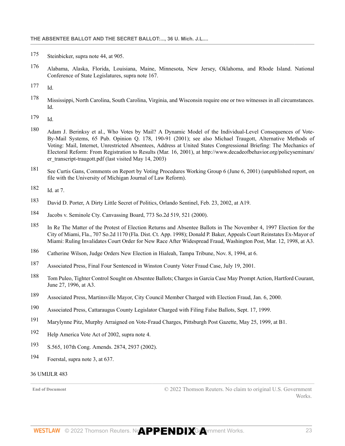- <span id="page-89-0"></span>[175](#page-80-2) Steinbicker, supra note 44, at 905.
- <span id="page-89-1"></span>[176](#page-80-3) Alabama, Alaska, Florida, Louisiana, Maine, Minnesota, New Jersey, Oklahoma, and Rhode Island. National Conference of State Legislatures, supra note 167.
- <span id="page-89-2"></span> $177$  Id.
- <span id="page-89-3"></span>[178](#page-80-5) Mississippi, North Carolina, South Carolina, Virginia, and Wisconsin require one or two witnesses in all circumstances. Id.
- <span id="page-89-4"></span>[179](#page-80-6) Id.
- <span id="page-89-5"></span>[180](#page-80-7) Adam J. Berinksy et al., Who Votes by Mail? A Dynamic Model of the Individual-Level Consequences of Vote-By-Mail Systems, 65 Pub. Opinion Q. 178, 190-91 (2001); see also Michael Traugott, Alternative Methods of Voting: Mail, Internet, Unrestricted Absentees, Address at United States Congressional Briefing: The Mechanics of Electoral Reform: From Registration to Results (Mar. 16, 2001), at http://www.decadeofbehavior.org/policyseminars/ er transcript-traugott.pdf (last visited May 14, 2003)
- <span id="page-89-6"></span>[181](#page-80-8) See Curtis Gans, Comments on Report by Voting Procedures Working Group 6 (June 6, 2001) (unpublished report, on file with the University of Michigan Journal of Law Reform).
- <span id="page-89-7"></span>[182](#page-80-9) Id. at 7.
- <span id="page-89-8"></span>[183](#page-80-10) David D. Porter, A Dirty Little Secret of Politics, Orlando Sentinel, Feb. 23, 2002, at A19.
- <span id="page-89-9"></span>[184](#page-80-11) [Jacobs v. Seminole Cty. Canvassing Board, 773 So.2d 519, 521 \(2000\).](http://www.westlaw.com/Link/Document/FullText?findType=Y&serNum=2000640931&pubNum=0000735&originatingDoc=Ib7236a004b0611dba16d88fb847e95e5&refType=RP&fi=co_pp_sp_735_521&originationContext=document&vr=3.0&rs=cblt1.0&transitionType=DocumentItem&contextData=(sc.DocLink)#co_pp_sp_735_521)
- <span id="page-89-10"></span>[185](#page-80-12) [In Re The Matter of the Protest of Election Returns and Absentee Ballots in The November 4, 1997 Election for the](http://www.westlaw.com/Link/Document/FullText?findType=Y&serNum=1998069385&pubNum=0000735&originatingDoc=Ib7236a004b0611dba16d88fb847e95e5&refType=RP&originationContext=document&vr=3.0&rs=cblt1.0&transitionType=DocumentItem&contextData=(sc.DocLink)) [City of Miami, Fla., 707 So.2d 1170 \(Fla. Dist. Ct. App. 1998\)](http://www.westlaw.com/Link/Document/FullText?findType=Y&serNum=1998069385&pubNum=0000735&originatingDoc=Ib7236a004b0611dba16d88fb847e95e5&refType=RP&originationContext=document&vr=3.0&rs=cblt1.0&transitionType=DocumentItem&contextData=(sc.DocLink)); Donald P. Baker, Appeals Court Reinstates Ex-Mayor of Miami: Ruling Invalidates Court Order for New Race After Widespread Fraud, Washington Post, Mar. 12, 1998, at A3.
- <span id="page-89-11"></span>[186](#page-80-13) Catherine Wilson, Judge Orders New Election in Hialeah, Tampa Tribune, Nov. 8, 1994, at 6.
- <span id="page-89-12"></span>[187](#page-81-0) Associated Press, Final Four Sentenced in Winston County Voter Fraud Case, July 19, 2001.
- <span id="page-89-13"></span>[188](#page-81-1) Tom Puleo, Tighter Control Sought on Absentee Ballots; Charges in Garcia Case May Prompt Action, Hartford Courant, June 27, 1996, at A3.
- <span id="page-89-14"></span>[189](#page-81-2) Associated Press, Martinsville Mayor, City Council Member Charged with Election Fraud, Jan. 6, 2000.
- <span id="page-89-15"></span>[190](#page-81-3) Associated Press, Cattaraugus County Legislator Charged with Filing False Ballots, Sept. 17, 1999.
- <span id="page-89-16"></span>[191](#page-81-4) Marylynne Pitz, Murphy Arraigned on Vote-Fraud Charges, Pittsburgh Post Gazette, May 25, 1999, at B1.
- <span id="page-89-17"></span>[192](#page-81-5) Help America Vote Act of 2002, supra note 4.
- <span id="page-89-18"></span>[193](#page-81-6) S.565, 107th Cong. Amends. 2874, 2937 (2002).
- <span id="page-89-19"></span>[194](#page-81-7) Foerstal, supra note 3, at 637.

## 36 UMIJLR 483

**End of Document** © 2022 Thomson Reuters. No claim to original U.S. Government **Works**.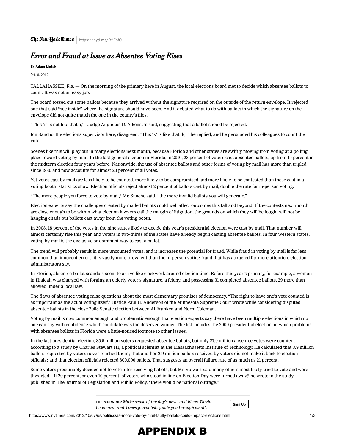# Error and Fraud at Issue as Absentee Voting Rises

By [Adam Liptak](https://www.nytimes.com/by/adam-liptak)

Oct. 6, 2012

TALLAHASSEE, Fla. — On the morning of the primary here in August, the local elections board met to decide which absentee ballots to count. It was not an easy job.

The board tossed out some ballots because they arrived without the signature required on the outside of the return envelope. It rejected one that said "see inside" where the signature should have been. And it debated what to do with ballots in which the signature on the envelope did not quite match the one in the county's files.

"This ʻr' is not like that ʻr,' " Judge Augustus D. Aikens Jr. said, suggesting that a ballot should be rejected.

Ion Sancho, the elections supervisor here, disagreed. "This 'k' is like that 'k,' " he replied, and he persuaded his colleagues to count the vote.

Scenes like this will play out in many elections next month, because Florida and other states are swiftly moving from voting at a polling place toward voting by mail. In the last general election in Florida, in 2010, 23 percent of voters cast absentee ballots, up from 15 percent in the midterm election four years before. Nationwide, the use of absentee ballots and other forms of voting by mail has more than tripled since 1980 and now accounts for almost 20 percent of all votes.

Yet votes cast by mail are less likely to be counted, more likely to be compromised and more likely to be contested than those cast in a voting booth, statistics show. Election officials reject almost 2 percent of ballots cast by mail, double the rate for in-person voting.

"The more people you force to vote by mail," Mr. Sancho said, "the more invalid ballots you will generate."

Election experts say the challenges created by mailed ballots could well affect outcomes this fall and beyond. If the contests next month are close enough to be within what election lawyers call the margin of litigation, the grounds on which they will be fought will not be hanging chads but ballots cast away from the voting booth.

In 2008, 18 percent of the votes in the nine states likely to decide this year's presidential election were cast by mail. That number will almost certainly rise this year, and [voters in two-thirds of the states](http://reed.edu/earlyvoting/calendar/) have already begun casting absentee ballots. In four Western states, voting by mail is the exclusive or dominant way to cast a ballot.

The trend will probably result in more uncounted votes, and it increases the potential for fraud. While fraud in voting by mail is far less common than innocent errors, it is vastly more prevalent than the in-person voting fraud that has attracted far more attention, election administrators say.

In Florida, absentee-ballot scandals seem to arrive like clockwork around election time. Before this year's primary, for example, a woman in Hialeah [was charged with](http://media.miamiherald.com/smedia/2012/08/02/13/29/DC6id.So.56.pdf) forging an elderly voter's signature, a felony, and possessing 31 completed absentee ballots, 29 more than allowed under [a local law.](http://www.miamidade.gov/govaction/matter.asp?matter=112169&file=true&yearFolder=Y2011)

The flaws of absentee voting raise questions about the most elementary promises of democracy. "The right to have one's vote counted is [as important as the act of voting itself," Justice Paul H. Anderson of the Minnesota Supreme Court wrote while considering disputed](http://moritzlaw.osu.edu/electionlaw/litigation/documents/Order.12.18.08.pdf) absentee ballots in the [close 2008 Senate election](http://www.nytimes.com/2009/07/01/us/politics/01minnesota.html?_r=1&hp) between Al Franken and Norm Coleman.

Voting by mail is now common enough and problematic enough that election experts say there have been multiple elections in which no one can say with confidence which candidate was the deserved winner. The list includes the 2000 presidential election, in which problems with absentee ballots in Florida were a little-noticed footnote to other issues.

In the last presidential election, 35.5 million voters requested absentee ballots, but only 27.9 million absentee votes were counted, according to [a study](http://www.law.nyu.edu/journals/legislation/issues/volume13number3/ECM_PRO_068045) by Charles Stewart III, a political scientist at the Massachusetts Institute of Technology. He calculated that 3.9 million ballots requested by voters never reached them; that another 2.9 million ballots received by voters did not make it back to election officials; and that election officials rejected 800,000 ballots. That suggests an overall failure rate of as much as 21 percent.

Some voters presumably decided not to vote after receiving ballots, but Mr. Stewart said many others most likely tried to vote and were thwarted. "If 20 percent, or even 10 percent, of voters who stood in line on Election Day were turned away," he wrote in the study, published in The Journal of Legislation and Public Policy, "there would be national outrage."

> THE MORNING: Make sense of the day's news and ideas. David Leonhardt and Times journalists guide you through what's

Sign Up

https://www.nytimes.com/2012/10/07/us/politics/as-more-vote-by-mail-faulty-ballots-could-impact-elections.html 1/3

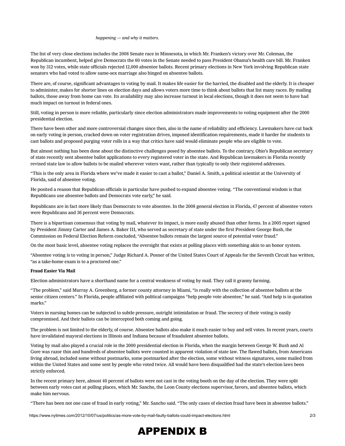The list of very close elections includes the 2008 Senate race in Minnesota, in which Mr. Franken's victory over Mr. Coleman, the Republican incumbent, helped give Democrats the 60 votes in the Senate needed to pass President Obama's health care bill. Mr. Franken won by 312 votes, while state officials rejected 12,000 absentee ballots. Recent primary elections in New York involving Republican state senators who had voted to allow same-sex marriage also hinged on absentee ballots.

There are, of course, significant advantages to voting by mail. It makes life easier for the harried, the disabled and the elderly. It is cheaper to administer, makes for shorter lines on election days and allows voters more time to think about ballots that list many races. By mailing ballots, those away from home can vote. Its availability may also increase turnout in local elections, though it does not seem to have had much impact on turnout in federal ones.

Still, voting in person is more reliable, particularly since election administrators made improvements to voting equipment after the 2000 presidential election.

There have been other and more controversial changes since then, also in the name of reliability and efficiency. Lawmakers have cut back on early voting in person, cracked down on voter registration drives, imposed identification requirements, made it harder for students to cast ballots and proposed purging voter rolls in a way that critics have said would eliminate people who are eligible to vote.

But almost nothing has been done about the distinctive challenges posed by absentee ballots. To the contrary, Ohio's Republican secretary of state recently sent absentee ballot applications to every registered voter in the state. And Republican lawmakers in Florida recently revised state law to allow ballots to be mailed wherever voters want, rather than typically to only their registered addresses.

"This is the only area in Florida where we've made it easier to cast a ballot," Daniel A. Smith, a political scientist at the University of Florida, said of absentee voting.

He posited a reason that Republican officials in particular have pushed to expand absentee voting. "The conventional wisdom is that Republicans use absentee ballots and Democrats vote early," he said.

Republicans are in fact more likely than Democrats to vote absentee. In the 2008 general election in Florida, 47 percent of absentee voters were Republicans and 36 percent were Democrats.

There is a bipartisan consensus that voting by mail, whatever its impact, is more easily abused than other forms. In a 2005 report signed [by President Jimmy Carter and James A. Baker III, who served as secretary of state under the first President George Bush, the](http://www1.american.edu/ia/cfer/report/report.html) Commission on Federal Election Reform concluded, "Absentee ballots remain the largest source of potential voter fraud."

On the most basic level, absentee voting replaces the oversight that exists at polling places with something akin to an honor system.

"Absentee voting is to voting in person," Judge Richard A. Posner of the United States Court of Appeals for the Seventh Circuit [has written,](http://bulk.resource.org/courts.gov/c/F3/385/385.F3d.1128.03-3770.html) "as a take-home exam is to a proctored one."

#### Fraud Easier Via Mail

Election administrators have a shorthand name for a central weakness of voting by mail. They call it granny farming.

"The problem," said Murray A. Greenberg, a former county attorney in Miami, "is really with the collection of absentee ballots at the senior citizen centers." In Florida, people affiliated with political campaigns "help people vote absentee," he said. "And help is in quotation marks."

Voters in nursing homes can be subjected to subtle pressure, outright intimidation or fraud. The secrecy of their voting is easily compromised. And their ballots can be intercepted both coming and going.

The problem is not limited to the elderly, of course. Absentee ballots also make it much easier to buy and sell votes. In recent years, courts have [invalidated mayoral elections in Illinois](http://www.state.il.us/court/opinions/appellatecourt/2005/1stdistrict/march/html/1032528.htm) and [Indiana](http://scholar.google.com/scholar_case?case=12855003844415311095&hl=en&as_sdt=2&as_vis=1&oi=scholarr) because of fraudulent absentee ballots.

Voting by mail also played a crucial role in the 2000 presidential election in Florida, when the margin between George W. Bush and Al Gore was razor thin and [hundreds of absentee ballots were counted in apparent violation of state law.](http://www.nytimes.com/2001/07/15/us/examining-the-vote-how-bush-took-florida-mining-the-overseas-absentee-vote.html?pagewanted=all&src=pm) The flawed ballots, from Americans living abroad, included some without postmarks, some postmarked after the election, some without witness signatures, some mailed from within the United States and some sent by people who voted twice. All would have been disqualified had the state's election laws been strictly enforced.

In the recent primary here, almost 40 percent of ballots were not cast in the voting booth on the day of the election. They were split between early votes cast at polling places, which Mr. Sancho, the Leon County elections supervisor, favors, and absentee ballots, which make him nervous.

"There has been not one case of fraud in early voting," Mr. Sancho said. "The only cases of election fraud have been in absentee ballots."

https://www.nytimes.com/2012/10/07/us/politics/as-more-vote-by-mail-faulty-ballots-could-impact-elections.html 2/3

# APPENDIX B